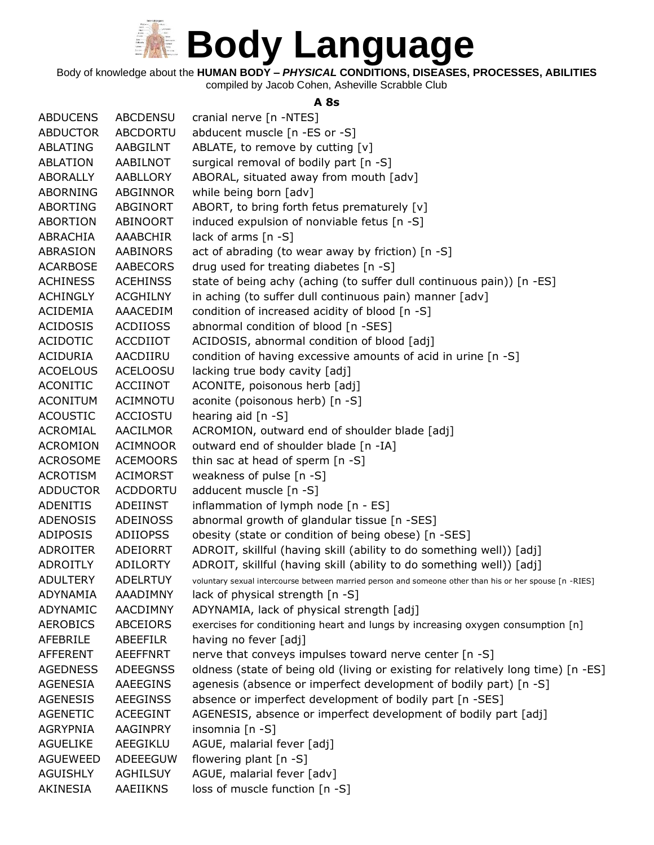

Body of knowledge about the **HUMAN BODY –** *PHYSICAL* **CONDITIONS, DISEASES, PROCESSES, ABILITIES**

compiled by Jacob Cohen, Asheville Scrabble Club

#### **A 8s**

| <b>ABDUCENS</b> | <b>ABCDENSU</b> | cranial nerve [n -NTES]                                                                                |
|-----------------|-----------------|--------------------------------------------------------------------------------------------------------|
| <b>ABDUCTOR</b> | <b>ABCDORTU</b> | abducent muscle [n -ES or -S]                                                                          |
| ABLATING        | AABGILNT        | ABLATE, to remove by cutting [v]                                                                       |
| <b>ABLATION</b> | AABILNOT        | surgical removal of bodily part [n -S]                                                                 |
| <b>ABORALLY</b> | AABLLORY        | ABORAL, situated away from mouth [adv]                                                                 |
| <b>ABORNING</b> | ABGINNOR        | while being born [adv]                                                                                 |
| <b>ABORTING</b> | ABGINORT        | ABORT, to bring forth fetus prematurely [v]                                                            |
| ABORTION        | ABINOORT        | induced expulsion of nonviable fetus [n -S]                                                            |
| ABRACHIA        | <b>AAABCHIR</b> | lack of arms $[n - S]$                                                                                 |
| ABRASION        | <b>AABINORS</b> | act of abrading (to wear away by friction) [n -S]                                                      |
| <b>ACARBOSE</b> | <b>AABECORS</b> | drug used for treating diabetes [n -S]                                                                 |
| <b>ACHINESS</b> | <b>ACEHINSS</b> | state of being achy (aching (to suffer dull continuous pain)) [n -ES]                                  |
| <b>ACHINGLY</b> | <b>ACGHILNY</b> | in aching (to suffer dull continuous pain) manner [adv]                                                |
| <b>ACIDEMIA</b> | AAACEDIM        | condition of increased acidity of blood [n -S]                                                         |
| <b>ACIDOSIS</b> | <b>ACDIIOSS</b> | abnormal condition of blood [n -SES]                                                                   |
| <b>ACIDOTIC</b> | <b>ACCDIIOT</b> | ACIDOSIS, abnormal condition of blood [adj]                                                            |
| <b>ACIDURIA</b> | AACDIIRU        | condition of having excessive amounts of acid in urine [n -S]                                          |
| <b>ACOELOUS</b> | <b>ACELOOSU</b> | lacking true body cavity [adj]                                                                         |
| <b>ACONITIC</b> | <b>ACCIINOT</b> | ACONITE, poisonous herb [adj]                                                                          |
| <b>ACONITUM</b> | <b>ACIMNOTU</b> | aconite (poisonous herb) [n -S]                                                                        |
| <b>ACOUSTIC</b> | <b>ACCIOSTU</b> | hearing aid $[n - S]$                                                                                  |
| ACROMIAL        | <b>AACILMOR</b> | ACROMION, outward end of shoulder blade [adj]                                                          |
| <b>ACROMION</b> | <b>ACIMNOOR</b> | outward end of shoulder blade [n -IA]                                                                  |
| <b>ACROSOME</b> | <b>ACEMOORS</b> | thin sac at head of sperm [n -S]                                                                       |
| <b>ACROTISM</b> | <b>ACIMORST</b> | weakness of pulse [n -S]                                                                               |
| <b>ADDUCTOR</b> | <b>ACDDORTU</b> | adducent muscle [n -S]                                                                                 |
| <b>ADENITIS</b> | <b>ADEIINST</b> | inflammation of lymph node [n - ES]                                                                    |
| <b>ADENOSIS</b> | <b>ADEINOSS</b> | abnormal growth of glandular tissue [n -SES]                                                           |
| ADIPOSIS        | <b>ADIIOPSS</b> | obesity (state or condition of being obese) [n -SES]                                                   |
| <b>ADROITER</b> | ADEIORRT        | ADROIT, skillful (having skill (ability to do something well)) [adj]                                   |
| <b>ADROITLY</b> | <b>ADILORTY</b> | ADROIT, skillful (having skill (ability to do something well)) [adj]                                   |
| <b>ADULTERY</b> | <b>ADELRTUY</b> | voluntary sexual intercourse between married person and someone other than his or her spouse [n -RIES] |
| <b>ADYNAMIA</b> | AAADIMNY        | lack of physical strength [n -S]                                                                       |
| ADYNAMIC        | <b>AACDIMNY</b> | ADYNAMIA, lack of physical strength [adj]                                                              |
| <b>AEROBICS</b> | <b>ABCEIORS</b> | exercises for conditioning heart and lungs by increasing oxygen consumption [n]                        |
| AFEBRILE        | <b>ABEEFILR</b> | having no fever [adj]                                                                                  |
| <b>AFFERENT</b> | <b>AEEFFNRT</b> | nerve that conveys impulses toward nerve center [n -S]                                                 |
| <b>AGEDNESS</b> | <b>ADEEGNSS</b> | oldness (state of being old (living or existing for relatively long time) [n -ES]                      |
| <b>AGENESIA</b> | AAEEGINS        | agenesis (absence or imperfect development of bodily part) [n -S]                                      |
| <b>AGENESIS</b> | <b>AEEGINSS</b> | absence or imperfect development of bodily part [n -SES]                                               |
| <b>AGENETIC</b> | <b>ACEEGINT</b> | AGENESIS, absence or imperfect development of bodily part [adj]                                        |
| <b>AGRYPNIA</b> | <b>AAGINPRY</b> | insomnia [n -S]                                                                                        |
| <b>AGUELIKE</b> | AEEGIKLU        | AGUE, malarial fever [adj]                                                                             |
| <b>AGUEWEED</b> | ADEEEGUW        | flowering plant [n -S]                                                                                 |
| <b>AGUISHLY</b> | <b>AGHILSUY</b> | AGUE, malarial fever [adv]                                                                             |
| AKINESIA        | AAEIIKNS        | loss of muscle function [n -S]                                                                         |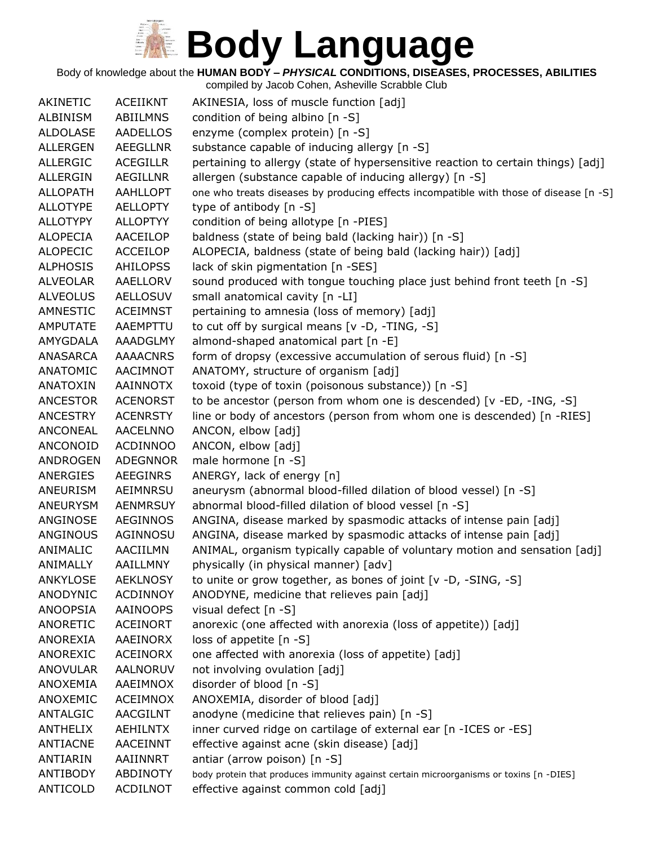Body of knowledge about the **HUMAN BODY –** *PHYSICAL* **CONDITIONS, DISEASES, PROCESSES, ABILITIES**

| AKINETIC                    | <b>ACEIIKNT</b>                    | AKINESIA, loss of muscle function [adj]                                                                          |
|-----------------------------|------------------------------------|------------------------------------------------------------------------------------------------------------------|
| ALBINISM                    | ABIILMNS                           | condition of being albino [n -S]                                                                                 |
| <b>ALDOLASE</b>             | <b>AADELLOS</b>                    | enzyme (complex protein) [n -S]                                                                                  |
| <b>ALLERGEN</b>             | <b>AEEGLLNR</b>                    | substance capable of inducing allergy [n -S]                                                                     |
| <b>ALLERGIC</b>             | <b>ACEGILLR</b>                    | pertaining to allergy (state of hypersensitive reaction to certain things) [adj]                                 |
| <b>ALLERGIN</b>             | <b>AEGILLNR</b>                    | allergen (substance capable of inducing allergy) [n -S]                                                          |
| <b>ALLOPATH</b>             | <b>AAHLLOPT</b>                    | one who treats diseases by producing effects incompatible with those of disease [n -S]                           |
| <b>ALLOTYPE</b>             | <b>AELLOPTY</b>                    | type of antibody [n -S]                                                                                          |
| <b>ALLOTYPY</b>             | <b>ALLOPTYY</b>                    | condition of being allotype [n -PIES]                                                                            |
| <b>ALOPECIA</b>             | AACEILOP                           | baldness (state of being bald (lacking hair)) [n -S]                                                             |
| <b>ALOPECIC</b>             | <b>ACCEILOP</b>                    | ALOPECIA, baldness (state of being bald (lacking hair)) [adj]                                                    |
| <b>ALPHOSIS</b>             | <b>AHILOPSS</b>                    | lack of skin pigmentation [n -SES]                                                                               |
| <b>ALVEOLAR</b>             | AAELLORV                           | sound produced with tongue touching place just behind front teeth [n -S]                                         |
| <b>ALVEOLUS</b>             | <b>AELLOSUV</b>                    | small anatomical cavity [n -LI]                                                                                  |
| AMNESTIC                    | <b>ACEIMNST</b>                    | pertaining to amnesia (loss of memory) [adj]                                                                     |
| <b>AMPUTATE</b>             | AAEMPTTU                           | to cut off by surgical means [v -D, -TING, -S]                                                                   |
| AMYGDALA                    | <b>AAADGLMY</b>                    | almond-shaped anatomical part [n -E]                                                                             |
| ANASARCA                    | <b>AAAACNRS</b>                    | form of dropsy (excessive accumulation of serous fluid) [n -S]                                                   |
| ANATOMIC                    | AACIMNOT                           | ANATOMY, structure of organism [adj]                                                                             |
| ANATOXIN                    | AAINNOTX                           | toxoid (type of toxin (poisonous substance)) [n -S]                                                              |
| <b>ANCESTOR</b>             | <b>ACENORST</b>                    | to be ancestor (person from whom one is descended) [v -ED, -ING, -S]                                             |
| <b>ANCESTRY</b>             | <b>ACENRSTY</b>                    | line or body of ancestors (person from whom one is descended) [n -RIES]                                          |
| ANCONEAL                    | <b>AACELNNO</b>                    | ANCON, elbow [adj]                                                                                               |
| ANCONOID                    | <b>ACDINNOO</b>                    | ANCON, elbow [adj]                                                                                               |
| <b>ANDROGEN</b>             | <b>ADEGNNOR</b>                    | male hormone [n -S]                                                                                              |
| ANERGIES                    | AEEGINRS                           | ANERGY, lack of energy [n]                                                                                       |
| ANEURISM                    | AEIMNRSU                           | aneurysm (abnormal blood-filled dilation of blood vessel) [n -S]                                                 |
| <b>ANEURYSM</b>             | <b>AENMRSUY</b>                    | abnormal blood-filled dilation of blood vessel [n -S]                                                            |
| ANGINOSE                    | <b>AEGINNOS</b>                    | ANGINA, disease marked by spasmodic attacks of intense pain [adj]                                                |
| ANGINOUS                    | AGINNOSU                           | ANGINA, disease marked by spasmodic attacks of intense pain [adj]                                                |
| ANIMALIC                    | AACIILMN                           | ANIMAL, organism typically capable of voluntary motion and sensation [adj]                                       |
| ANIMALLY                    | <b>AAILLMNY</b>                    | physically (in physical manner) [adv]                                                                            |
| <b>ANKYLOSE</b>             | <b>AEKLNOSY</b>                    | to unite or grow together, as bones of joint [v -D, -SING, -S]                                                   |
| ANODYNIC                    | <b>ACDINNOY</b>                    | ANODYNE, medicine that relieves pain [adj]                                                                       |
| ANOOPSIA                    | AAINOOPS                           | visual defect [n -S]                                                                                             |
| <b>ANORETIC</b>             | <b>ACEINORT</b>                    | anorexic (one affected with anorexia (loss of appetite)) [adj]                                                   |
| <b>ANOREXIA</b>             | <b>AAEINORX</b>                    | loss of appetite $[n - S]$                                                                                       |
| ANOREXIC                    | <b>ACEINORX</b>                    | one affected with anorexia (loss of appetite) [adj]                                                              |
| <b>ANOVULAR</b>             | AALNORUV                           | not involving ovulation [adj]                                                                                    |
| ANOXEMIA                    | AAEIMNOX                           | disorder of blood [n -S]                                                                                         |
| ANOXEMIC                    | <b>ACEIMNOX</b>                    | ANOXEMIA, disorder of blood [adj]                                                                                |
| ANTALGIC                    | <b>AACGILNT</b>                    | anodyne (medicine that relieves pain) [n -S]                                                                     |
| <b>ANTHELIX</b><br>ANTIACNE | <b>AEHILNTX</b><br><b>AACEINNT</b> | inner curved ridge on cartilage of external ear [n - ICES or -ES]<br>effective against acne (skin disease) [adj] |
| ANTIARIN                    | AAIINNRT                           | antiar (arrow poison) [n -S]                                                                                     |
| ANTIBODY                    | <b>ABDINOTY</b>                    | body protein that produces immunity against certain microorganisms or toxins [n -DIES]                           |
| ANTICOLD                    | <b>ACDILNOT</b>                    | effective against common cold [adj]                                                                              |
|                             |                                    |                                                                                                                  |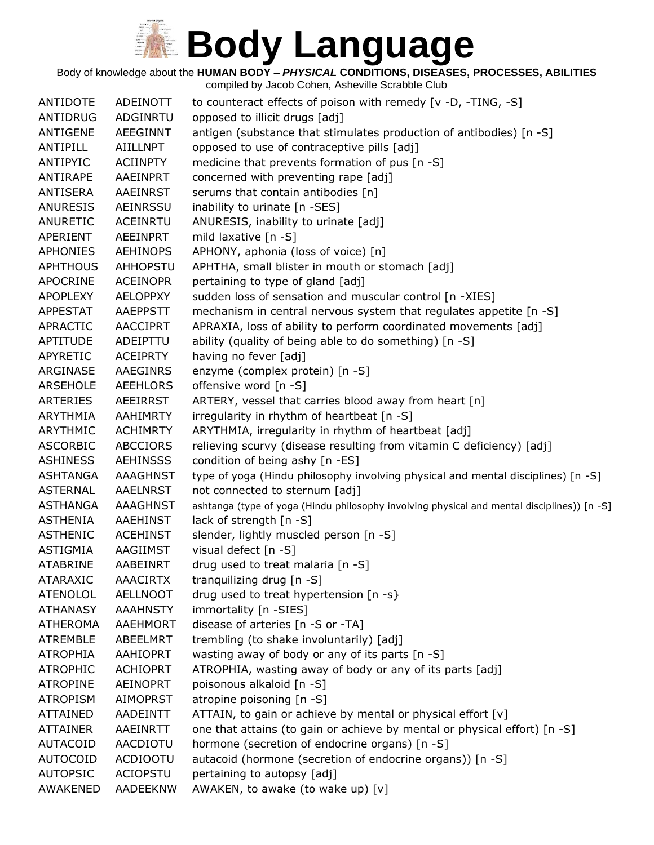Body of knowledge about the **HUMAN BODY –** *PHYSICAL* **CONDITIONS, DISEASES, PROCESSES, ABILITIES**

| ANTIDOTE        | ADEINOTT        | to counteract effects of poison with remedy [v -D, -TING, -S]                               |
|-----------------|-----------------|---------------------------------------------------------------------------------------------|
| ANTIDRUG        | ADGINRTU        | opposed to illicit drugs [adj]                                                              |
| <b>ANTIGENE</b> | <b>AEEGINNT</b> | antigen (substance that stimulates production of antibodies) [n -S]                         |
| ANTIPILL        | <b>AIILLNPT</b> | opposed to use of contraceptive pills [adj]                                                 |
| ANTIPYIC        | <b>ACIINPTY</b> | medicine that prevents formation of pus [n -S]                                              |
| ANTIRAPE        | AAEINPRT        | concerned with preventing rape [adj]                                                        |
| ANTISERA        | AAEINRST        | serums that contain antibodies [n]                                                          |
| <b>ANURESIS</b> | <b>AEINRSSU</b> | inability to urinate [n -SES]                                                               |
| <b>ANURETIC</b> | <b>ACEINRTU</b> | ANURESIS, inability to urinate [adj]                                                        |
| APERIENT        | <b>AEEINPRT</b> | mild laxative [n -S]                                                                        |
| <b>APHONIES</b> | <b>AEHINOPS</b> | APHONY, aphonia (loss of voice) [n]                                                         |
| <b>APHTHOUS</b> | <b>AHHOPSTU</b> | APHTHA, small blister in mouth or stomach [adj]                                             |
| <b>APOCRINE</b> | <b>ACEINOPR</b> | pertaining to type of gland [adj]                                                           |
| <b>APOPLEXY</b> | <b>AELOPPXY</b> | sudden loss of sensation and muscular control [n -XIES]                                     |
| <b>APPESTAT</b> | <b>AAEPPSTT</b> | mechanism in central nervous system that regulates appetite [n -S]                          |
| <b>APRACTIC</b> | <b>AACCIPRT</b> | APRAXIA, loss of ability to perform coordinated movements [adj]                             |
| <b>APTITUDE</b> | ADEIPTTU        | ability (quality of being able to do something) [n -S]                                      |
| APYRETIC        | <b>ACEIPRTY</b> | having no fever [adj]                                                                       |
| ARGINASE        | <b>AAEGINRS</b> | enzyme (complex protein) [n -S]                                                             |
| <b>ARSEHOLE</b> | <b>AEEHLORS</b> | offensive word [n -S]                                                                       |
| <b>ARTERIES</b> | <b>AEEIRRST</b> | ARTERY, vessel that carries blood away from heart [n]                                       |
| <b>ARYTHMIA</b> | AAHIMRTY        | irregularity in rhythm of heartbeat [n -S]                                                  |
| <b>ARYTHMIC</b> | <b>ACHIMRTY</b> | ARYTHMIA, irregularity in rhythm of heartbeat [adj]                                         |
| <b>ASCORBIC</b> | <b>ABCCIORS</b> | relieving scurvy (disease resulting from vitamin C deficiency) [adj]                        |
| <b>ASHINESS</b> | <b>AEHINSSS</b> | condition of being ashy [n -ES]                                                             |
| <b>ASHTANGA</b> | <b>AAAGHNST</b> | type of yoga (Hindu philosophy involving physical and mental disciplines) [n -S]            |
| <b>ASTERNAL</b> | <b>AAELNRST</b> | not connected to sternum [adj]                                                              |
| <b>ASTHANGA</b> | <b>AAAGHNST</b> | ashtanga (type of yoga (Hindu philosophy involving physical and mental disciplines)) [n -S] |
| <b>ASTHENIA</b> | <b>AAEHINST</b> | lack of strength [n -S]                                                                     |
| <b>ASTHENIC</b> | <b>ACEHINST</b> | slender, lightly muscled person [n -S]                                                      |
| ASTIGMIA        | AAGIIMST        | visual defect [n -S]                                                                        |
| <b>ATABRINE</b> | AABEINRT        | drug used to treat malaria [n -S]                                                           |
| <b>ATARAXIC</b> | <b>AAACIRTX</b> | tranguilizing drug [n -S]                                                                   |
| <b>ATENOLOL</b> | <b>AELLNOOT</b> | drug used to treat hypertension [n -s}                                                      |
| <b>ATHANASY</b> | <b>AAAHNSTY</b> | immortality [n -SIES]                                                                       |
| <b>ATHEROMA</b> | AAEHMORT        | disease of arteries [n -S or -TA]                                                           |
| <b>ATREMBLE</b> | ABEELMRT        | trembling (to shake involuntarily) [adj]                                                    |
| <b>ATROPHIA</b> | <b>AAHIOPRT</b> | wasting away of body or any of its parts [n -S]                                             |
| <b>ATROPHIC</b> | <b>ACHIOPRT</b> | ATROPHIA, wasting away of body or any of its parts [adj]                                    |
| <b>ATROPINE</b> | <b>AEINOPRT</b> | poisonous alkaloid [n -S]                                                                   |
| <b>ATROPISM</b> | <b>AIMOPRST</b> | atropine poisoning [n -S]                                                                   |
| <b>ATTAINED</b> | <b>AADEINTT</b> | ATTAIN, to gain or achieve by mental or physical effort [v]                                 |
| <b>ATTAINER</b> | AAEINRTT        | one that attains (to gain or achieve by mental or physical effort) [n -S]                   |
| <b>AUTACOID</b> | AACDIOTU        | hormone (secretion of endocrine organs) [n -S]                                              |
| <b>AUTOCOID</b> | <b>ACDIOOTU</b> | autacoid (hormone (secretion of endocrine organs)) [n -S]                                   |
| <b>AUTOPSIC</b> | <b>ACIOPSTU</b> | pertaining to autopsy [adj]                                                                 |
| AWAKENED        | AADEEKNW        | AWAKEN, to awake (to wake up) [v]                                                           |
|                 |                 |                                                                                             |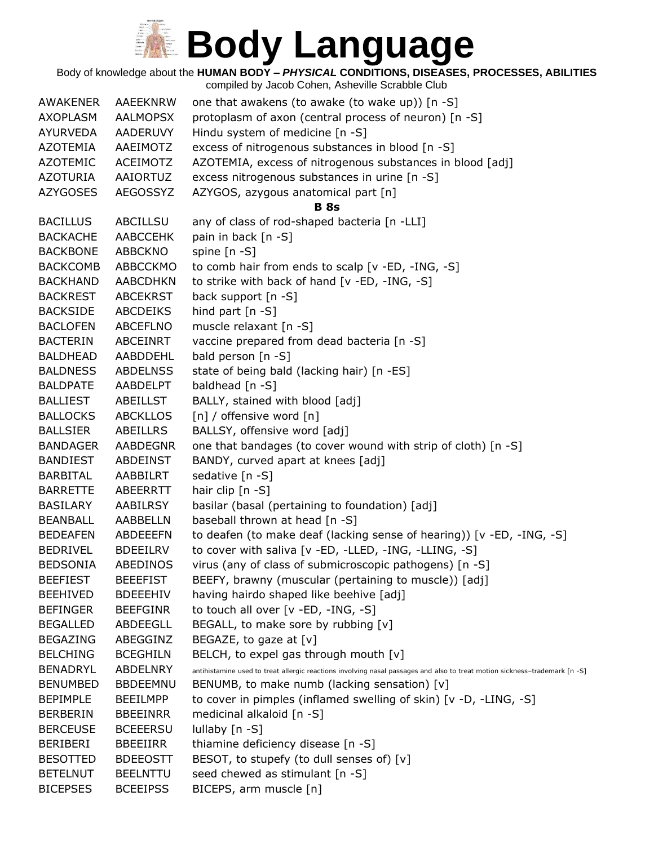Body of knowledge about the **HUMAN BODY –** *PHYSICAL* **CONDITIONS, DISEASES, PROCESSES, ABILITIES**

| <b>AWAKENER</b> | AAEEKNRW        | one that awakens (to awake (to wake up)) [n -S]                                                                            |
|-----------------|-----------------|----------------------------------------------------------------------------------------------------------------------------|
| AXOPLASM        | <b>AALMOPSX</b> | protoplasm of axon (central process of neuron) [n -S]                                                                      |
| <b>AYURVEDA</b> | <b>AADERUVY</b> | Hindu system of medicine [n -S]                                                                                            |
| AZOTEMIA        | AAEIMOTZ        | excess of nitrogenous substances in blood [n -S]                                                                           |
| <b>AZOTEMIC</b> | ACEIMOTZ        | AZOTEMIA, excess of nitrogenous substances in blood [adj]                                                                  |
| AZOTURIA        | AAIORTUZ        | excess nitrogenous substances in urine [n -S]                                                                              |
| <b>AZYGOSES</b> | AEGOSSYZ        | AZYGOS, azygous anatomical part [n]                                                                                        |
|                 |                 | <b>B</b> 8s                                                                                                                |
| <b>BACILLUS</b> | ABCILLSU        | any of class of rod-shaped bacteria [n -LLI]                                                                               |
| <b>BACKACHE</b> | <b>AABCCEHK</b> | pain in back [n -S]                                                                                                        |
| <b>BACKBONE</b> | ABBCKNO         | spine [n -S]                                                                                                               |
| <b>BACKCOMB</b> | ABBCCKMO        | to comb hair from ends to scalp [v -ED, -ING, -S]                                                                          |
| <b>BACKHAND</b> | <b>AABCDHKN</b> | to strike with back of hand [v -ED, -ING, -S]                                                                              |
| <b>BACKREST</b> | <b>ABCEKRST</b> | back support [n -S]                                                                                                        |
| <b>BACKSIDE</b> | ABCDEIKS        | hind part $[n - S]$                                                                                                        |
| <b>BACLOFEN</b> | ABCEFLNO        | muscle relaxant [n -S]                                                                                                     |
| <b>BACTERIN</b> | ABCEINRT        | vaccine prepared from dead bacteria [n -S]                                                                                 |
| <b>BALDHEAD</b> | AABDDEHL        | bald person [n -S]                                                                                                         |
| <b>BALDNESS</b> | <b>ABDELNSS</b> | state of being bald (lacking hair) [n -ES]                                                                                 |
| <b>BALDPATE</b> | AABDELPT        | baldhead [n -S]                                                                                                            |
| <b>BALLIEST</b> | <b>ABEILLST</b> | BALLY, stained with blood [adj]                                                                                            |
| <b>BALLOCKS</b> | <b>ABCKLLOS</b> | [n] / offensive word [n]                                                                                                   |
| <b>BALLSIER</b> | ABEILLRS        | BALLSY, offensive word [adj]                                                                                               |
| <b>BANDAGER</b> | <b>AABDEGNR</b> | one that bandages (to cover wound with strip of cloth) [n -S]                                                              |
| <b>BANDIEST</b> | ABDEINST        | BANDY, curved apart at knees [adj]                                                                                         |
| <b>BARBITAL</b> | AABBILRT        | sedative [n -S]                                                                                                            |
| <b>BARRETTE</b> | ABEERRTT        | hair clip [n -S]                                                                                                           |
| <b>BASILARY</b> | AABILRSY        | basilar (basal (pertaining to foundation) [adj]                                                                            |
| <b>BEANBALL</b> | AABBELLN        | baseball thrown at head [n -S]                                                                                             |
| <b>BEDEAFEN</b> | ABDEEEFN        | to deafen (to make deaf (lacking sense of hearing)) [v -ED, -ING, -S]                                                      |
| <b>BEDRIVEL</b> | <b>BDEEILRV</b> | to cover with saliva [v -ED, -LLED, -ING, -LLING, -S]                                                                      |
| <b>BEDSONIA</b> | ABEDINOS        | virus (any of class of submicroscopic pathogens) [n -S]                                                                    |
| <b>BEEFIEST</b> | <b>BEEEFIST</b> | BEEFY, brawny (muscular (pertaining to muscle)) [adj]                                                                      |
| <b>BEEHIVED</b> | <b>BDEEEHIV</b> | having hairdo shaped like beehive [adj]                                                                                    |
| <b>BEFINGER</b> | <b>BEEFGINR</b> | to touch all over [v -ED, -ING, -S]                                                                                        |
| <b>BEGALLED</b> | ABDEEGLL        | BEGALL, to make sore by rubbing [v]                                                                                        |
| <b>BEGAZING</b> | ABEGGINZ        | BEGAZE, to gaze at $[v]$                                                                                                   |
| <b>BELCHING</b> | <b>BCEGHILN</b> | BELCH, to expel gas through mouth [v]                                                                                      |
| <b>BENADRYL</b> | ABDELNRY        | antihistamine used to treat allergic reactions involving nasal passages and also to treat motion sickness-trademark [n -S] |
| <b>BENUMBED</b> | <b>BBDEEMNU</b> | BENUMB, to make numb (lacking sensation) $[v]$                                                                             |
| <b>BEPIMPLE</b> | <b>BEEILMPP</b> | to cover in pimples (inflamed swelling of skin) [v -D, -LING, -S]                                                          |
| <b>BERBERIN</b> | <b>BBEEINRR</b> | medicinal alkaloid [n -S]                                                                                                  |
| <b>BERCEUSE</b> | <b>BCEEERSU</b> | lullaby [n -S]                                                                                                             |
| BERIBERI        | BBEEIIRR        | thiamine deficiency disease [n -S]                                                                                         |
| <b>BESOTTED</b> | <b>BDEEOSTT</b> | BESOT, to stupefy (to dull senses of) [v]                                                                                  |
| <b>BETELNUT</b> | <b>BEELNTTU</b> | seed chewed as stimulant [n -S]                                                                                            |
| <b>BICEPSES</b> | <b>BCEEIPSS</b> | BICEPS, arm muscle [n]                                                                                                     |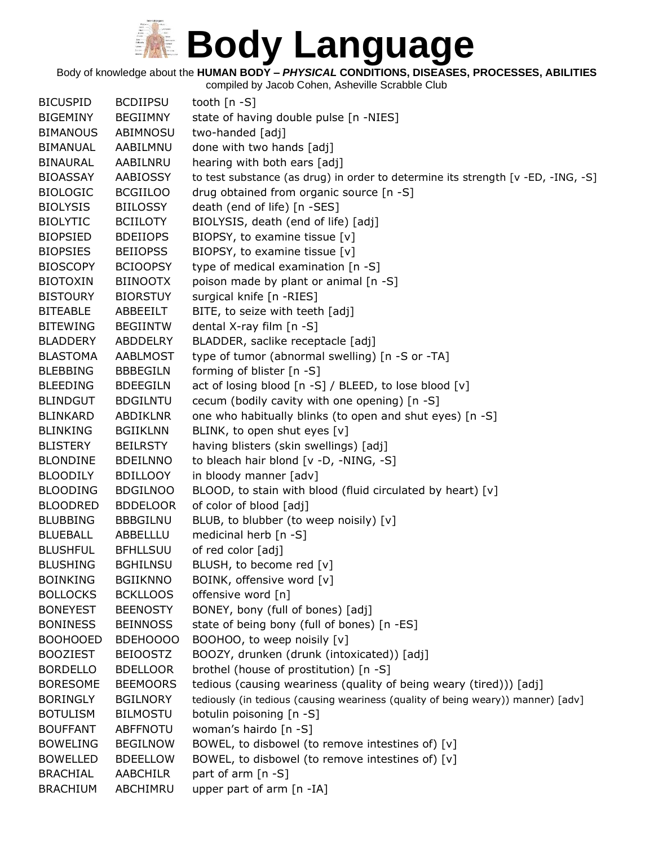Body of knowledge about the **HUMAN BODY –** *PHYSICAL* **CONDITIONS, DISEASES, PROCESSES, ABILITIES**

| <b>BICUSPID</b> | <b>BCDIIPSU</b> | tooth $[n - S]$                                                                  |
|-----------------|-----------------|----------------------------------------------------------------------------------|
| <b>BIGEMINY</b> | <b>BEGIIMNY</b> | state of having double pulse [n -NIES]                                           |
| <b>BIMANOUS</b> | ABIMNOSU        | two-handed [adj]                                                                 |
| <b>BIMANUAL</b> | AABILMNU        | done with two hands [adj]                                                        |
| <b>BINAURAL</b> | AABILNRU        | hearing with both ears [adj]                                                     |
| <b>BIOASSAY</b> | AABIOSSY        | to test substance (as drug) in order to determine its strength [v -ED, -ING, -S] |
| <b>BIOLOGIC</b> | <b>BCGIILOO</b> | drug obtained from organic source [n -S]                                         |
| <b>BIOLYSIS</b> | <b>BIILOSSY</b> | death (end of life) [n -SES]                                                     |
| <b>BIOLYTIC</b> | <b>BCIILOTY</b> | BIOLYSIS, death (end of life) [adj]                                              |
| <b>BIOPSIED</b> | <b>BDEIIOPS</b> | BIOPSY, to examine tissue [v]                                                    |
| <b>BIOPSIES</b> | <b>BEIIOPSS</b> | BIOPSY, to examine tissue [v]                                                    |
| <b>BIOSCOPY</b> | <b>BCIOOPSY</b> | type of medical examination [n -S]                                               |
| <b>BIOTOXIN</b> | <b>BIINOOTX</b> | poison made by plant or animal [n -S]                                            |
| <b>BISTOURY</b> | <b>BIORSTUY</b> | surgical knife [n -RIES]                                                         |
| <b>BITEABLE</b> | ABBEEILT        | BITE, to seize with teeth [adj]                                                  |
| <b>BITEWING</b> | <b>BEGIINTW</b> | dental X-ray film [n -S]                                                         |
| <b>BLADDERY</b> | ABDDELRY        | BLADDER, saclike receptacle [adj]                                                |
| <b>BLASTOMA</b> | AABLMOST        | type of tumor (abnormal swelling) [n -S or -TA]                                  |
| <b>BLEBBING</b> | <b>BBBEGILN</b> | forming of blister [n -S]                                                        |
| <b>BLEEDING</b> | <b>BDEEGILN</b> | act of losing blood [n -S] / BLEED, to lose blood [v]                            |
| <b>BLINDGUT</b> | <b>BDGILNTU</b> | cecum (bodily cavity with one opening) [n -S]                                    |
| <b>BLINKARD</b> | ABDIKLNR        | one who habitually blinks (to open and shut eyes) [n -S]                         |
| <b>BLINKING</b> | <b>BGIIKLNN</b> | BLINK, to open shut eyes [v]                                                     |
| <b>BLISTERY</b> | <b>BEILRSTY</b> | having blisters (skin swellings) [adj]                                           |
| <b>BLONDINE</b> | <b>BDEILNNO</b> | to bleach hair blond [v -D, -NING, -S]                                           |
| <b>BLOODILY</b> | <b>BDILLOOY</b> | in bloody manner [adv]                                                           |
| <b>BLOODING</b> | <b>BDGILNOO</b> | BLOOD, to stain with blood (fluid circulated by heart) [v]                       |
| <b>BLOODRED</b> | <b>BDDELOOR</b> | of color of blood [adj]                                                          |
| <b>BLUBBING</b> | <b>BBBGILNU</b> | BLUB, to blubber (to weep noisily) [v]                                           |
| <b>BLUEBALL</b> | ABBELLLU        | medicinal herb [n -S]                                                            |
| <b>BLUSHFUL</b> | <b>BFHLLSUU</b> | of red color [adj]                                                               |
| <b>BLUSHING</b> | <b>BGHILNSU</b> | BLUSH, to become red [v]                                                         |
| <b>BOINKING</b> | <b>BGIIKNNO</b> | BOINK, offensive word [v]                                                        |
| <b>BOLLOCKS</b> | <b>BCKLLOOS</b> | offensive word [n]                                                               |
| <b>BONEYEST</b> | <b>BEENOSTY</b> | BONEY, bony (full of bones) [adj]                                                |
| <b>BONINESS</b> | <b>BEINNOSS</b> | state of being bony (full of bones) [n -ES]                                      |
| <b>BOOHOOED</b> | BDEHOOOO        | BOOHOO, to weep noisily [v]                                                      |
| <b>BOOZIEST</b> | <b>BEIOOSTZ</b> | BOOZY, drunken (drunk (intoxicated)) [adj]                                       |
| <b>BORDELLO</b> | <b>BDELLOOR</b> | brothel (house of prostitution) [n -S]                                           |
| <b>BORESOME</b> | <b>BEEMOORS</b> | tedious (causing weariness (quality of being weary (tired))) [adj]               |
| <b>BORINGLY</b> | <b>BGILNORY</b> | tediously (in tedious (causing weariness (quality of being weary)) manner) [adv] |
| <b>BOTULISM</b> | <b>BILMOSTU</b> | botulin poisoning [n -S]                                                         |
| <b>BOUFFANT</b> | <b>ABFFNOTU</b> | woman's hairdo [n -S]                                                            |
| <b>BOWELING</b> | <b>BEGILNOW</b> | BOWEL, to disbowel (to remove intestines of) [v]                                 |
| <b>BOWELLED</b> | <b>BDEELLOW</b> | BOWEL, to disbowel (to remove intestines of) [v]                                 |
| <b>BRACHIAL</b> | AABCHILR        | part of arm [n -S]                                                               |
| <b>BRACHIUM</b> | ABCHIMRU        | upper part of arm [n -IA]                                                        |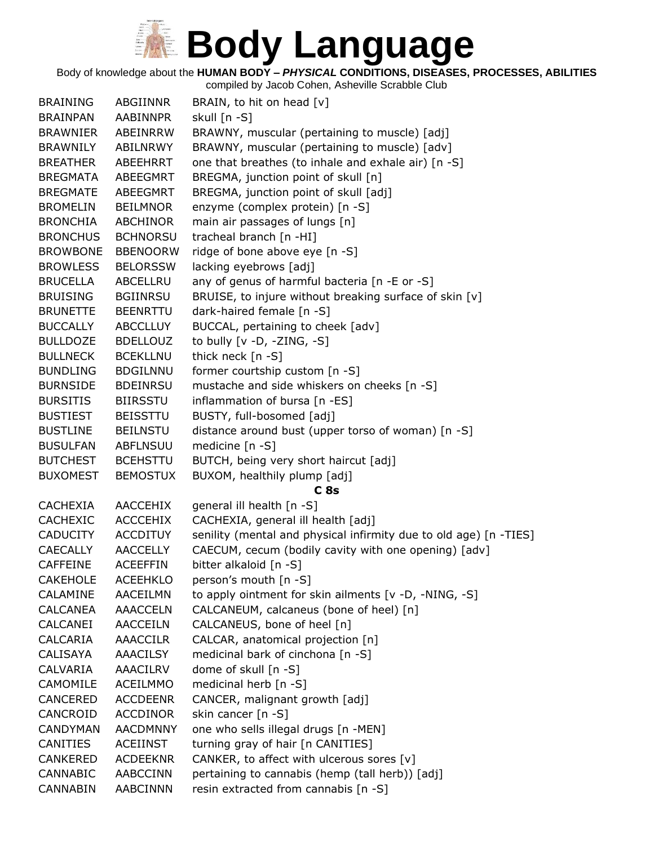Body of knowledge about the **HUMAN BODY –** *PHYSICAL* **CONDITIONS, DISEASES, PROCESSES, ABILITIES**

| <b>BRAINING</b> | ABGIINNR        | BRAIN, to hit on head [v]                                         |
|-----------------|-----------------|-------------------------------------------------------------------|
| <b>BRAINPAN</b> | <b>AABINNPR</b> | skull [n -S]                                                      |
| <b>BRAWNIER</b> | ABEINRRW        | BRAWNY, muscular (pertaining to muscle) [adj]                     |
| <b>BRAWNILY</b> | ABILNRWY        | BRAWNY, muscular (pertaining to muscle) [adv]                     |
| <b>BREATHER</b> | ABEEHRRT        | one that breathes (to inhale and exhale air) [n -S]               |
| <b>BREGMATA</b> | ABEEGMRT        | BREGMA, junction point of skull [n]                               |
| <b>BREGMATE</b> | ABEEGMRT        | BREGMA, junction point of skull [adj]                             |
| <b>BROMELIN</b> | <b>BEILMNOR</b> | enzyme (complex protein) [n -S]                                   |
| <b>BRONCHIA</b> | <b>ABCHINOR</b> | main air passages of lungs [n]                                    |
| <b>BRONCHUS</b> | <b>BCHNORSU</b> | tracheal branch [n -HI]                                           |
| <b>BROWBONE</b> | <b>BBENOORW</b> | ridge of bone above eye [n -S]                                    |
| <b>BROWLESS</b> | <b>BELORSSW</b> | lacking eyebrows [adj]                                            |
| <b>BRUCELLA</b> | ABCELLRU        | any of genus of harmful bacteria [n -E or -S]                     |
| <b>BRUISING</b> | <b>BGIINRSU</b> | BRUISE, to injure without breaking surface of skin [v]            |
| <b>BRUNETTE</b> | <b>BEENRTTU</b> | dark-haired female [n -S]                                         |
| <b>BUCCALLY</b> | <b>ABCCLLUY</b> | BUCCAL, pertaining to cheek [adv]                                 |
| <b>BULLDOZE</b> | <b>BDELLOUZ</b> | to bully [v -D, -ZING, -S]                                        |
| <b>BULLNECK</b> | <b>BCEKLLNU</b> | thick neck [n -S]                                                 |
| <b>BUNDLING</b> | <b>BDGILNNU</b> | former courtship custom [n -S]                                    |
| <b>BURNSIDE</b> | <b>BDEINRSU</b> | mustache and side whiskers on cheeks [n -S]                       |
| <b>BURSITIS</b> | <b>BIIRSSTU</b> | inflammation of bursa [n -ES]                                     |
| <b>BUSTIEST</b> | <b>BEISSTTU</b> | BUSTY, full-bosomed [adj]                                         |
| <b>BUSTLINE</b> | <b>BEILNSTU</b> | distance around bust (upper torso of woman) [n -S]                |
| <b>BUSULFAN</b> | <b>ABFLNSUU</b> | medicine [n -S]                                                   |
| <b>BUTCHEST</b> | <b>BCEHSTTU</b> | BUTCH, being very short haircut [adj]                             |
| <b>BUXOMEST</b> | <b>BEMOSTUX</b> | BUXOM, healthily plump [adj]                                      |
|                 |                 | C <sub>8s</sub>                                                   |
| <b>CACHEXIA</b> | <b>AACCEHIX</b> | general ill health [n -S]                                         |
| <b>CACHEXIC</b> | <b>ACCCEHIX</b> | CACHEXIA, general ill health [adj]                                |
| <b>CADUCITY</b> | <b>ACCDITUY</b> | senility (mental and physical infirmity due to old age) [n -TIES] |
| <b>CAECALLY</b> | <b>AACCELLY</b> | CAECUM, cecum (bodily cavity with one opening) [adv]              |
| <b>CAFFEINE</b> | <b>ACEEFFIN</b> | bitter alkaloid [n -S]                                            |
| <b>CAKEHOLE</b> | <b>ACEEHKLO</b> | person's mouth [n -S]                                             |
| CALAMINE        | <b>AACEILMN</b> | to apply ointment for skin ailments [v -D, -NING, -S]             |
| <b>CALCANEA</b> | <b>AAACCELN</b> | CALCANEUM, calcaneus (bone of heel) [n]                           |
| CALCANEI        | AACCEILN        | CALCANEUS, bone of heel [n]                                       |
| CALCARIA        | <b>AAACCILR</b> | CALCAR, anatomical projection [n]                                 |
| CALISAYA        | <b>AAACILSY</b> | medicinal bark of cinchona [n -S]                                 |
| CALVARIA        | <b>AAACILRV</b> | dome of skull [n -S]                                              |
| CAMOMILE        | <b>ACEILMMO</b> | medicinal herb [n -S]                                             |
| <b>CANCERED</b> | <b>ACCDEENR</b> | CANCER, malignant growth [adj]                                    |
| CANCROID        | <b>ACCDINOR</b> | skin cancer $[n -S]$                                              |
| <b>CANDYMAN</b> | <b>AACDMNNY</b> | one who sells illegal drugs [n -MEN]                              |
| CANITIES        | <b>ACEIINST</b> | turning gray of hair [n CANITIES]                                 |
| <b>CANKERED</b> | <b>ACDEEKNR</b> | CANKER, to affect with ulcerous sores [v]                         |
| CANNABIC        | AABCCINN        | pertaining to cannabis (hemp (tall herb)) [adj]                   |
| <b>CANNABIN</b> | AABCINNN        | resin extracted from cannabis [n -S]                              |
|                 |                 |                                                                   |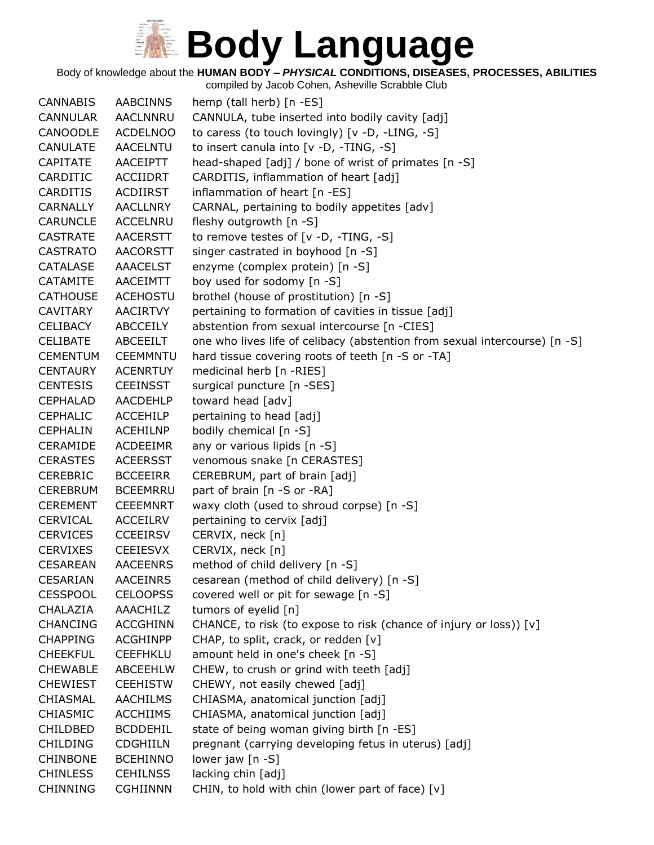Body of knowledge about the **HUMAN BODY –** *PHYSICAL* **CONDITIONS, DISEASES, PROCESSES, ABILITIES**

|                 |                 | compiled by Jacob Cohen, Asheville Scrabble Club                           |
|-----------------|-----------------|----------------------------------------------------------------------------|
| <b>CANNABIS</b> | <b>AABCINNS</b> | hemp (tall herb) [n -ES]                                                   |
| <b>CANNULAR</b> | <b>AACLNNRU</b> | CANNULA, tube inserted into bodily cavity [adj]                            |
| CANOODLE        | <b>ACDELNOO</b> | to caress (to touch lovingly) $[v -D, -LING, -S]$                          |
| <b>CANULATE</b> | <b>AACELNTU</b> | to insert canula into [v -D, -TING, -S]                                    |
| <b>CAPITATE</b> | AACEIPTT        | head-shaped [adj] / bone of wrist of primates [n -S]                       |
| CARDITIC        | <b>ACCIIDRT</b> | CARDITIS, inflammation of heart [adj]                                      |
| <b>CARDITIS</b> | ACDIIRST        | inflammation of heart [n -ES]                                              |
| <b>CARNALLY</b> | <b>AACLLNRY</b> | CARNAL, pertaining to bodily appetites [adv]                               |
| <b>CARUNCLE</b> | <b>ACCELNRU</b> | fleshy outgrowth [n -S]                                                    |
| <b>CASTRATE</b> | <b>AACERSTT</b> | to remove testes of [v -D, -TING, -S]                                      |
| <b>CASTRATO</b> | <b>AACORSTT</b> | singer castrated in boyhood [n -S]                                         |
| <b>CATALASE</b> | <b>AAACELST</b> | enzyme (complex protein) [n -S]                                            |
| CATAMITE        | AACEIMTT        | boy used for sodomy [n -S]                                                 |
| <b>CATHOUSE</b> | <b>ACEHOSTU</b> | brothel (house of prostitution) [n -S]                                     |
| <b>CAVITARY</b> | <b>AACIRTVY</b> | pertaining to formation of cavities in tissue [adj]                        |
| <b>CELIBACY</b> | ABCCEILY        | abstention from sexual intercourse [n -CIES]                               |
| <b>CELIBATE</b> | <b>ABCEEILT</b> | one who lives life of celibacy (abstention from sexual intercourse) [n -S] |
| <b>CEMENTUM</b> | <b>CEEMMNTU</b> | hard tissue covering roots of teeth [n -S or -TA]                          |
| <b>CENTAURY</b> | <b>ACENRTUY</b> | medicinal herb [n -RIES]                                                   |
| <b>CENTESIS</b> | <b>CEEINSST</b> | surgical puncture [n -SES]                                                 |
| <b>CEPHALAD</b> | AACDEHLP        | toward head [adv]                                                          |
| <b>CEPHALIC</b> | <b>ACCEHILP</b> | pertaining to head [adj]                                                   |
| <b>CEPHALIN</b> | <b>ACEHILNP</b> | bodily chemical [n -S]                                                     |
| <b>CERAMIDE</b> | <b>ACDEEIMR</b> | any or various lipids [n -S]                                               |
| <b>CERASTES</b> | <b>ACEERSST</b> | venomous snake [n CERASTES]                                                |
| <b>CEREBRIC</b> | <b>BCCEEIRR</b> | CEREBRUM, part of brain [adj]                                              |
| <b>CEREBRUM</b> | <b>BCEEMRRU</b> | part of brain [n -S or -RA]                                                |
| <b>CEREMENT</b> | <b>CEEEMNRT</b> | waxy cloth (used to shroud corpse) [n -S]                                  |
| <b>CERVICAL</b> | ACCEILRV        | pertaining to cervix [adj]                                                 |
| <b>CERVICES</b> | <b>CCEEIRSV</b> | CERVIX, neck [n]                                                           |
| <b>CERVIXES</b> | <b>CEEIESVX</b> | CERVIX, neck [n]                                                           |
| <b>CESAREAN</b> | <b>AACEENRS</b> | method of child delivery [n -S]                                            |
| <b>CESARIAN</b> | <b>AACEINRS</b> | cesarean (method of child delivery) [n -S]                                 |
| <b>CESSPOOL</b> | <b>CELOOPSS</b> | covered well or pit for sewage [n -S]                                      |
| CHALAZIA        | AAACHILZ        | tumors of eyelid [n]                                                       |
| <b>CHANCING</b> | <b>ACCGHINN</b> | CHANCE, to risk (to expose to risk (chance of injury or loss)) [v]         |
| <b>CHAPPING</b> | <b>ACGHINPP</b> | CHAP, to split, crack, or redden [v]                                       |
| <b>CHEEKFUL</b> | <b>CEEFHKLU</b> | amount held in one's cheek [n -S]                                          |
| <b>CHEWABLE</b> | ABCEEHLW        | CHEW, to crush or grind with teeth [adj]                                   |
| <b>CHEWIEST</b> | <b>CEEHISTW</b> | CHEWY, not easily chewed [adj]                                             |
| CHIASMAL        | <b>AACHILMS</b> | CHIASMA, anatomical junction [adj]                                         |
| CHIASMIC        | <b>ACCHIIMS</b> | CHIASMA, anatomical junction [adj]                                         |
| <b>CHILDBED</b> | <b>BCDDEHIL</b> | state of being woman giving birth [n -ES]                                  |
| <b>CHILDING</b> | <b>CDGHIILN</b> | pregnant (carrying developing fetus in uterus) [adj]                       |
| <b>CHINBONE</b> | <b>BCEHINNO</b> | lower jaw $[n - S]$                                                        |
| <b>CHINLESS</b> | <b>CEHILNSS</b> | lacking chin [adj]                                                         |
| <b>CHINNING</b> | <b>CGHIINNN</b> | CHIN, to hold with chin (lower part of face) [v]                           |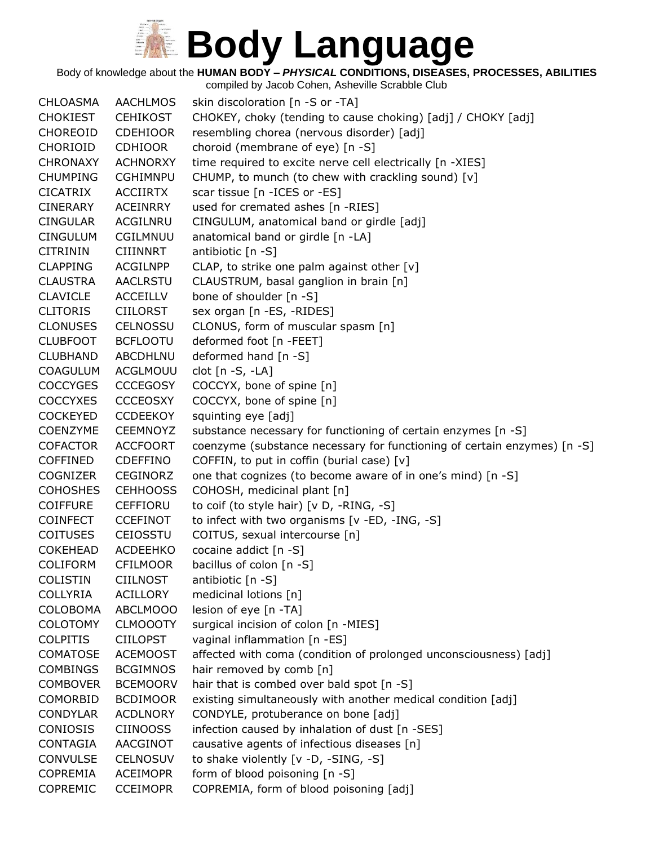Body of knowledge about the **HUMAN BODY –** *PHYSICAL* **CONDITIONS, DISEASES, PROCESSES, ABILITIES**

compiled by Jacob Cohen, Asheville Scrabble Club CHLOASMA AACHLMOS skin discoloration [n -S or -TA] CHOKIEST CEHIKOST CHOKEY, choky (tending to cause choking) [adj] / CHOKY [adj] CHOREOID CDEHIOOR resembling chorea (nervous disorder) [adj] CHORIOID CDHIOOR choroid (membrane of eye) [n -S] CHRONAXY ACHNORXY time required to excite nerve cell electrically [n -XIES] CHUMPING CGHIMNPU CHUMP, to munch (to chew with crackling sound) [v] CICATRIX ACCIIRTX scar tissue [n -ICES or -ES] CINERARY ACEINRRY used for cremated ashes [n -RIES] CINGULAR ACGILNRU CINGULUM, anatomical band or girdle [adj] CINGULUM CGILMNUU anatomical band or girdle [n -LA] CITRININ CIIINNRT antibiotic [n -S] CLAPPING ACGILNPP CLAP, to strike one palm against other [v] CLAUSTRA AACLRSTU CLAUSTRUM, basal ganglion in brain [n] CLAVICLE ACCEILLV bone of shoulder [n -S] CLITORIS CIILORST sex organ [n -ES, -RIDES] CLONUSES CELNOSSU CLONUS, form of muscular spasm [n] CLUBFOOT BCFLOOTU deformed foot [n -FEET] CLUBHAND ABCDHLNU deformed hand [n -S] COAGULUM ACGLMOUU clot [n -S, -LA] COCCYGES CCCEGOSY COCCYX, bone of spine [n] COCCYXES CCCEOSXY COCCYX, bone of spine [n] COCKEYED CCDEEKOY squinting eye [adj] COENZYME CEEMNOYZ substance necessary for functioning of certain enzymes [n -S] COFACTOR ACCFOORT coenzyme (substance necessary for functioning of certain enzymes) [n -S] COFFINED CDEFFINO COFFIN, to put in coffin (burial case) [v] COGNIZER CEGINORZ one that cognizes (to become aware of in one's mind) [n -S] COHOSHES CEHHOOSS COHOSH, medicinal plant [n] COIFFURE CEFFIORU to coif (to style hair) [v D, -RING, -S] COINFECT CCEFINOT to infect with two organisms [v -ED, -ING, -S] COITUSES CEIOSSTU COITUS, sexual intercourse [n] COKEHEAD ACDEEHKO cocaine addict [n -S] COLIFORM CFILMOOR bacillus of colon [n -S] COLISTIN CIILNOST antibiotic [n -S] COLLYRIA ACILLORY medicinal lotions [n] COLOBOMA ABCLMOOO lesion of eye [n -TA] COLOTOMY CLMOOOTY surgical incision of colon [n -MIES] COLPITIS CIILOPST vaginal inflammation [n -ES] COMATOSE ACEMOOST affected with coma (condition of prolonged unconsciousness) [adj] COMBINGS BCGIMNOS hair removed by comb [n] COMBOVER BCEMOORV hair that is combed over bald spot [n -S] COMORBID BCDIMOOR existing simultaneously with another medical condition [adj] CONDYLAR ACDLNORY CONDYLE, protuberance on bone [adj] CONIOSIS CIINOOSS infection caused by inhalation of dust [n -SES] CONTAGIA AACGINOT causative agents of infectious diseases [n] CONVULSE CELNOSUV to shake violently [v -D, -SING, -S] COPREMIA ACEIMOPR form of blood poisoning [n -S] COPREMIC CCEIMOPR COPREMIA, form of blood poisoning [adj]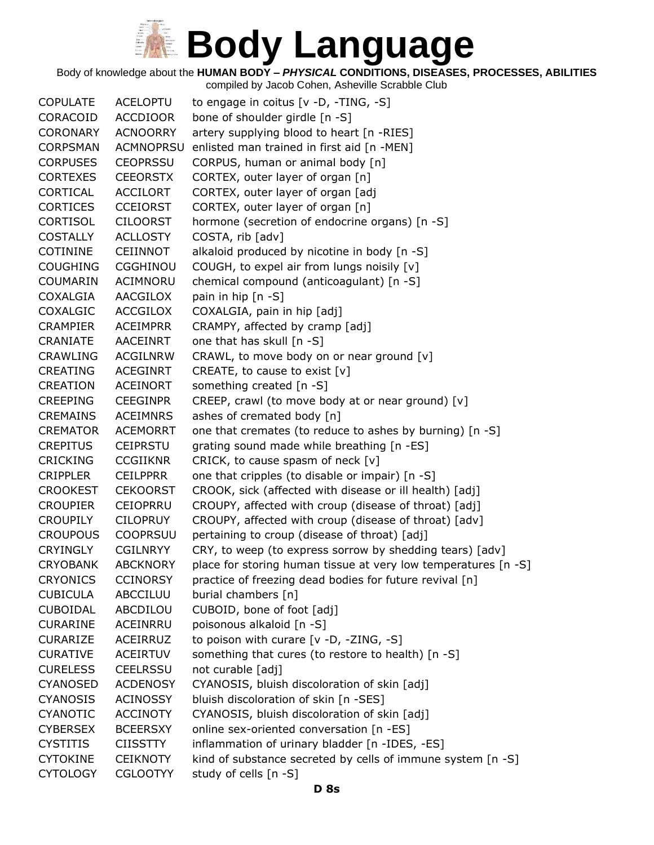#### **Body Language**  $\begin{array}{c} \mathcal{U} = \mathcal{U} \\ \mathcal{U} = \mathcal{U} \\ \mathcal{U} = \mathcal{U} \\ \mathcal{U} = \mathcal{U} \\ \mathcal{U} = \mathcal{U} \\ \mathcal{U} = \mathcal{U} \\ \mathcal{U} = \mathcal{U} \\ \mathcal{U} = \mathcal{U} \end{array}$

Body of knowledge about the **HUMAN BODY –** *PHYSICAL* **CONDITIONS, DISEASES, PROCESSES, ABILITIES**

| <b>COPULATE</b> | <b>ACELOPTU</b>  | to engage in coitus [v -D, -TING, -S]                          |
|-----------------|------------------|----------------------------------------------------------------|
| CORACOID        | <b>ACCDIOOR</b>  | bone of shoulder girdle [n -S]                                 |
| <b>CORONARY</b> | <b>ACNOORRY</b>  | artery supplying blood to heart [n -RIES]                      |
| <b>CORPSMAN</b> | <b>ACMNOPRSU</b> | enlisted man trained in first aid [n -MEN]                     |
| <b>CORPUSES</b> | <b>CEOPRSSU</b>  | CORPUS, human or animal body [n]                               |
| <b>CORTEXES</b> | <b>CEEORSTX</b>  | CORTEX, outer layer of organ [n]                               |
| CORTICAL        | <b>ACCILORT</b>  | CORTEX, outer layer of organ [adj                              |
| <b>CORTICES</b> | <b>CCEIORST</b>  | CORTEX, outer layer of organ [n]                               |
| <b>CORTISOL</b> | <b>CILOORST</b>  | hormone (secretion of endocrine organs) [n -S]                 |
| <b>COSTALLY</b> | <b>ACLLOSTY</b>  | COSTA, rib [adv]                                               |
| <b>COTININE</b> | <b>CEIINNOT</b>  | alkaloid produced by nicotine in body [n -S]                   |
| <b>COUGHING</b> | <b>CGGHINOU</b>  | COUGH, to expel air from lungs noisily [v]                     |
| COUMARIN        | <b>ACIMNORU</b>  | chemical compound (anticoagulant) [n -S]                       |
| COXALGIA        | AACGILOX         | pain in hip [n -S]                                             |
| COXALGIC        | <b>ACCGILOX</b>  | COXALGIA, pain in hip [adj]                                    |
| <b>CRAMPIER</b> | <b>ACEIMPRR</b>  | CRAMPY, affected by cramp [adj]                                |
| CRANIATE        | AACEINRT         | one that has skull [n -S]                                      |
| <b>CRAWLING</b> | <b>ACGILNRW</b>  | CRAWL, to move body on or near ground [v]                      |
| <b>CREATING</b> | ACEGINRT         | CREATE, to cause to exist $[v]$                                |
| CREATION        | ACEINORT         | something created [n -S]                                       |
| <b>CREEPING</b> | <b>CEEGINPR</b>  | CREEP, crawl (to move body at or near ground) [v]              |
| <b>CREMAINS</b> | <b>ACEIMNRS</b>  | ashes of cremated body [n]                                     |
| <b>CREMATOR</b> | <b>ACEMORRT</b>  | one that cremates (to reduce to ashes by burning) [n -S]       |
| <b>CREPITUS</b> | <b>CEIPRSTU</b>  | grating sound made while breathing [n -ES]                     |
| <b>CRICKING</b> | <b>CCGIIKNR</b>  | CRICK, to cause spasm of neck [v]                              |
| <b>CRIPPLER</b> | <b>CEILPPRR</b>  | one that cripples (to disable or impair) [n -S]                |
| <b>CROOKEST</b> | <b>CEKOORST</b>  | CROOK, sick (affected with disease or ill health) [adj]        |
| <b>CROUPIER</b> | <b>CEIOPRRU</b>  | CROUPY, affected with croup (disease of throat) [adj]          |
| <b>CROUPILY</b> | <b>CILOPRUY</b>  | CROUPY, affected with croup (disease of throat) [adv]          |
| <b>CROUPOUS</b> | <b>COOPRSUU</b>  | pertaining to croup (disease of throat) [adj]                  |
| <b>CRYINGLY</b> | <b>CGILNRYY</b>  | CRY, to weep (to express sorrow by shedding tears) [adv]       |
| <b>CRYOBANK</b> | <b>ABCKNORY</b>  | place for storing human tissue at very low temperatures [n -S] |
| <b>CRYONICS</b> | <b>CCINORSY</b>  | practice of freezing dead bodies for future revival [n]        |
| <b>CUBICULA</b> | ABCCILUU         | burial chambers [n]                                            |
| <b>CUBOIDAL</b> | ABCDILOU         | CUBOID, bone of foot [adj]                                     |
| <b>CURARINE</b> | ACEINRRU         | poisonous alkaloid [n -S]                                      |
| <b>CURARIZE</b> | ACEIRRUZ         | to poison with curare $[v -D, -ZING, -S]$                      |
| <b>CURATIVE</b> | <b>ACEIRTUV</b>  | something that cures (to restore to health) [n -S]             |
| <b>CURELESS</b> | <b>CEELRSSU</b>  | not curable [adj]                                              |
| <b>CYANOSED</b> | <b>ACDENOSY</b>  | CYANOSIS, bluish discoloration of skin [adj]                   |
| <b>CYANOSIS</b> | <b>ACINOSSY</b>  | bluish discoloration of skin [n -SES]                          |
| CYANOTIC        | <b>ACCINOTY</b>  | CYANOSIS, bluish discoloration of skin [adj]                   |
| <b>CYBERSEX</b> | <b>BCEERSXY</b>  | online sex-oriented conversation [n -ES]                       |
| <b>CYSTITIS</b> | <b>CIISSTTY</b>  | inflammation of urinary bladder [n -IDES, -ES]                 |
| <b>CYTOKINE</b> | <b>CEIKNOTY</b>  | kind of substance secreted by cells of immune system [n -S]    |
| <b>CYTOLOGY</b> | <b>CGLOOTYY</b>  | study of cells [n -S]                                          |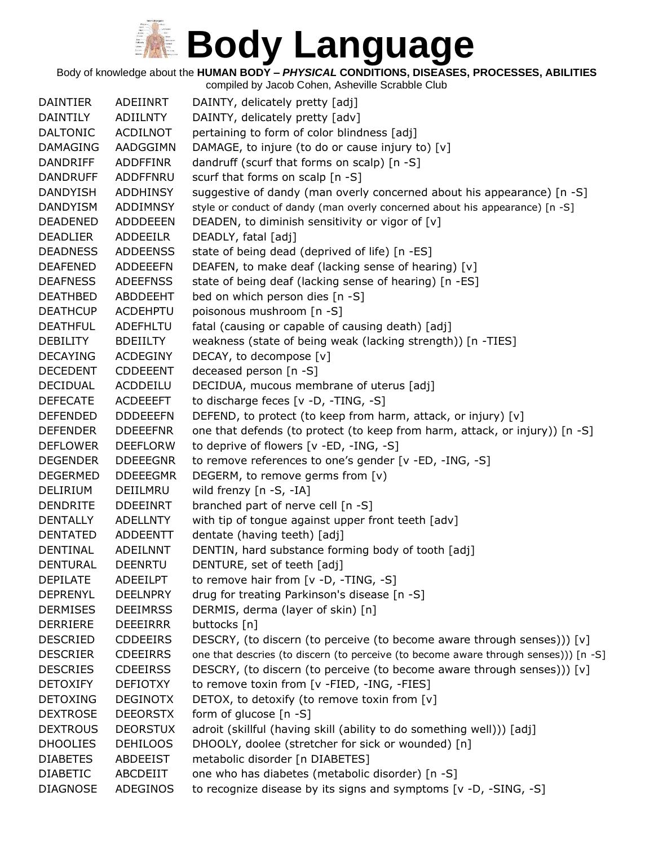Body of knowledge about the **HUMAN BODY –** *PHYSICAL* **CONDITIONS, DISEASES, PROCESSES, ABILITIES**

| <b>DAINTIER</b> | ADEIINRT        | DAINTY, delicately pretty [adj]                                                      |
|-----------------|-----------------|--------------------------------------------------------------------------------------|
| DAINTILY        | ADIILNTY        | DAINTY, delicately pretty [adv]                                                      |
| <b>DALTONIC</b> | <b>ACDILNOT</b> | pertaining to form of color blindness [adj]                                          |
| <b>DAMAGING</b> | AADGGIMN        | DAMAGE, to injure (to do or cause injury to) [v]                                     |
| DANDRIFF        | ADDFFINR        | dandruff (scurf that forms on scalp) [n -S]                                          |
| <b>DANDRUFF</b> | ADDFFNRU        | scurf that forms on scalp [n -S]                                                     |
| <b>DANDYISH</b> | ADDHINSY        | suggestive of dandy (man overly concerned about his appearance) [n -S]               |
| <b>DANDYISM</b> | <b>ADDIMNSY</b> | style or conduct of dandy (man overly concerned about his appearance) [n -S]         |
| <b>DEADENED</b> | <b>ADDDEEEN</b> | DEADEN, to diminish sensitivity or vigor of [v]                                      |
| <b>DEADLIER</b> | <b>ADDEEILR</b> | DEADLY, fatal [adj]                                                                  |
| <b>DEADNESS</b> | <b>ADDEENSS</b> | state of being dead (deprived of life) [n -ES]                                       |
| <b>DEAFENED</b> | <b>ADDEEEFN</b> | DEAFEN, to make deaf (lacking sense of hearing) [v]                                  |
| <b>DEAFNESS</b> | <b>ADEEFNSS</b> | state of being deaf (lacking sense of hearing) [n -ES]                               |
| <b>DEATHBED</b> | ABDDEEHT        | bed on which person dies [n -S]                                                      |
| <b>DEATHCUP</b> | <b>ACDEHPTU</b> | poisonous mushroom [n -S]                                                            |
| <b>DEATHFUL</b> | <b>ADEFHLTU</b> | fatal (causing or capable of causing death) [adj]                                    |
| <b>DEBILITY</b> | <b>BDEIILTY</b> | weakness (state of being weak (lacking strength)) [n -TIES]                          |
| <b>DECAYING</b> | <b>ACDEGINY</b> | DECAY, to decompose [v]                                                              |
| <b>DECEDENT</b> | <b>CDDEEENT</b> | deceased person [n -S]                                                               |
| <b>DECIDUAL</b> | ACDDEILU        | DECIDUA, mucous membrane of uterus [adj]                                             |
| <b>DEFECATE</b> | <b>ACDEEEFT</b> | to discharge feces [v -D, -TING, -S]                                                 |
| <b>DEFENDED</b> | <b>DDDEEEFN</b> | DEFEND, to protect (to keep from harm, attack, or injury) [v]                        |
| <b>DEFENDER</b> | <b>DDEEEFNR</b> | one that defends (to protect (to keep from harm, attack, or injury)) [n -S]          |
| <b>DEFLOWER</b> | <b>DEEFLORW</b> | to deprive of flowers [v -ED, -ING, -S]                                              |
| <b>DEGENDER</b> | <b>DDEEEGNR</b> | to remove references to one's gender [v -ED, -ING, -S]                               |
| <b>DEGERMED</b> | <b>DDEEEGMR</b> | DEGERM, to remove germs from [v)                                                     |
| DELIRIUM        | DEIILMRU        | wild frenzy [n -S, -IA]                                                              |
| <b>DENDRITE</b> | <b>DDEEINRT</b> | branched part of nerve cell [n -S]                                                   |
| <b>DENTALLY</b> | <b>ADELLNTY</b> | with tip of tongue against upper front teeth [adv]                                   |
| <b>DENTATED</b> | ADDEENTT        | dentate (having teeth) [adj]                                                         |
| DENTINAL        | <b>ADEILNNT</b> | DENTIN, hard substance forming body of tooth [adj]                                   |
| <b>DENTURAL</b> | <b>DEENRTU</b>  | DENTURE, set of teeth [adj]                                                          |
| <b>DEPILATE</b> | <b>ADEEILPT</b> | to remove hair from $[v -D, -TING, -S]$                                              |
| <b>DEPRENYL</b> | <b>DEELNPRY</b> | drug for treating Parkinson's disease [n -S]                                         |
| <b>DERMISES</b> | <b>DEEIMRSS</b> | DERMIS, derma (layer of skin) [n]                                                    |
| <b>DERRIERE</b> | <b>DEEEIRRR</b> | buttocks [n]                                                                         |
| <b>DESCRIED</b> | <b>CDDEEIRS</b> | DESCRY, (to discern (to perceive (to become aware through senses))) [v]              |
| <b>DESCRIER</b> | <b>CDEEIRRS</b> | one that descries (to discern (to perceive (to become aware through senses))) [n -S] |
| <b>DESCRIES</b> | <b>CDEEIRSS</b> | DESCRY, (to discern (to perceive (to become aware through senses))) [v]              |
| <b>DETOXIFY</b> | <b>DEFIOTXY</b> | to remove toxin from [v -FIED, -ING, -FIES]                                          |
| <b>DETOXING</b> | <b>DEGINOTX</b> | DETOX, to detoxify (to remove toxin from [v]                                         |
| <b>DEXTROSE</b> | <b>DEEORSTX</b> | form of glucose $[n -S]$                                                             |
| <b>DEXTROUS</b> | <b>DEORSTUX</b> | adroit (skillful (having skill (ability to do something well))) [adj]                |
| <b>DHOOLIES</b> | <b>DEHILOOS</b> | DHOOLY, doolee (stretcher for sick or wounded) [n]                                   |
| <b>DIABETES</b> | ABDEEIST        | metabolic disorder [n DIABETES]                                                      |
| <b>DIABETIC</b> | ABCDEIIT        | one who has diabetes (metabolic disorder) [n -S]                                     |
| <b>DIAGNOSE</b> | ADEGINOS        | to recognize disease by its signs and symptoms [v -D, -SING, -S]                     |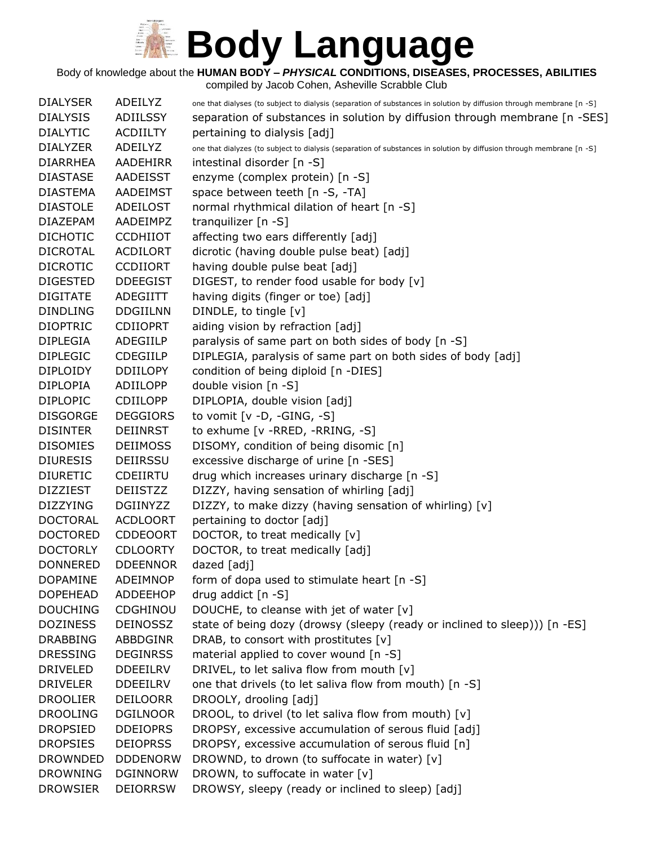Body of knowledge about the **HUMAN BODY –** *PHYSICAL* **CONDITIONS, DISEASES, PROCESSES, ABILITIES**

| <b>DIALYSER</b> | ADEILYZ         | one that dialyses (to subject to dialysis (separation of substances in solution by diffusion through membrane [n -S] |
|-----------------|-----------------|----------------------------------------------------------------------------------------------------------------------|
| <b>DIALYSIS</b> | ADIILSSY        | separation of substances in solution by diffusion through membrane [n -SES]                                          |
| <b>DIALYTIC</b> | <b>ACDIILTY</b> | pertaining to dialysis [adj]                                                                                         |
| <b>DIALYZER</b> | ADEILYZ         | one that dialyzes (to subject to dialysis (separation of substances in solution by diffusion through membrane [n -S] |
| <b>DIARRHEA</b> | AADEHIRR        | intestinal disorder [n -S]                                                                                           |
| <b>DIASTASE</b> | <b>AADEISST</b> | enzyme (complex protein) [n -S]                                                                                      |
| <b>DIASTEMA</b> | <b>AADEIMST</b> | space between teeth [n -S, -TA]                                                                                      |
| <b>DIASTOLE</b> | ADEILOST        | normal rhythmical dilation of heart [n -S]                                                                           |
| <b>DIAZEPAM</b> | AADEIMPZ        | tranquilizer $[n - S]$                                                                                               |
| <b>DICHOTIC</b> | <b>CCDHIIOT</b> | affecting two ears differently [adj]                                                                                 |
| <b>DICROTAL</b> | <b>ACDILORT</b> | dicrotic (having double pulse beat) [adj]                                                                            |
| <b>DICROTIC</b> | <b>CCDIIORT</b> | having double pulse beat [adj]                                                                                       |
| <b>DIGESTED</b> | <b>DDEEGIST</b> | DIGEST, to render food usable for body [v]                                                                           |
| <b>DIGITATE</b> | ADEGIITT        | having digits (finger or toe) [adj]                                                                                  |
| <b>DINDLING</b> | <b>DDGIILNN</b> | DINDLE, to tingle [v]                                                                                                |
| <b>DIOPTRIC</b> | <b>CDIIOPRT</b> | aiding vision by refraction [adj]                                                                                    |
| <b>DIPLEGIA</b> | ADEGIILP        | paralysis of same part on both sides of body [n -S]                                                                  |
| <b>DIPLEGIC</b> | <b>CDEGIILP</b> | DIPLEGIA, paralysis of same part on both sides of body [adj]                                                         |
| <b>DIPLOIDY</b> | <b>DDIILOPY</b> | condition of being diploid [n -DIES]                                                                                 |
| <b>DIPLOPIA</b> | ADIILOPP        | double vision $[n -S]$                                                                                               |
| <b>DIPLOPIC</b> | <b>CDIILOPP</b> | DIPLOPIA, double vision [adj]                                                                                        |
| <b>DISGORGE</b> | <b>DEGGIORS</b> | to vomit $[v -D, -GING, -S]$                                                                                         |
| <b>DISINTER</b> | <b>DEIINRST</b> | to exhume [v - RRED, - RRING, - S]                                                                                   |
| <b>DISOMIES</b> | <b>DEIIMOSS</b> | DISOMY, condition of being disomic [n]                                                                               |
| <b>DIURESIS</b> | <b>DEIIRSSU</b> | excessive discharge of urine [n -SES]                                                                                |
| <b>DIURETIC</b> | CDEIIRTU        | drug which increases urinary discharge [n -S]                                                                        |
| <b>DIZZIEST</b> | <b>DEIISTZZ</b> | DIZZY, having sensation of whirling [adj]                                                                            |
| <b>DIZZYING</b> | <b>DGIINYZZ</b> | DIZZY, to make dizzy (having sensation of whirling) [v]                                                              |
| <b>DOCTORAL</b> | <b>ACDLOORT</b> | pertaining to doctor [adj]                                                                                           |
| <b>DOCTORED</b> | <b>CDDEOORT</b> | DOCTOR, to treat medically [v]                                                                                       |
| <b>DOCTORLY</b> | <b>CDLOORTY</b> | DOCTOR, to treat medically [adj]                                                                                     |
| <b>DONNERED</b> | <b>DDEENNOR</b> | $d$ azed $[adj]$                                                                                                     |
| <b>DOPAMINE</b> | <b>ADEIMNOP</b> | form of dopa used to stimulate heart [n -S]                                                                          |
| <b>DOPEHEAD</b> | ADDEEHOP        | drug addict [n -S]                                                                                                   |
| <b>DOUCHING</b> | <b>CDGHINOU</b> | DOUCHE, to cleanse with jet of water [v]                                                                             |
| <b>DOZINESS</b> | <b>DEINOSSZ</b> | state of being dozy (drowsy (sleepy (ready or inclined to sleep))) [n -ES]                                           |
| <b>DRABBING</b> | ABBDGINR        | DRAB, to consort with prostitutes [v]                                                                                |
| <b>DRESSING</b> | <b>DEGINRSS</b> | material applied to cover wound [n -S]                                                                               |
| <b>DRIVELED</b> | <b>DDEEILRV</b> | DRIVEL, to let saliva flow from mouth [v]                                                                            |
| <b>DRIVELER</b> | <b>DDEEILRV</b> | one that drivels (to let saliva flow from mouth) [n -S]                                                              |
| <b>DROOLIER</b> | <b>DEILOORR</b> | DROOLY, drooling [adj]                                                                                               |
| <b>DROOLING</b> | <b>DGILNOOR</b> | DROOL, to drivel (to let saliva flow from mouth) [v]                                                                 |
| <b>DROPSIED</b> | <b>DDEIOPRS</b> | DROPSY, excessive accumulation of serous fluid [adj]                                                                 |
| <b>DROPSIES</b> | <b>DEIOPRSS</b> | DROPSY, excessive accumulation of serous fluid [n]                                                                   |
| <b>DROWNDED</b> | <b>DDDENORW</b> | DROWND, to drown (to suffocate in water) [v]                                                                         |
| <b>DROWNING</b> | <b>DGINNORW</b> | DROWN, to suffocate in water [v]                                                                                     |
| <b>DROWSIER</b> | <b>DEIORRSW</b> | DROWSY, sleepy (ready or inclined to sleep) [adj]                                                                    |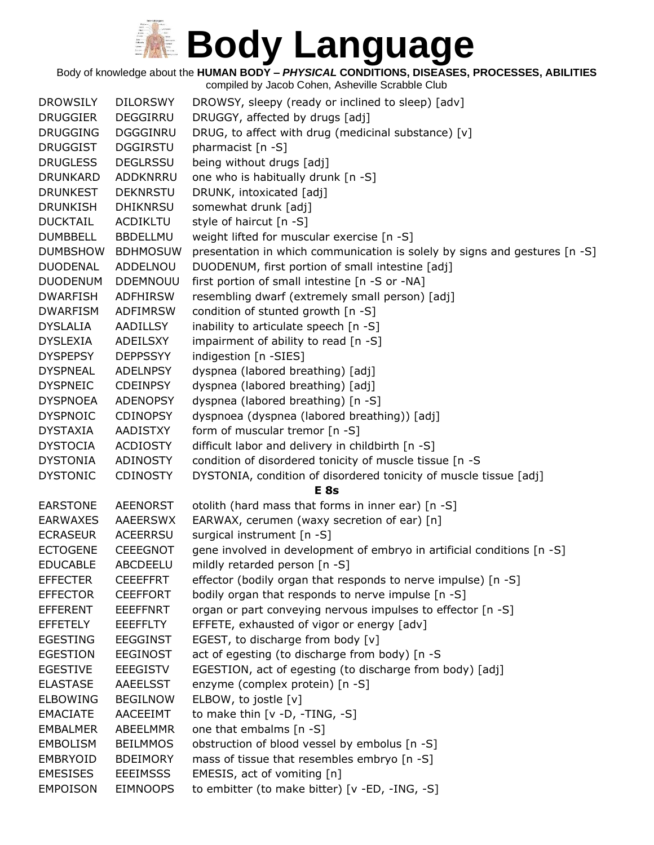Body of knowledge about the **HUMAN BODY –** *PHYSICAL* **CONDITIONS, DISEASES, PROCESSES, ABILITIES**

| <b>DROWSILY</b> | <b>DILORSWY</b> | DROWSY, sleepy (ready or inclined to sleep) [adv]                          |
|-----------------|-----------------|----------------------------------------------------------------------------|
| <b>DRUGGIER</b> | DEGGIRRU        | DRUGGY, affected by drugs [adj]                                            |
| <b>DRUGGING</b> | <b>DGGGINRU</b> | DRUG, to affect with drug (medicinal substance) [v]                        |
| <b>DRUGGIST</b> | <b>DGGIRSTU</b> | pharmacist [n -S]                                                          |
| <b>DRUGLESS</b> | <b>DEGLRSSU</b> | being without drugs [adj]                                                  |
| <b>DRUNKARD</b> | ADDKNRRU        | one who is habitually drunk [n -S]                                         |
| <b>DRUNKEST</b> | <b>DEKNRSTU</b> | DRUNK, intoxicated [adj]                                                   |
| <b>DRUNKISH</b> | <b>DHIKNRSU</b> | somewhat drunk [adj]                                                       |
| <b>DUCKTAIL</b> | ACDIKLTU        | style of haircut [n -S]                                                    |
| <b>DUMBBELL</b> | <b>BBDELLMU</b> | weight lifted for muscular exercise [n -S]                                 |
| <b>DUMBSHOW</b> | <b>BDHMOSUW</b> | presentation in which communication is solely by signs and gestures [n -S] |
| <b>DUODENAL</b> | ADDELNOU        | DUODENUM, first portion of small intestine [adj]                           |
| <b>DUODENUM</b> | <b>DDEMNOUU</b> | first portion of small intestine [n -S or -NA]                             |
| <b>DWARFISH</b> | <b>ADFHIRSW</b> | resembling dwarf (extremely small person) [adj]                            |
| <b>DWARFISM</b> | <b>ADFIMRSW</b> | condition of stunted growth [n -S]                                         |
| <b>DYSLALIA</b> | AADILLSY        | inability to articulate speech [n -S]                                      |
| <b>DYSLEXIA</b> | ADEILSXY        | impairment of ability to read [n -S]                                       |
| <b>DYSPEPSY</b> | <b>DEPPSSYY</b> | indigestion [n -SIES]                                                      |
| <b>DYSPNEAL</b> | ADELNPSY        | dyspnea (labored breathing) [adj]                                          |
| <b>DYSPNEIC</b> | <b>CDEINPSY</b> | dyspnea (labored breathing) [adj]                                          |
| <b>DYSPNOEA</b> | <b>ADENOPSY</b> | dyspnea (labored breathing) [n -S]                                         |
| <b>DYSPNOIC</b> | <b>CDINOPSY</b> | dyspnoea (dyspnea (labored breathing)) [adj]                               |
| <b>DYSTAXIA</b> | AADISTXY        | form of muscular tremor [n -S]                                             |
| <b>DYSTOCIA</b> | <b>ACDIOSTY</b> | difficult labor and delivery in childbirth [n -S]                          |
| <b>DYSTONIA</b> | ADINOSTY        | condition of disordered tonicity of muscle tissue [n -S                    |
| <b>DYSTONIC</b> | <b>CDINOSTY</b> | DYSTONIA, condition of disordered tonicity of muscle tissue [adj]          |
|                 |                 | E <sub>8s</sub>                                                            |
| <b>EARSTONE</b> | <b>AEENORST</b> | otolith (hard mass that forms in inner ear) [n -S]                         |
| <b>EARWAXES</b> | AAEERSWX        | EARWAX, cerumen (waxy secretion of ear) [n]                                |
| <b>ECRASEUR</b> | <b>ACEERRSU</b> | surgical instrument [n -S]                                                 |
| <b>ECTOGENE</b> | <b>CEEEGNOT</b> | gene involved in development of embryo in artificial conditions [n -S]     |
| <b>EDUCABLE</b> | ABCDEELU        | mildly retarded person [n -S]                                              |
| <b>EFFECTER</b> | <b>CEEEFFRT</b> | effector (bodily organ that responds to nerve impulse) [n -S]              |
| <b>EFFECTOR</b> | <b>CEEFFORT</b> | bodily organ that responds to nerve impulse [n -S]                         |
| <b>EFFERENT</b> | <b>EEEFFNRT</b> | organ or part conveying nervous impulses to effector [n -S]                |
| <b>EFFETELY</b> | <b>EEEFFLTY</b> | EFFETE, exhausted of vigor or energy [adv]                                 |
| <b>EGESTING</b> | <b>EEGGINST</b> | EGEST, to discharge from body [v]                                          |
| <b>EGESTION</b> | <b>EEGINOST</b> | act of egesting (to discharge from body) [n -S                             |
| <b>EGESTIVE</b> | <b>EEEGISTV</b> | EGESTION, act of egesting (to discharge from body) [adj]                   |
| <b>ELASTASE</b> | AAEELSST        | enzyme (complex protein) [n -S]                                            |
| <b>ELBOWING</b> | <b>BEGILNOW</b> | ELBOW, to jostle [v]                                                       |
| <b>EMACIATE</b> | AACEEIMT        | to make thin $[v -D, -TING, -S]$                                           |
| <b>EMBALMER</b> | ABEELMMR        | one that embalms [n -S]                                                    |
| <b>EMBOLISM</b> | <b>BEILMMOS</b> | obstruction of blood vessel by embolus [n -S]                              |
| <b>EMBRYOID</b> | <b>BDEIMORY</b> | mass of tissue that resembles embryo [n -S]                                |
| <b>EMESISES</b> | <b>EEEIMSSS</b> | EMESIS, act of vomiting [n]                                                |
| <b>EMPOISON</b> | <b>EIMNOOPS</b> | to embitter (to make bitter) [v -ED, -ING, -S]                             |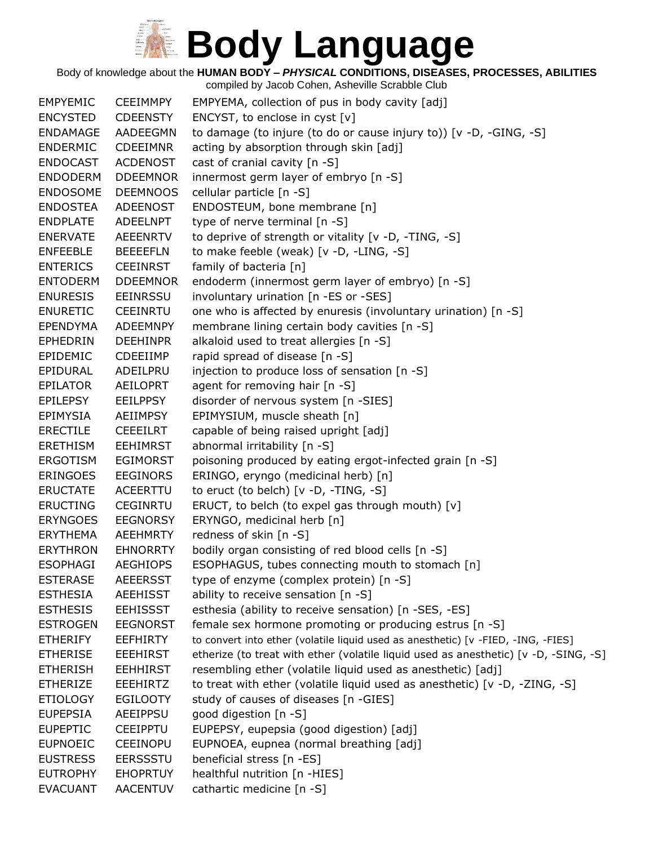Body of knowledge about the **HUMAN BODY –** *PHYSICAL* **CONDITIONS, DISEASES, PROCESSES, ABILITIES**

| <b>EMPYEMIC</b> | <b>CEEIMMPY</b> | EMPYEMA, collection of pus in body cavity [adj]                                      |
|-----------------|-----------------|--------------------------------------------------------------------------------------|
| <b>ENCYSTED</b> | <b>CDEENSTY</b> | ENCYST, to enclose in cyst [v]                                                       |
| <b>ENDAMAGE</b> | AADEEGMN        | to damage (to injure (to do or cause injury to)) [v -D, -GING, -S]                   |
| <b>ENDERMIC</b> | <b>CDEEIMNR</b> | acting by absorption through skin [adj]                                              |
| <b>ENDOCAST</b> | <b>ACDENOST</b> | cast of cranial cavity [n -S]                                                        |
| <b>ENDODERM</b> | <b>DDEEMNOR</b> | innermost germ layer of embryo [n -S]                                                |
| <b>ENDOSOME</b> | <b>DEEMNOOS</b> | cellular particle [n -S]                                                             |
| <b>ENDOSTEA</b> | ADEENOST        | ENDOSTEUM, bone membrane [n]                                                         |
| <b>ENDPLATE</b> | ADEELNPT        | type of nerve terminal [n -S]                                                        |
| <b>ENERVATE</b> | <b>AEEENRTV</b> | to deprive of strength or vitality [v -D, -TING, -S]                                 |
| <b>ENFEEBLE</b> | <b>BEEEEFLN</b> | to make feeble (weak) [v -D, -LING, -S]                                              |
| <b>ENTERICS</b> | <b>CEEINRST</b> | family of bacteria [n]                                                               |
| <b>ENTODERM</b> | <b>DDEEMNOR</b> | endoderm (innermost germ layer of embryo) [n -S]                                     |
| <b>ENURESIS</b> | <b>EEINRSSU</b> | involuntary urination [n -ES or -SES]                                                |
| <b>ENURETIC</b> | <b>CEEINRTU</b> | one who is affected by enuresis (involuntary urination) [n -S]                       |
| <b>EPENDYMA</b> | <b>ADEEMNPY</b> | membrane lining certain body cavities [n -S]                                         |
| <b>EPHEDRIN</b> | <b>DEEHINPR</b> | alkaloid used to treat allergies [n -S]                                              |
| EPIDEMIC        | <b>CDEEIIMP</b> | rapid spread of disease [n -S]                                                       |
| EPIDURAL        | ADEILPRU        | injection to produce loss of sensation [n -S]                                        |
| <b>EPILATOR</b> | AEILOPRT        | agent for removing hair [n -S]                                                       |
| <b>EPILEPSY</b> | <b>EEILPPSY</b> | disorder of nervous system [n -SIES]                                                 |
| <b>EPIMYSIA</b> | AEIIMPSY        | EPIMYSIUM, muscle sheath [n]                                                         |
| <b>ERECTILE</b> | <b>CEEEILRT</b> | capable of being raised upright [adj]                                                |
| <b>ERETHISM</b> | <b>EEHIMRST</b> | abnormal irritability [n -S]                                                         |
| <b>ERGOTISM</b> | <b>EGIMORST</b> | poisoning produced by eating ergot-infected grain [n -S]                             |
| <b>ERINGOES</b> | <b>EEGINORS</b> | ERINGO, eryngo (medicinal herb) [n]                                                  |
| <b>ERUCTATE</b> | ACEERTTU        | to eruct (to belch) [v -D, -TING, -S]                                                |
| <b>ERUCTING</b> | <b>CEGINRTU</b> | ERUCT, to belch (to expel gas through mouth) [v]                                     |
| <b>ERYNGOES</b> | <b>EEGNORSY</b> | ERYNGO, medicinal herb [n]                                                           |
| <b>ERYTHEMA</b> | AEEHMRTY        | redness of skin [n -S]                                                               |
| <b>ERYTHRON</b> | <b>EHNORRTY</b> | bodily organ consisting of red blood cells [n -S]                                    |
| <b>ESOPHAGI</b> | <b>AEGHIOPS</b> | ESOPHAGUS, tubes connecting mouth to stomach [n]                                     |
| <b>ESTERASE</b> | <b>AEEERSST</b> | type of enzyme (complex protein) [n -S]                                              |
| <b>ESTHESIA</b> | <b>AEEHISST</b> | ability to receive sensation [n -S]                                                  |
| <b>ESTHESIS</b> | <b>EEHISSST</b> | esthesia (ability to receive sensation) [n -SES, -ES]                                |
| <b>ESTROGEN</b> | <b>EEGNORST</b> | female sex hormone promoting or producing estrus [n -S]                              |
| <b>ETHERIFY</b> | <b>EEFHIRTY</b> | to convert into ether (volatile liquid used as anesthetic) [v -FIED, -ING, -FIES]    |
| <b>ETHERISE</b> | <b>EEEHIRST</b> | etherize (to treat with ether (volatile liquid used as anesthetic) [v -D, -SING, -S] |
| <b>ETHERISH</b> | <b>EEHHIRST</b> | resembling ether (volatile liquid used as anesthetic) [adj]                          |
| <b>ETHERIZE</b> | <b>EEEHIRTZ</b> | to treat with ether (volatile liquid used as anesthetic) [v -D, -ZING, -S]           |
| <b>ETIOLOGY</b> | <b>EGILOOTY</b> | study of causes of diseases [n -GIES]                                                |
| <b>EUPEPSIA</b> | AEEIPPSU        | good digestion [n -S]                                                                |
| <b>EUPEPTIC</b> | <b>CEEIPPTU</b> | EUPEPSY, eupepsia (good digestion) [adj]                                             |
| <b>EUPNOEIC</b> | <b>CEEINOPU</b> | EUPNOEA, eupnea (normal breathing [adj]                                              |
| <b>EUSTRESS</b> | <b>EERSSSTU</b> | beneficial stress [n -ES]                                                            |
| <b>EUTROPHY</b> | <b>EHOPRTUY</b> | healthful nutrition [n -HIES]                                                        |
| <b>EVACUANT</b> | <b>AACENTUV</b> | cathartic medicine [n -S]                                                            |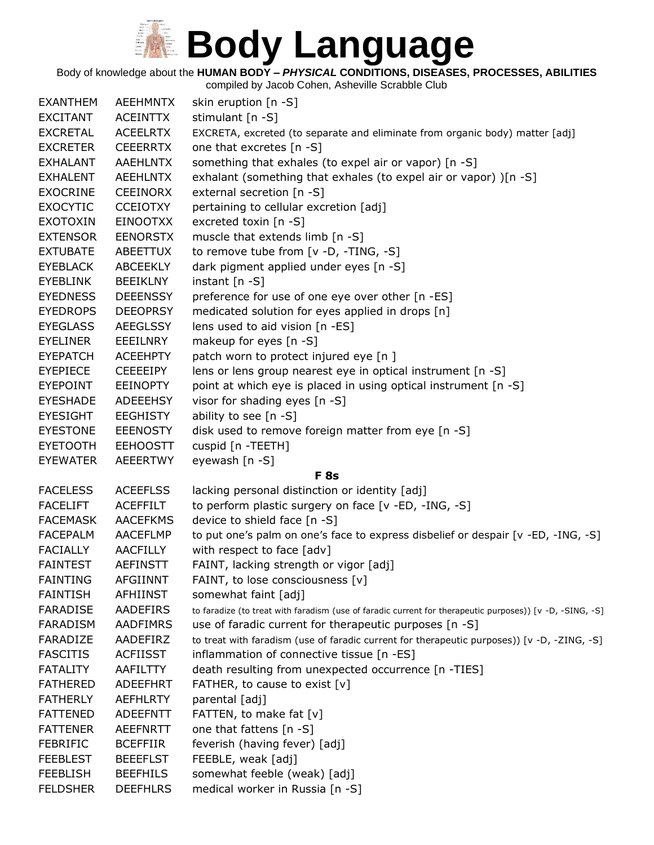Body of knowledge about the **HUMAN BODY –** *PHYSICAL* **CONDITIONS, DISEASES, PROCESSES, ABILITIES**

| <b>EXANTHEM</b> | <b>AEEHMNTX</b> | skin eruption [n -S]                                                                                     |
|-----------------|-----------------|----------------------------------------------------------------------------------------------------------|
| <b>EXCITANT</b> | <b>ACEINTTX</b> | stimulant [n -S]                                                                                         |
| <b>EXCRETAL</b> | <b>ACEELRTX</b> | EXCRETA, excreted (to separate and eliminate from organic body) matter [adj]                             |
| <b>EXCRETER</b> | <b>CEEERRTX</b> | one that excretes [n -S]                                                                                 |
| <b>EXHALANT</b> | <b>AAEHLNTX</b> | something that exhales (to expel air or vapor) [n -S]                                                    |
| <b>EXHALENT</b> | <b>AEEHLNTX</b> | exhalant (something that exhales (to expel air or vapor) )[n -S]                                         |
| <b>EXOCRINE</b> | <b>CEEINORX</b> | external secretion [n -S]                                                                                |
| <b>EXOCYTIC</b> | <b>CCEIOTXY</b> | pertaining to cellular excretion [adj]                                                                   |
| <b>EXOTOXIN</b> | <b>EINOOTXX</b> | excreted toxin [n -S]                                                                                    |
| <b>EXTENSOR</b> | <b>EENORSTX</b> | muscle that extends limb [n -S]                                                                          |
| <b>EXTUBATE</b> | ABEETTUX        | to remove tube from [v -D, -TING, -S]                                                                    |
| <b>EYEBLACK</b> | ABCEEKLY        | dark pigment applied under eyes [n -S]                                                                   |
| <b>EYEBLINK</b> | <b>BEEIKLNY</b> | instant $[n - S]$                                                                                        |
| <b>EYEDNESS</b> | <b>DEEENSSY</b> | preference for use of one eye over other [n -ES]                                                         |
| <b>EYEDROPS</b> | <b>DEEOPRSY</b> | medicated solution for eyes applied in drops [n]                                                         |
| <b>EYEGLASS</b> | <b>AEEGLSSY</b> | lens used to aid vision [n -ES]                                                                          |
| <b>EYELINER</b> | EEEILNRY        | makeup for eyes [n -S]                                                                                   |
| <b>EYEPATCH</b> | <b>ACEEHPTY</b> | patch worn to protect injured eye [n]                                                                    |
| <b>EYEPIECE</b> | <b>CEEEEIPY</b> | lens or lens group nearest eye in optical instrument [n -S]                                              |
| EYEPOINT        | <b>EEINOPTY</b> | point at which eye is placed in using optical instrument [n -S]                                          |
| <b>EYESHADE</b> | ADEEEHSY        | visor for shading eyes [n -S]                                                                            |
| <b>EYESIGHT</b> | <b>EEGHISTY</b> | ability to see [n -S]                                                                                    |
| <b>EYESTONE</b> | <b>EEENOSTY</b> | disk used to remove foreign matter from eye [n -S]                                                       |
| <b>EYETOOTH</b> | <b>EEHOOSTT</b> | cuspid [n -TEETH]                                                                                        |
| <b>EYEWATER</b> | <b>AEEERTWY</b> | eyewash [n -S]                                                                                           |
|                 |                 | <b>F</b> 8s                                                                                              |
| <b>FACELESS</b> | <b>ACEEFLSS</b> | lacking personal distinction or identity [adj]                                                           |
| <b>FACELIFT</b> | <b>ACEFFILT</b> | to perform plastic surgery on face [v -ED, -ING, -S]                                                     |
| <b>FACEMASK</b> | <b>AACEFKMS</b> | device to shield face [n -S]                                                                             |
| <b>FACEPALM</b> | <b>AACEFLMP</b> | to put one's palm on one's face to express disbelief or despair [v -ED, -ING, -S]                        |
| <b>FACIALLY</b> | <b>AACFILLY</b> | with respect to face [adv]                                                                               |
| <b>FAINTEST</b> | <b>AEFINSTT</b> | FAINT, lacking strength or vigor [adj]                                                                   |
| <b>FAINTING</b> | <b>AFGIINNT</b> | FAINT, to lose consciousness [v]                                                                         |
| <b>FAINTISH</b> | <b>AFHIINST</b> | somewhat faint [adj]                                                                                     |
| <b>FARADISE</b> | AADEFIRS        | to faradize (to treat with faradism (use of faradic current for therapeutic purposes)) [v -D, -SING, -S] |
| <b>FARADISM</b> | AADFIMRS        | use of faradic current for therapeutic purposes [n -S]                                                   |
| FARADIZE        | AADEFIRZ        | to treat with faradism (use of faradic current for therapeutic purposes)) [v -D, -ZING, -S]              |
| <b>FASCITIS</b> | <b>ACFIISST</b> | inflammation of connective tissue [n -ES]                                                                |
| <b>FATALITY</b> | AAFILTTY        | death resulting from unexpected occurrence [n -TIES]                                                     |
| <b>FATHERED</b> | <b>ADEEFHRT</b> | FATHER, to cause to exist [v]                                                                            |
| <b>FATHERLY</b> | <b>AEFHLRTY</b> | parental [adj]                                                                                           |
| <b>FATTENED</b> | <b>ADEEFNTT</b> | FATTEN, to make fat [v]                                                                                  |
| <b>FATTENER</b> | <b>AEEFNRTT</b> | one that fattens [n -S]                                                                                  |
| <b>FEBRIFIC</b> | <b>BCEFFIIR</b> | feverish (having fever) [adj]                                                                            |
| <b>FEEBLEST</b> | <b>BEEEFLST</b> | FEEBLE, weak [adj]                                                                                       |
| <b>FEEBLISH</b> | <b>BEEFHILS</b> | somewhat feeble (weak) [adj]                                                                             |
| <b>FELDSHER</b> | <b>DEEFHLRS</b> | medical worker in Russia [n -S]                                                                          |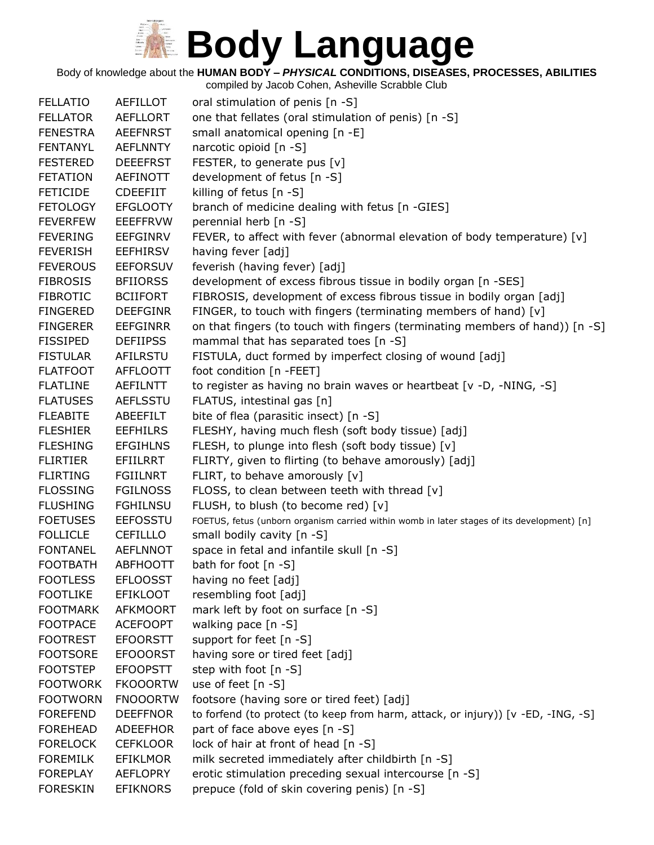Body of knowledge about the **HUMAN BODY –** *PHYSICAL* **CONDITIONS, DISEASES, PROCESSES, ABILITIES**

| <b>FELLATIO</b> | AEFILLOT        | oral stimulation of penis [n -S]                                                           |
|-----------------|-----------------|--------------------------------------------------------------------------------------------|
| <b>FELLATOR</b> | <b>AEFLLORT</b> | one that fellates (oral stimulation of penis) [n -S]                                       |
| <b>FENESTRA</b> | <b>AEEFNRST</b> | small anatomical opening [n -E]                                                            |
| <b>FENTANYL</b> | <b>AEFLNNTY</b> | narcotic opioid [n -S]                                                                     |
| <b>FESTERED</b> | <b>DEEEFRST</b> | FESTER, to generate pus [v]                                                                |
| <b>FETATION</b> | <b>AEFINOTT</b> | development of fetus [n -S]                                                                |
| <b>FETICIDE</b> | <b>CDEEFIIT</b> | killing of fetus [n -S]                                                                    |
| <b>FETOLOGY</b> | <b>EFGLOOTY</b> | branch of medicine dealing with fetus [n -GIES]                                            |
| <b>FEVERFEW</b> | <b>EEEFFRVW</b> | perennial herb [n -S]                                                                      |
| <b>FEVERING</b> | <b>EEFGINRV</b> | FEVER, to affect with fever (abnormal elevation of body temperature) [v]                   |
| <b>FEVERISH</b> | <b>EEFHIRSV</b> | having fever [adj]                                                                         |
| <b>FEVEROUS</b> | <b>EEFORSUV</b> | feverish (having fever) [adj]                                                              |
| <b>FIBROSIS</b> | <b>BFIIORSS</b> | development of excess fibrous tissue in bodily organ [n -SES]                              |
| <b>FIBROTIC</b> | <b>BCIIFORT</b> | FIBROSIS, development of excess fibrous tissue in bodily organ [adj]                       |
| <b>FINGERED</b> | <b>DEEFGINR</b> | FINGER, to touch with fingers (terminating members of hand) [v]                            |
| <b>FINGERER</b> | <b>EEFGINRR</b> | on that fingers (to touch with fingers (terminating members of hand)) [n -S]               |
| <b>FISSIPED</b> | <b>DEFIIPSS</b> | mammal that has separated toes [n -S]                                                      |
| <b>FISTULAR</b> | AFILRSTU        | FISTULA, duct formed by imperfect closing of wound [adj]                                   |
| <b>FLATFOOT</b> | <b>AFFLOOTT</b> | foot condition [n -FEET]                                                                   |
| <b>FLATLINE</b> | <b>AEFILNTT</b> | to register as having no brain waves or heartbeat [v -D, -NING, -S]                        |
| <b>FLATUSES</b> | <b>AEFLSSTU</b> | FLATUS, intestinal gas [n]                                                                 |
| <b>FLEABITE</b> | ABEEFILT        | bite of flea (parasitic insect) [n -S]                                                     |
| <b>FLESHIER</b> | <b>EEFHILRS</b> | FLESHY, having much flesh (soft body tissue) [adj]                                         |
| <b>FLESHING</b> | <b>EFGIHLNS</b> | FLESH, to plunge into flesh (soft body tissue) [v]                                         |
| <b>FLIRTIER</b> | EFIILRRT        | FLIRTY, given to flirting (to behave amorously) [adj]                                      |
| <b>FLIRTING</b> | <b>FGIILNRT</b> | FLIRT, to behave amorously [v]                                                             |
| <b>FLOSSING</b> | <b>FGILNOSS</b> | FLOSS, to clean between teeth with thread [v]                                              |
| <b>FLUSHING</b> | <b>FGHILNSU</b> | FLUSH, to blush (to become red) [v]                                                        |
| <b>FOETUSES</b> | <b>EEFOSSTU</b> | FOETUS, fetus (unborn organism carried within womb in later stages of its development) [n] |
| <b>FOLLICLE</b> | <b>CEFILLLO</b> | small bodily cavity [n -S]                                                                 |
| <b>FONTANEL</b> | <b>AEFLNNOT</b> | space in fetal and infantile skull [n -S]                                                  |
| <b>FOOTBATH</b> | <b>ABFHOOTT</b> | bath for foot [n -S]                                                                       |
| <b>FOOTLESS</b> | <b>EFLOOSST</b> | having no feet [adj]                                                                       |
| <b>FOOTLIKE</b> | <b>EFIKLOOT</b> | resembling foot [adj]                                                                      |
| <b>FOOTMARK</b> | <b>AFKMOORT</b> | mark left by foot on surface [n -S]                                                        |
| <b>FOOTPACE</b> | <b>ACEFOOPT</b> | walking pace [n -S]                                                                        |
| <b>FOOTREST</b> | <b>EFOORSTT</b> | support for feet [n -S]                                                                    |
| <b>FOOTSORE</b> | <b>EFOOORST</b> | having sore or tired feet [adj]                                                            |
| <b>FOOTSTEP</b> | <b>EFOOPSTT</b> | step with foot [n -S]                                                                      |
| <b>FOOTWORK</b> | <b>FKOOORTW</b> | use of feet [n -S]                                                                         |
| <b>FOOTWORN</b> | <b>FNOOORTW</b> | footsore (having sore or tired feet) [adj]                                                 |
| <b>FOREFEND</b> | <b>DEEFFNOR</b> | to forfend (to protect (to keep from harm, attack, or injury)) [v -ED, -ING, -S]           |
| <b>FOREHEAD</b> | ADEEFHOR        | part of face above eyes [n -S]                                                             |
| <b>FORELOCK</b> | <b>CEFKLOOR</b> | lock of hair at front of head [n -S]                                                       |
| <b>FOREMILK</b> | <b>EFIKLMOR</b> | milk secreted immediately after childbirth [n -S]                                          |
| <b>FOREPLAY</b> | <b>AEFLOPRY</b> | erotic stimulation preceding sexual intercourse [n -S]                                     |
| <b>FORESKIN</b> | <b>EFIKNORS</b> | prepuce (fold of skin covering penis) [n -S]                                               |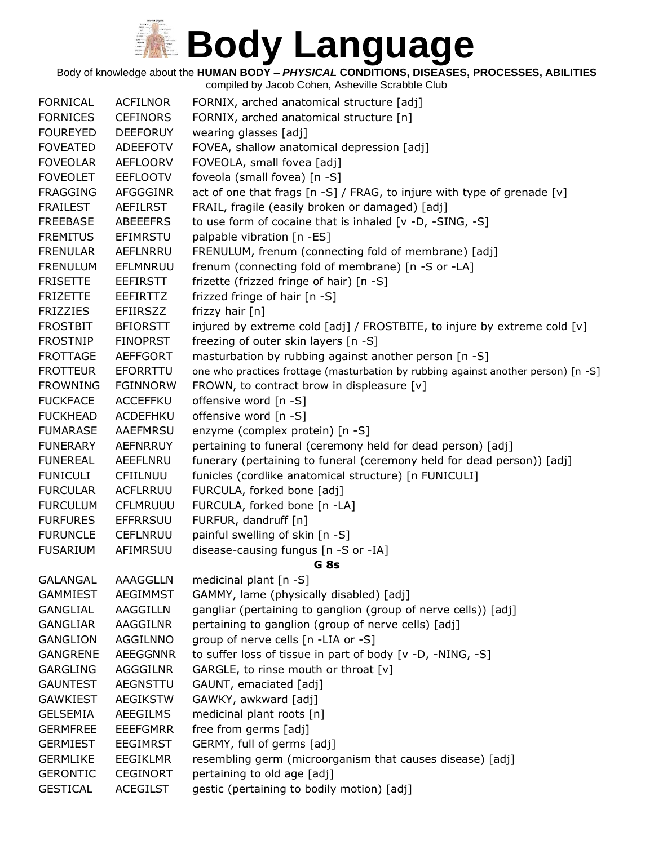Body of knowledge about the **HUMAN BODY –** *PHYSICAL* **CONDITIONS, DISEASES, PROCESSES, ABILITIES**

| <b>FORNICAL</b> | <b>ACFILNOR</b> | FORNIX, arched anatomical structure [adj]                                          |
|-----------------|-----------------|------------------------------------------------------------------------------------|
| <b>FORNICES</b> | <b>CEFINORS</b> | FORNIX, arched anatomical structure [n]                                            |
| <b>FOUREYED</b> | <b>DEEFORUY</b> | wearing glasses [adj]                                                              |
| <b>FOVEATED</b> | <b>ADEEFOTV</b> | FOVEA, shallow anatomical depression [adj]                                         |
| <b>FOVEOLAR</b> | <b>AEFLOORV</b> | FOVEOLA, small fovea [adj]                                                         |
| <b>FOVEOLET</b> | <b>EEFLOOTV</b> | foveola (small fovea) [n -S]                                                       |
| <b>FRAGGING</b> | <b>AFGGGINR</b> | act of one that frags [n -S] / FRAG, to injure with type of grenade [v]            |
| <b>FRAILEST</b> | <b>AEFILRST</b> | FRAIL, fragile (easily broken or damaged) [adj]                                    |
| <b>FREEBASE</b> | <b>ABEEEFRS</b> | to use form of cocaine that is inhaled $[v -D, -SING, -S]$                         |
| <b>FREMITUS</b> | EFIMRSTU        | palpable vibration [n -ES]                                                         |
| <b>FRENULAR</b> | AEFLNRRU        | FRENULUM, frenum (connecting fold of membrane) [adj]                               |
| <b>FRENULUM</b> | EFLMNRUU        | frenum (connecting fold of membrane) [n -S or -LA]                                 |
| <b>FRISETTE</b> | <b>EEFIRSTT</b> | frizette (frizzed fringe of hair) [n -S]                                           |
| <b>FRIZETTE</b> | <b>EEFIRTTZ</b> | frizzed fringe of hair [n -S]                                                      |
| <b>FRIZZIES</b> | <b>EFIIRSZZ</b> | frizzy hair [n]                                                                    |
| <b>FROSTBIT</b> | <b>BFIORSTT</b> | injured by extreme cold [adj] / FROSTBITE, to injure by extreme cold [v]           |
| <b>FROSTNIP</b> | <b>FINOPRST</b> | freezing of outer skin layers [n -S]                                               |
| <b>FROTTAGE</b> | <b>AEFFGORT</b> | masturbation by rubbing against another person [n -S]                              |
| <b>FROTTEUR</b> | EFORRTTU        | one who practices frottage (masturbation by rubbing against another person) [n -S] |
| <b>FROWNING</b> | <b>FGINNORW</b> | FROWN, to contract brow in displeasure [v]                                         |
| <b>FUCKFACE</b> | <b>ACCEFFKU</b> | offensive word [n -S]                                                              |
| <b>FUCKHEAD</b> | ACDEFHKU        | offensive word [n -S]                                                              |
| <b>FUMARASE</b> | AAEFMRSU        | enzyme (complex protein) [n -S]                                                    |
| <b>FUNERARY</b> | <b>AEFNRRUY</b> | pertaining to funeral (ceremony held for dead person) [adj]                        |
| <b>FUNEREAL</b> | AEEFLNRU        | funerary (pertaining to funeral (ceremony held for dead person)) [adj]             |
| <b>FUNICULI</b> | CFIILNUU        | funicles (cordlike anatomical structure) [n FUNICULI]                              |
| <b>FURCULAR</b> | <b>ACFLRRUU</b> | FURCULA, forked bone [adj]                                                         |
| <b>FURCULUM</b> | <b>CFLMRUUU</b> | FURCULA, forked bone [n -LA]                                                       |
| <b>FURFURES</b> | <b>EFFRRSUU</b> | FURFUR, dandruff [n]                                                               |
| <b>FURUNCLE</b> | <b>CEFLNRUU</b> | painful swelling of skin [n -S]                                                    |
| <b>FUSARIUM</b> | AFIMRSUU        | disease-causing fungus [n -S or -IA]                                               |
|                 |                 | G <sub>8s</sub>                                                                    |
| <b>GALANGAL</b> | AAAGGLLN        | medicinal plant [n -S]                                                             |
| <b>GAMMIEST</b> | <b>AEGIMMST</b> | GAMMY, lame (physically disabled) [adj]                                            |
| <b>GANGLIAL</b> | AAGGILLN        | gangliar (pertaining to ganglion (group of nerve cells)) [adj]                     |
| <b>GANGLIAR</b> | AAGGILNR        | pertaining to ganglion (group of nerve cells) [adj]                                |
| <b>GANGLION</b> | AGGILNNO        | group of nerve cells [n -LIA or -S]                                                |
| <b>GANGRENE</b> | <b>AEEGGNNR</b> | to suffer loss of tissue in part of body [v -D, -NING, -S]                         |
| <b>GARGLING</b> | AGGGILNR        | GARGLE, to rinse mouth or throat [v]                                               |
| <b>GAUNTEST</b> | AEGNSTTU        | GAUNT, emaciated [adj]                                                             |
| <b>GAWKIEST</b> | <b>AEGIKSTW</b> | GAWKY, awkward [adj]                                                               |
| <b>GELSEMIA</b> | <b>AEEGILMS</b> | medicinal plant roots [n]                                                          |
| <b>GERMFREE</b> | <b>EEEFGMRR</b> | free from germs [adj]                                                              |
| <b>GERMIEST</b> | <b>EEGIMRST</b> | GERMY, full of germs [adj]                                                         |
| <b>GERMLIKE</b> | <b>EEGIKLMR</b> | resembling germ (microorganism that causes disease) [adj]                          |
| <b>GERONTIC</b> | <b>CEGINORT</b> | pertaining to old age [adj]                                                        |
| <b>GESTICAL</b> | <b>ACEGILST</b> | gestic (pertaining to bodily motion) [adj]                                         |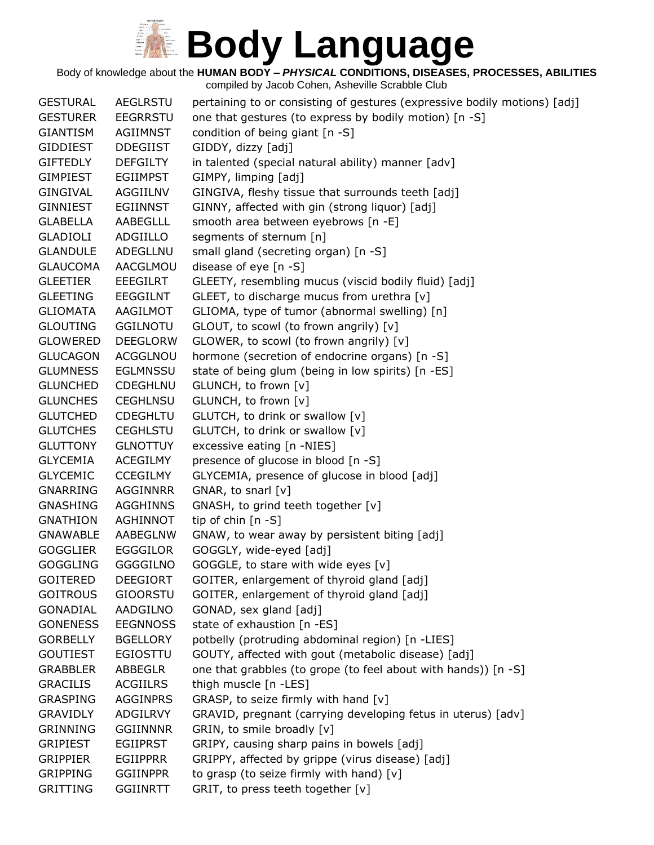Body of knowledge about the **HUMAN BODY –** *PHYSICAL* **CONDITIONS, DISEASES, PROCESSES, ABILITIES**

| <b>GESTURAL</b> | <b>AEGLRSTU</b> | pertaining to or consisting of gestures (expressive bodily motions) [adj] |
|-----------------|-----------------|---------------------------------------------------------------------------|
| <b>GESTURER</b> | <b>EEGRRSTU</b> | one that gestures (to express by bodily motion) [n -S]                    |
| GIANTISM        | AGIIMNST        | condition of being giant [n -S]                                           |
| <b>GIDDIEST</b> | <b>DDEGIIST</b> | GIDDY, dizzy [adj]                                                        |
| <b>GIFTEDLY</b> | <b>DEFGILTY</b> | in talented (special natural ability) manner [adv]                        |
| <b>GIMPIEST</b> | <b>EGIIMPST</b> | GIMPY, limping [adj]                                                      |
| GINGIVAL        | AGGIILNV        | GINGIVA, fleshy tissue that surrounds teeth [adj]                         |
| GINNIEST        | <b>EGIINNST</b> | GINNY, affected with gin (strong liquor) [adj]                            |
| GLABELLA        | AABEGLLL        | smooth area between eyebrows [n -E]                                       |
| <b>GLADIOLI</b> | ADGIILLO        | segments of sternum [n]                                                   |
| <b>GLANDULE</b> | ADEGLLNU        | small gland (secreting organ) [n -S]                                      |
| <b>GLAUCOMA</b> | AACGLMOU        | disease of eye [n -S]                                                     |
| <b>GLEETIER</b> | <b>EEEGILRT</b> | GLEETY, resembling mucus (viscid bodily fluid) [adj]                      |
| <b>GLEETING</b> | EEGGILNT        | GLEET, to discharge mucus from urethra [v]                                |
| <b>GLIOMATA</b> | AAGILMOT        | GLIOMA, type of tumor (abnormal swelling) [n]                             |
| <b>GLOUTING</b> | <b>GGILNOTU</b> | GLOUT, to scowl (to frown angrily) [v]                                    |
| <b>GLOWERED</b> | <b>DEEGLORW</b> | GLOWER, to scowl (to frown angrily) [v]                                   |
| <b>GLUCAGON</b> | <b>ACGGLNOU</b> | hormone (secretion of endocrine organs) [n -S]                            |
| <b>GLUMNESS</b> | <b>EGLMNSSU</b> | state of being glum (being in low spirits) [n -ES]                        |
| <b>GLUNCHED</b> | <b>CDEGHLNU</b> | GLUNCH, to frown [v]                                                      |
| <b>GLUNCHES</b> | <b>CEGHLNSU</b> | GLUNCH, to frown [v]                                                      |
| <b>GLUTCHED</b> | <b>CDEGHLTU</b> | GLUTCH, to drink or swallow [v]                                           |
| <b>GLUTCHES</b> | <b>CEGHLSTU</b> | GLUTCH, to drink or swallow [v]                                           |
| <b>GLUTTONY</b> | <b>GLNOTTUY</b> | excessive eating [n -NIES]                                                |
| <b>GLYCEMIA</b> | ACEGILMY        | presence of glucose in blood [n -S]                                       |
| <b>GLYCEMIC</b> | <b>CCEGILMY</b> | GLYCEMIA, presence of glucose in blood [adj]                              |
| <b>GNARRING</b> | <b>AGGINNRR</b> | GNAR, to snarl [v]                                                        |
| <b>GNASHING</b> | <b>AGGHINNS</b> | GNASH, to grind teeth together [v]                                        |
| <b>GNATHION</b> | AGHINNOT        | tip of chin $[n - S]$                                                     |
| <b>GNAWABLE</b> | AABEGLNW        | GNAW, to wear away by persistent biting [adj]                             |
| <b>GOGGLIER</b> | <b>EGGGILOR</b> | GOGGLY, wide-eyed [adj]                                                   |
| <b>GOGGLING</b> | <b>GGGGILNO</b> | GOGGLE, to stare with wide eyes [v]                                       |
| <b>GOITERED</b> | <b>DEEGIORT</b> | GOITER, enlargement of thyroid gland [adj]                                |
| <b>GOITROUS</b> | <b>GIOORSTU</b> | GOITER, enlargement of thyroid gland [adj]                                |
| <b>GONADIAL</b> | AADGILNO        | GONAD, sex gland [adj]                                                    |
| <b>GONENESS</b> | <b>EEGNNOSS</b> | state of exhaustion [n -ES]                                               |
| <b>GORBELLY</b> | <b>BGELLORY</b> | potbelly (protruding abdominal region) [n -LIES]                          |
| <b>GOUTIEST</b> | <b>EGIOSTTU</b> | GOUTY, affected with gout (metabolic disease) [adj]                       |
| <b>GRABBLER</b> | ABBEGLR         | one that grabbles (to grope (to feel about with hands)) [n -S]            |
| <b>GRACILIS</b> | <b>ACGIILRS</b> | thigh muscle [n -LES]                                                     |
| <b>GRASPING</b> | <b>AGGINPRS</b> | GRASP, to seize firmly with hand [v]                                      |
| <b>GRAVIDLY</b> | ADGILRVY        | GRAVID, pregnant (carrying developing fetus in uterus) [adv]              |
| <b>GRINNING</b> | <b>GGIINNNR</b> | GRIN, to smile broadly [v]                                                |
| <b>GRIPIEST</b> | <b>EGIIPRST</b> | GRIPY, causing sharp pains in bowels [adj]                                |
| <b>GRIPPIER</b> | <b>EGIIPPRR</b> | GRIPPY, affected by grippe (virus disease) [adj]                          |
| <b>GRIPPING</b> | <b>GGIINPPR</b> | to grasp (to seize firmly with hand) $[v]$                                |
| <b>GRITTING</b> | <b>GGIINRTT</b> | GRIT, to press teeth together [v]                                         |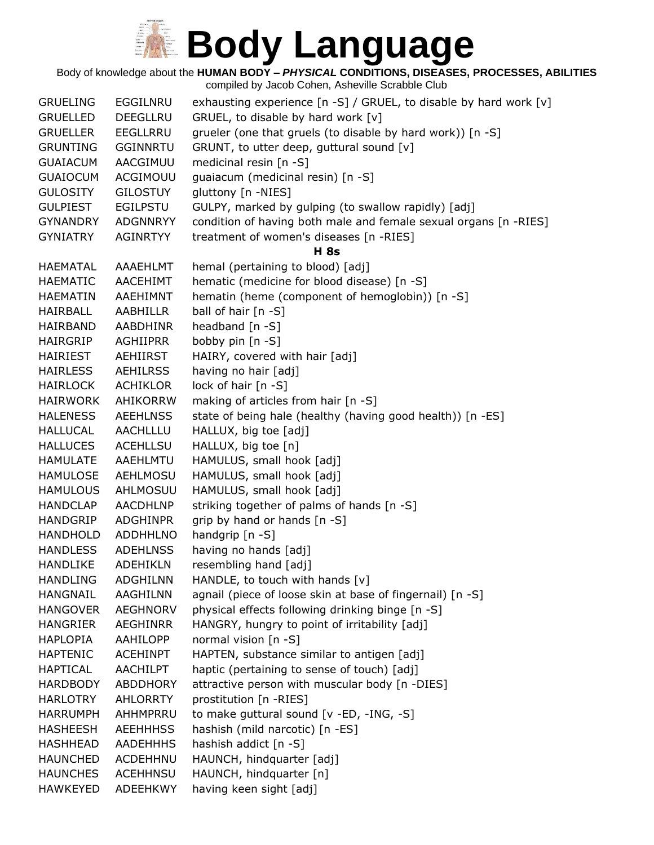Body of knowledge about the **HUMAN BODY –** *PHYSICAL* **CONDITIONS, DISEASES, PROCESSES, ABILITIES**

| <b>GRUELING</b> | <b>EGGILNRU</b> | exhausting experience [n -S] / GRUEL, to disable by hard work [v] |
|-----------------|-----------------|-------------------------------------------------------------------|
| <b>GRUELLED</b> | <b>DEEGLLRU</b> | GRUEL, to disable by hard work [v]                                |
| <b>GRUELLER</b> | EEGLLRRU        | grueler (one that gruels (to disable by hard work)) [n -S]        |
| <b>GRUNTING</b> | <b>GGINNRTU</b> | GRUNT, to utter deep, guttural sound [v]                          |
| <b>GUAIACUM</b> | AACGIMUU        | medicinal resin [n -S]                                            |
| <b>GUAIOCUM</b> | ACGIMOUU        | guaiacum (medicinal resin) [n -S]                                 |
| <b>GULOSITY</b> | <b>GILOSTUY</b> | gluttony [n -NIES]                                                |
| <b>GULPIEST</b> | <b>EGILPSTU</b> | GULPY, marked by gulping (to swallow rapidly) [adj]               |
| <b>GYNANDRY</b> | ADGNNRYY        | condition of having both male and female sexual organs [n -RIES]  |
| <b>GYNIATRY</b> | AGINRTYY        | treatment of women's diseases [n -RIES]                           |
|                 |                 | <b>H</b> 8s                                                       |
| <b>HAEMATAL</b> | AAAEHLMT        | hemal (pertaining to blood) [adj]                                 |
| <b>HAEMATIC</b> | AACEHIMT        | hematic (medicine for blood disease) [n -S]                       |
| <b>HAEMATIN</b> | AAEHIMNT        | hematin (heme (component of hemoglobin)) [n -S]                   |
| HAIRBALL        | AABHILLR        | ball of hair [n -S]                                               |
| HAIRBAND        | <b>AABDHINR</b> | headband [n -S]                                                   |
| HAIRGRIP        | <b>AGHIIPRR</b> | bobby pin [n -S]                                                  |
| HAIRIEST        | AEHIIRST        | HAIRY, covered with hair [adj]                                    |
| <b>HAIRLESS</b> | <b>AEHILRSS</b> | having no hair [adj]                                              |
| <b>HAIRLOCK</b> | ACHIKLOR        | lock of hair [n -S]                                               |
| <b>HAIRWORK</b> | AHIKORRW        | making of articles from hair [n -S]                               |
| <b>HALENESS</b> | <b>AEEHLNSS</b> | state of being hale (healthy (having good health)) [n -ES]        |
| <b>HALLUCAL</b> | AACHLLLU        | HALLUX, big toe [adj]                                             |
| <b>HALLUCES</b> | <b>ACEHLLSU</b> | HALLUX, big toe [n]                                               |
| <b>HAMULATE</b> | AAEHLMTU        | HAMULUS, small hook [adj]                                         |
| <b>HAMULOSE</b> | AEHLMOSU        | HAMULUS, small hook [adj]                                         |
| <b>HAMULOUS</b> | AHLMOSUU        | HAMULUS, small hook [adj]                                         |
| <b>HANDCLAP</b> | <b>AACDHLNP</b> | striking together of palms of hands [n -S]                        |
| <b>HANDGRIP</b> | <b>ADGHINPR</b> | grip by hand or hands [n -S]                                      |
| <b>HANDHOLD</b> | <b>ADDHHLNO</b> | handgrip [n -S]                                                   |
| <b>HANDLESS</b> | <b>ADEHLNSS</b> | having no hands [adj]                                             |
| <b>HANDLIKE</b> | ADEHIKLN        | resembling hand [adj]                                             |
| <b>HANDLING</b> | <b>ADGHILNN</b> | HANDLE, to touch with hands [v]                                   |
| <b>HANGNAIL</b> | AAGHILNN        | agnail (piece of loose skin at base of fingernail) [n -S]         |
| <b>HANGOVER</b> | <b>AEGHNORV</b> | physical effects following drinking binge [n -S]                  |
| <b>HANGRIER</b> | AEGHINRR        | HANGRY, hungry to point of irritability [adj]                     |
| <b>HAPLOPIA</b> | AAHILOPP        | normal vision $[n - S]$                                           |
| <b>HAPTENIC</b> | <b>ACEHINPT</b> | HAPTEN, substance similar to antigen [adj]                        |
| <b>HAPTICAL</b> | <b>AACHILPT</b> | haptic (pertaining to sense of touch) [adj]                       |
| <b>HARDBODY</b> | ABDDHORY        | attractive person with muscular body [n -DIES]                    |
| <b>HARLOTRY</b> | AHLORRTY        | prostitution [n -RIES]                                            |
| <b>HARRUMPH</b> | AHHMPRRU        | to make guttural sound [v -ED, -ING, -S]                          |
| <b>HASHEESH</b> | <b>AEEHHHSS</b> | hashish (mild narcotic) [n -ES]                                   |
| <b>HASHHEAD</b> | <b>AADEHHHS</b> | hashish addict [n -S]                                             |
| <b>HAUNCHED</b> | <b>ACDEHHNU</b> | HAUNCH, hindquarter [adj]                                         |
| <b>HAUNCHES</b> | <b>ACEHHNSU</b> | HAUNCH, hindquarter [n]                                           |
| <b>HAWKEYED</b> | ADEEHKWY        | having keen sight [adj]                                           |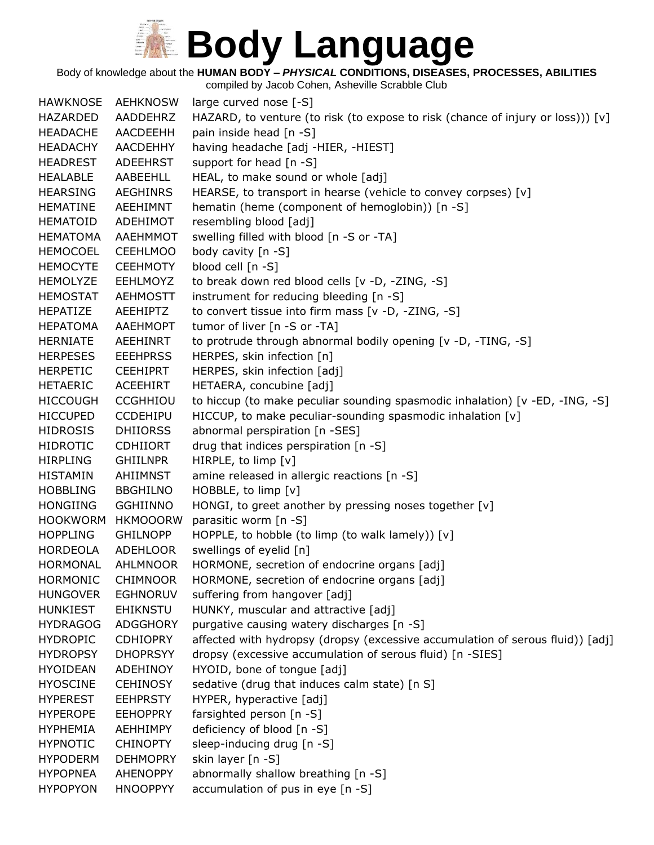Body of knowledge about the **HUMAN BODY –** *PHYSICAL* **CONDITIONS, DISEASES, PROCESSES, ABILITIES**

| <b>HAWKNOSE</b> | <b>AEHKNOSW</b> | large curved nose [-S]                                                            |
|-----------------|-----------------|-----------------------------------------------------------------------------------|
| HAZARDED        | AADDEHRZ        | HAZARD, to venture (to risk (to expose to risk (chance of injury or loss))) $[v]$ |
| <b>HEADACHE</b> | AACDEEHH        | pain inside head [n -S]                                                           |
| <b>HEADACHY</b> | <b>AACDEHHY</b> | having headache [adj -HIER, -HIEST]                                               |
| <b>HEADREST</b> | <b>ADEEHRST</b> | support for head [n -S]                                                           |
| <b>HEALABLE</b> | AABEEHLL        | HEAL, to make sound or whole [adj]                                                |
| <b>HEARSING</b> | <b>AEGHINRS</b> | HEARSE, to transport in hearse (vehicle to convey corpses) [v]                    |
| <b>HEMATINE</b> | AEEHIMNT        | hematin (heme (component of hemoglobin)) [n -S]                                   |
| HEMATOID        | ADEHIMOT        | resembling blood [adj]                                                            |
| <b>HEMATOMA</b> | AAEHMMOT        | swelling filled with blood [n -S or -TA]                                          |
| <b>HEMOCOEL</b> | <b>CEEHLMOO</b> | body cavity [n -S]                                                                |
| <b>HEMOCYTE</b> | <b>CEEHMOTY</b> | blood cell [n -S]                                                                 |
| <b>HEMOLYZE</b> | <b>EEHLMOYZ</b> | to break down red blood cells [v -D, -ZING, -S]                                   |
| <b>HEMOSTAT</b> | <b>AEHMOSTT</b> | instrument for reducing bleeding [n -S]                                           |
| HEPATIZE        | AEEHIPTZ        | to convert tissue into firm mass [v -D, -ZING, -S]                                |
| <b>HEPATOMA</b> | <b>AAEHMOPT</b> | tumor of liver [n -S or -TA]                                                      |
| <b>HERNIATE</b> | <b>AEEHINRT</b> | to protrude through abnormal bodily opening [v -D, -TING, -S]                     |
| <b>HERPESES</b> | <b>EEEHPRSS</b> | HERPES, skin infection [n]                                                        |
| <b>HERPETIC</b> | <b>CEEHIPRT</b> | HERPES, skin infection [adj]                                                      |
| <b>HETAERIC</b> | ACEEHIRT        | HETAERA, concubine [adj]                                                          |
| <b>HICCOUGH</b> | <b>CCGHHIOU</b> | to hiccup (to make peculiar sounding spasmodic inhalation) [v -ED, -ING, -S]      |
| <b>HICCUPED</b> | CCDEHIPU        | HICCUP, to make peculiar-sounding spasmodic inhalation [v]                        |
| <b>HIDROSIS</b> | <b>DHIIORSS</b> | abnormal perspiration [n -SES]                                                    |
| <b>HIDROTIC</b> | <b>CDHIIORT</b> | drug that indices perspiration [n -S]                                             |
| <b>HIRPLING</b> | <b>GHIILNPR</b> | HIRPLE, to limp [v]                                                               |
| <b>HISTAMIN</b> | AHIIMNST        | amine released in allergic reactions [n -S]                                       |
| <b>HOBBLING</b> | <b>BBGHILNO</b> | HOBBLE, to limp [v]                                                               |
| <b>HONGIING</b> | <b>GGHIINNO</b> | HONGI, to greet another by pressing noses together [v]                            |
| <b>HOOKWORM</b> | <b>HKMOOORW</b> | parasitic worm [n -S]                                                             |
| <b>HOPPLING</b> | <b>GHILNOPP</b> | HOPPLE, to hobble (to limp (to walk lamely)) [v]                                  |
| HORDEOLA        | <b>ADEHLOOR</b> | swellings of eyelid [n]                                                           |
| <b>HORMONAL</b> | <b>AHLMNOOR</b> | HORMONE, secretion of endocrine organs [adj]                                      |
| <b>HORMONIC</b> | <b>CHIMNOOR</b> | HORMONE, secretion of endocrine organs [adj]                                      |
| <b>HUNGOVER</b> | <b>EGHNORUV</b> | suffering from hangover [adj]                                                     |
| <b>HUNKIEST</b> | <b>EHIKNSTU</b> | HUNKY, muscular and attractive [adj]                                              |
| <b>HYDRAGOG</b> | ADGGHORY        | purgative causing watery discharges [n -S]                                        |
| <b>HYDROPIC</b> | <b>CDHIOPRY</b> | affected with hydropsy (dropsy (excessive accumulation of serous fluid)) [adj]    |
| <b>HYDROPSY</b> | <b>DHOPRSYY</b> | dropsy (excessive accumulation of serous fluid) [n -SIES]                         |
| <b>HYOIDEAN</b> | ADEHINOY        | HYOID, bone of tongue [adj]                                                       |
| <b>HYOSCINE</b> | <b>CEHINOSY</b> | sedative (drug that induces calm state) [n S]                                     |
| <b>HYPEREST</b> | <b>EEHPRSTY</b> | HYPER, hyperactive [adj]                                                          |
| <b>HYPEROPE</b> | <b>EEHOPPRY</b> | farsighted person [n -S]                                                          |
| <b>HYPHEMIA</b> | <b>AEHHIMPY</b> | deficiency of blood [n -S]                                                        |
| <b>HYPNOTIC</b> | <b>CHINOPTY</b> | sleep-inducing drug [n -S]                                                        |
| <b>HYPODERM</b> | <b>DEHMOPRY</b> | skin layer [n -S]                                                                 |
| <b>HYPOPNEA</b> | <b>AHENOPPY</b> | abnormally shallow breathing [n -S]                                               |
| <b>HYPOPYON</b> | <b>HNOOPPYY</b> | accumulation of pus in eye [n -S]                                                 |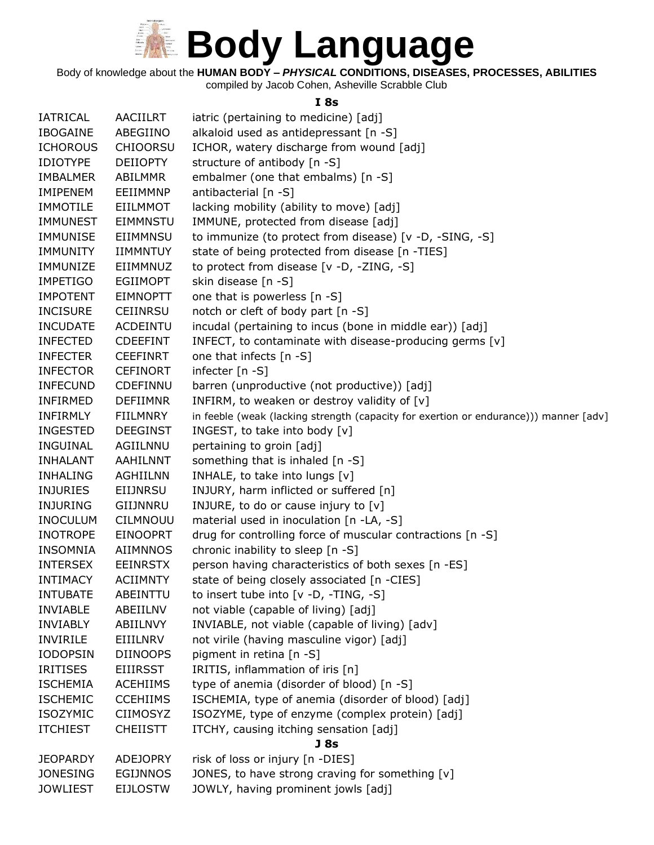

Body of knowledge about the **HUMAN BODY –** *PHYSICAL* **CONDITIONS, DISEASES, PROCESSES, ABILITIES**

compiled by Jacob Cohen, Asheville Scrabble Club

#### **I 8s**

| <b>IATRICAL</b> | <b>AACIILRT</b> | iatric (pertaining to medicine) [adj]                                                 |
|-----------------|-----------------|---------------------------------------------------------------------------------------|
| <b>IBOGAINE</b> | ABEGIINO        | alkaloid used as antidepressant [n -S]                                                |
| <b>ICHOROUS</b> | <b>CHIOORSU</b> | ICHOR, watery discharge from wound [adj]                                              |
| <b>IDIOTYPE</b> | <b>DEIIOPTY</b> | structure of antibody [n -S]                                                          |
| <b>IMBALMER</b> | ABILMMR         | embalmer (one that embalms) [n -S]                                                    |
| <b>IMIPENEM</b> | EEIIMMNP        | antibacterial [n -S]                                                                  |
| <b>IMMOTILE</b> | <b>EIILMMOT</b> | lacking mobility (ability to move) [adj]                                              |
| <b>IMMUNEST</b> | <b>EIMMNSTU</b> | IMMUNE, protected from disease [adj]                                                  |
| <b>IMMUNISE</b> | EIIMMNSU        | to immunize (to protect from disease) [v -D, -SING, -S]                               |
| <b>IMMUNITY</b> | <b>IIMMNTUY</b> | state of being protected from disease [n -TIES]                                       |
| IMMUNIZE        | EIIMMNUZ        | to protect from disease [v -D, -ZING, -S]                                             |
| <b>IMPETIGO</b> | <b>EGIIMOPT</b> | skin disease [n -S]                                                                   |
| <b>IMPOTENT</b> | <b>EIMNOPTT</b> | one that is powerless [n -S]                                                          |
| <b>INCISURE</b> | <b>CEIINRSU</b> | notch or cleft of body part [n -S]                                                    |
| <b>INCUDATE</b> | <b>ACDEINTU</b> | incudal (pertaining to incus (bone in middle ear)) [adj]                              |
| <b>INFECTED</b> | <b>CDEEFINT</b> | INFECT, to contaminate with disease-producing germs [v]                               |
| <b>INFECTER</b> | <b>CEEFINRT</b> | one that infects [n -S]                                                               |
| <b>INFECTOR</b> | <b>CEFINORT</b> | infecter [n -S]                                                                       |
| <b>INFECUND</b> | CDEFINNU        | barren (unproductive (not productive)) [adj]                                          |
| INFIRMED        | <b>DEFIIMNR</b> | INFIRM, to weaken or destroy validity of [v]                                          |
| <b>INFIRMLY</b> | <b>FIILMNRY</b> | in feeble (weak (lacking strength (capacity for exertion or endurance))) manner [adv] |
| <b>INGESTED</b> | <b>DEEGINST</b> | INGEST, to take into body [v]                                                         |
| <b>INGUINAL</b> | AGIILNNU        | pertaining to groin [adj]                                                             |
| <b>INHALANT</b> | AAHILNNT        | something that is inhaled [n -S]                                                      |
| <b>INHALING</b> | <b>AGHIILNN</b> | INHALE, to take into lungs [v]                                                        |
| <b>INJURIES</b> | EIIJNRSU        | INJURY, harm inflicted or suffered [n]                                                |
| <b>INJURING</b> | GIIJNNRU        | INJURE, to do or cause injury to [v]                                                  |
| <b>INOCULUM</b> | <b>CILMNOUU</b> | material used in inoculation [n -LA, -S]                                              |
| <b>INOTROPE</b> | <b>EINOOPRT</b> | drug for controlling force of muscular contractions [n -S]                            |
| <b>INSOMNIA</b> | AIIMNNOS        | chronic inability to sleep [n -S]                                                     |
| <b>INTERSEX</b> | <b>EEINRSTX</b> | person having characteristics of both sexes [n -ES]                                   |
| <b>INTIMACY</b> | <b>ACIIMNTY</b> | state of being closely associated [n -CIES]                                           |
| <b>INTUBATE</b> | ABEINTTU        | to insert tube into $[v -D, -TING, -S]$                                               |
| <b>INVIABLE</b> | ABEIILNV        | not viable (capable of living) [adj]                                                  |
| <b>INVIABLY</b> | ABIILNVY        | INVIABLE, not viable (capable of living) [adv]                                        |
| <b>INVIRILE</b> | EIIILNRV        | not virile (having masculine vigor) [adj]                                             |
| <b>IODOPSIN</b> | <b>DIINOOPS</b> | pigment in retina [n -S]                                                              |
| <b>IRITISES</b> | <b>EIIIRSST</b> | IRITIS, inflammation of iris [n]                                                      |
| <b>ISCHEMIA</b> | <b>ACEHIIMS</b> | type of anemia (disorder of blood) [n -S]                                             |
| <b>ISCHEMIC</b> | <b>CCEHIIMS</b> | ISCHEMIA, type of anemia (disorder of blood) [adj]                                    |
| <b>ISOZYMIC</b> | <b>CIIMOSYZ</b> | ISOZYME, type of enzyme (complex protein) [adj]                                       |
| <b>ITCHIEST</b> | <b>CHEIISTT</b> | ITCHY, causing itching sensation [adj]                                                |
|                 |                 | J <sub>8s</sub>                                                                       |
| <b>JEOPARDY</b> | <b>ADEJOPRY</b> | risk of loss or injury [n -DIES]                                                      |
| <b>JONESING</b> | <b>EGIJNNOS</b> | JONES, to have strong craving for something [v]                                       |
| <b>JOWLIEST</b> | <b>EIJLOSTW</b> | JOWLY, having prominent jowls [adj]                                                   |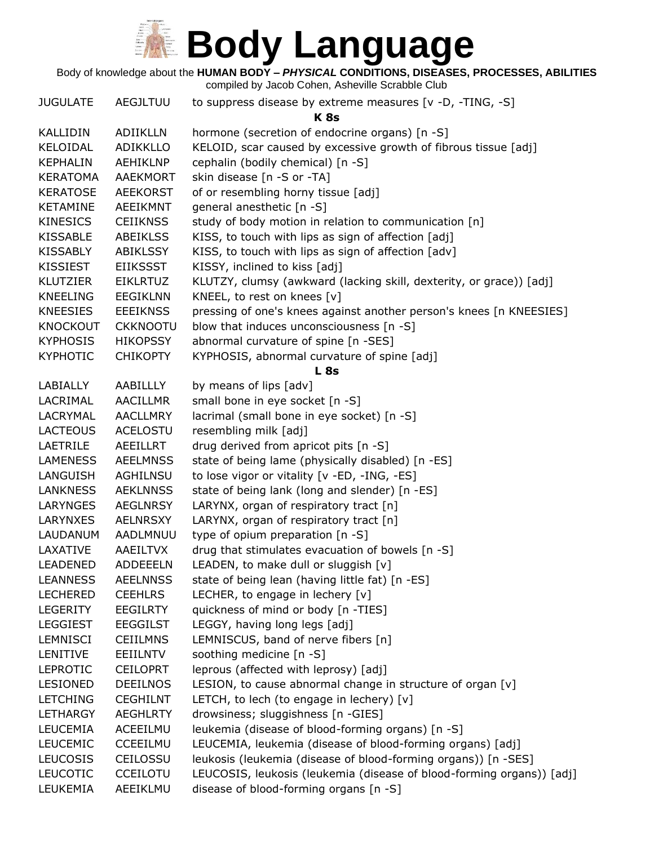Body of knowledge about the **HUMAN BODY –** *PHYSICAL* **CONDITIONS, DISEASES, PROCESSES, ABILITIES**

| <b>JUGULATE</b> | <b>AEGJLTUU</b> | to suppress disease by extreme measures [v -D, -TING, -S]             |
|-----------------|-----------------|-----------------------------------------------------------------------|
|                 |                 | <b>K</b> 8s                                                           |
| KALLIDIN        | ADIIKLLN        | hormone (secretion of endocrine organs) [n -S]                        |
| KELOIDAL        | <b>ADIKKLLO</b> | KELOID, scar caused by excessive growth of fibrous tissue [adj]       |
| <b>KEPHALIN</b> | AEHIKLNP        | cephalin (bodily chemical) [n -S]                                     |
| <b>KERATOMA</b> | <b>AAEKMORT</b> | skin disease [n -S or -TA]                                            |
| <b>KERATOSE</b> | <b>AEEKORST</b> | of or resembling horny tissue [adj]                                   |
| <b>KETAMINE</b> | <b>AEEIKMNT</b> | general anesthetic [n -S]                                             |
| <b>KINESICS</b> | <b>CEIIKNSS</b> | study of body motion in relation to communication [n]                 |
| <b>KISSABLE</b> | <b>ABEIKLSS</b> | KISS, to touch with lips as sign of affection [adj]                   |
| <b>KISSABLY</b> | ABIKLSSY        | KISS, to touch with lips as sign of affection [adv]                   |
| KISSIEST        | <b>EIIKSSST</b> | KISSY, inclined to kiss [adj]                                         |
| <b>KLUTZIER</b> | <b>EIKLRTUZ</b> | KLUTZY, clumsy (awkward (lacking skill, dexterity, or grace)) [adj]   |
| <b>KNEELING</b> | <b>EEGIKLNN</b> | KNEEL, to rest on knees [v]                                           |
| <b>KNEESIES</b> | <b>EEEIKNSS</b> | pressing of one's knees against another person's knees [n KNEESIES]   |
| <b>KNOCKOUT</b> | <b>CKKNOOTU</b> | blow that induces unconsciousness [n -S]                              |
| <b>KYPHOSIS</b> | <b>HIKOPSSY</b> | abnormal curvature of spine [n -SES]                                  |
| <b>KYPHOTIC</b> | <b>CHIKOPTY</b> | KYPHOSIS, abnormal curvature of spine [adj]                           |
|                 |                 | <b>L</b> 8s                                                           |
| LABIALLY        | AABILLLY        | by means of lips [adv]                                                |
| LACRIMAL        | <b>AACILLMR</b> | small bone in eye socket [n -S]                                       |
| LACRYMAL        | <b>AACLLMRY</b> | lacrimal (small bone in eye socket) [n -S]                            |
| <b>LACTEOUS</b> | <b>ACELOSTU</b> | resembling milk [adj]                                                 |
| LAETRILE        | AEEILLRT        | drug derived from apricot pits [n -S]                                 |
| <b>LAMENESS</b> | <b>AEELMNSS</b> | state of being lame (physically disabled) [n -ES]                     |
| LANGUISH        | AGHILNSU        | to lose vigor or vitality [v -ED, -ING, -ES]                          |
| <b>LANKNESS</b> | <b>AEKLNNSS</b> | state of being lank (long and slender) [n -ES]                        |
| LARYNGES        | <b>AEGLNRSY</b> | LARYNX, organ of respiratory tract [n]                                |
| <b>LARYNXES</b> | <b>AELNRSXY</b> | LARYNX, organ of respiratory tract [n]                                |
| LAUDANUM        | AADLMNUU        | type of opium preparation [n -S]                                      |
| LAXATIVE        | AAEILTVX        | drug that stimulates evacuation of bowels [n -S]                      |
| <b>LEADENED</b> | <b>ADDEEELN</b> | LEADEN, to make dull or sluggish [v]                                  |
| <b>LEANNESS</b> | <b>AEELNNSS</b> | state of being lean (having little fat) [n -ES]                       |
| <b>LECHERED</b> | <b>CEEHLRS</b>  | LECHER, to engage in lechery [v]                                      |
| <b>LEGERITY</b> | <b>EEGILRTY</b> | quickness of mind or body [n -TIES]                                   |
| <b>LEGGIEST</b> | <b>EEGGILST</b> | LEGGY, having long legs [adj]                                         |
| LEMNISCI        | <b>CEIILMNS</b> | LEMNISCUS, band of nerve fibers [n]                                   |
| LENITIVE        | EEIILNTV        | soothing medicine [n -S]                                              |
| <b>LEPROTIC</b> | <b>CEILOPRT</b> | leprous (affected with leprosy) [adj]                                 |
| <b>LESIONED</b> | <b>DEEILNOS</b> | LESION, to cause abnormal change in structure of organ [v]            |
| <b>LETCHING</b> | <b>CEGHILNT</b> | LETCH, to lech (to engage in lechery) $[v]$                           |
| LETHARGY        | <b>AEGHLRTY</b> | drowsiness; sluggishness [n -GIES]                                    |
| <b>LEUCEMIA</b> | ACEEILMU        | leukemia (disease of blood-forming organs) [n -S]                     |
| <b>LEUCEMIC</b> | CCEEILMU        | LEUCEMIA, leukemia (disease of blood-forming organs) [adj]            |
| <b>LEUCOSIS</b> | CEILOSSU        | leukosis (leukemia (disease of blood-forming organs)) [n -SES]        |
| <b>LEUCOTIC</b> | <b>CCEILOTU</b> | LEUCOSIS, leukosis (leukemia (disease of blood-forming organs)) [adj] |
| LEUKEMIA        | AEEIKLMU        | disease of blood-forming organs [n -S]                                |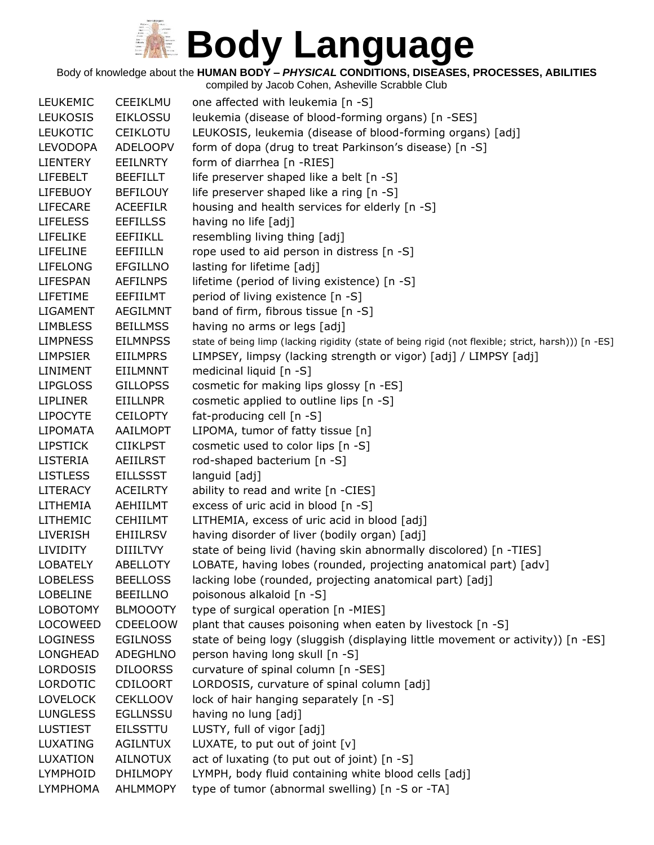Body of knowledge about the **HUMAN BODY –** *PHYSICAL* **CONDITIONS, DISEASES, PROCESSES, ABILITIES**

| <b>LEUKEMIC</b> | CEEIKLMU        | one affected with leukemia [n -S]                                                                   |
|-----------------|-----------------|-----------------------------------------------------------------------------------------------------|
| <b>LEUKOSIS</b> | <b>EIKLOSSU</b> | leukemia (disease of blood-forming organs) [n -SES]                                                 |
| <b>LEUKOTIC</b> | <b>CEIKLOTU</b> | LEUKOSIS, leukemia (disease of blood-forming organs) [adj]                                          |
| <b>LEVODOPA</b> | <b>ADELOOPV</b> | form of dopa (drug to treat Parkinson's disease) [n -S]                                             |
| LIENTERY        | <b>EEILNRTY</b> | form of diarrhea [n -RIES]                                                                          |
| <b>LIFEBELT</b> | <b>BEEFILLT</b> | life preserver shaped like a belt [n -S]                                                            |
| <b>LIFEBUOY</b> | <b>BEFILOUY</b> | life preserver shaped like a ring [n -S]                                                            |
| <b>LIFECARE</b> | <b>ACEEFILR</b> | housing and health services for elderly [n -S]                                                      |
| <b>LIFELESS</b> | <b>EEFILLSS</b> | having no life [adj]                                                                                |
| LIFELIKE        | <b>EEFIIKLL</b> | resembling living thing [adj]                                                                       |
| <b>LIFELINE</b> | <b>EEFIILLN</b> | rope used to aid person in distress [n -S]                                                          |
| <b>LIFELONG</b> | <b>EFGILLNO</b> | lasting for lifetime [adj]                                                                          |
| LIFESPAN        | <b>AEFILNPS</b> | lifetime (period of living existence) [n -S]                                                        |
| LIFETIME        | EEFIILMT        | period of living existence [n -S]                                                                   |
| <b>LIGAMENT</b> | <b>AEGILMNT</b> | band of firm, fibrous tissue [n -S]                                                                 |
| <b>LIMBLESS</b> | <b>BEILLMSS</b> | having no arms or legs [adj]                                                                        |
| <b>LIMPNESS</b> | <b>EILMNPSS</b> | state of being limp (lacking rigidity (state of being rigid (not flexible; strict, harsh))) [n -ES] |
| <b>LIMPSIER</b> | <b>EIILMPRS</b> | LIMPSEY, limpsy (lacking strength or vigor) [adj] / LIMPSY [adj]                                    |
| LINIMENT        | EIILMNNT        | medicinal liquid [n -S]                                                                             |
| <b>LIPGLOSS</b> | <b>GILLOPSS</b> | cosmetic for making lips glossy [n -ES]                                                             |
| <b>LIPLINER</b> | EIILLNPR        | cosmetic applied to outline lips [n -S]                                                             |
| <b>LIPOCYTE</b> | <b>CEILOPTY</b> | fat-producing cell [n -S]                                                                           |
| <b>LIPOMATA</b> | AAILMOPT        | LIPOMA, tumor of fatty tissue [n]                                                                   |
| <b>LIPSTICK</b> | <b>CIIKLPST</b> | cosmetic used to color lips [n -S]                                                                  |
| LISTERIA        | <b>AEIILRST</b> | rod-shaped bacterium [n -S]                                                                         |
| <b>LISTLESS</b> | <b>EILLSSST</b> | languid [adj]                                                                                       |
| <b>LITERACY</b> | <b>ACEILRTY</b> | ability to read and write [n -CIES]                                                                 |
| LITHEMIA        | AEHIILMT        | excess of uric acid in blood [n -S]                                                                 |
| <b>LITHEMIC</b> | <b>CEHIILMT</b> | LITHEMIA, excess of uric acid in blood [adj]                                                        |
| <b>LIVERISH</b> | <b>EHIILRSV</b> | having disorder of liver (bodily organ) [adj]                                                       |
| <b>LIVIDITY</b> | <b>DIIILTVY</b> | state of being livid (having skin abnormally discolored) [n -TIES]                                  |
| <b>LOBATELY</b> | <b>ABELLOTY</b> | LOBATE, having lobes (rounded, projecting anatomical part) [adv]                                    |
| <b>LOBELESS</b> | <b>BEELLOSS</b> | lacking lobe (rounded, projecting anatomical part) [adj]                                            |
| <b>LOBELINE</b> | <b>BEEILLNO</b> | poisonous alkaloid [n -S]                                                                           |
| <b>LOBOTOMY</b> | <b>BLMOOOTY</b> | type of surgical operation [n -MIES]                                                                |
| LOCOWEED        | <b>CDEELOOW</b> | plant that causes poisoning when eaten by livestock [n -S]                                          |
| <b>LOGINESS</b> | <b>EGILNOSS</b> | state of being logy (sluggish (displaying little movement or activity)) [n -ES]                     |
| <b>LONGHEAD</b> | <b>ADEGHLNO</b> | person having long skull [n -S]                                                                     |
| <b>LORDOSIS</b> | <b>DILOORSS</b> | curvature of spinal column [n -SES]                                                                 |
| <b>LORDOTIC</b> | <b>CDILOORT</b> | LORDOSIS, curvature of spinal column [adj]                                                          |
| <b>LOVELOCK</b> | <b>CEKLLOOV</b> | lock of hair hanging separately [n -S]                                                              |
| <b>LUNGLESS</b> | <b>EGLLNSSU</b> | having no lung [adj]                                                                                |
| <b>LUSTIEST</b> | <b>EILSSTTU</b> | LUSTY, full of vigor [adj]                                                                          |
| LUXATING        | <b>AGILNTUX</b> | LUXATE, to put out of joint [v]                                                                     |
| LUXATION        | <b>AILNOTUX</b> | act of luxating (to put out of joint) [n -S]                                                        |
| <b>LYMPHOID</b> | <b>DHILMOPY</b> | LYMPH, body fluid containing white blood cells [adj]                                                |
| <b>LYMPHOMA</b> | AHLMMOPY        | type of tumor (abnormal swelling) [n -S or -TA]                                                     |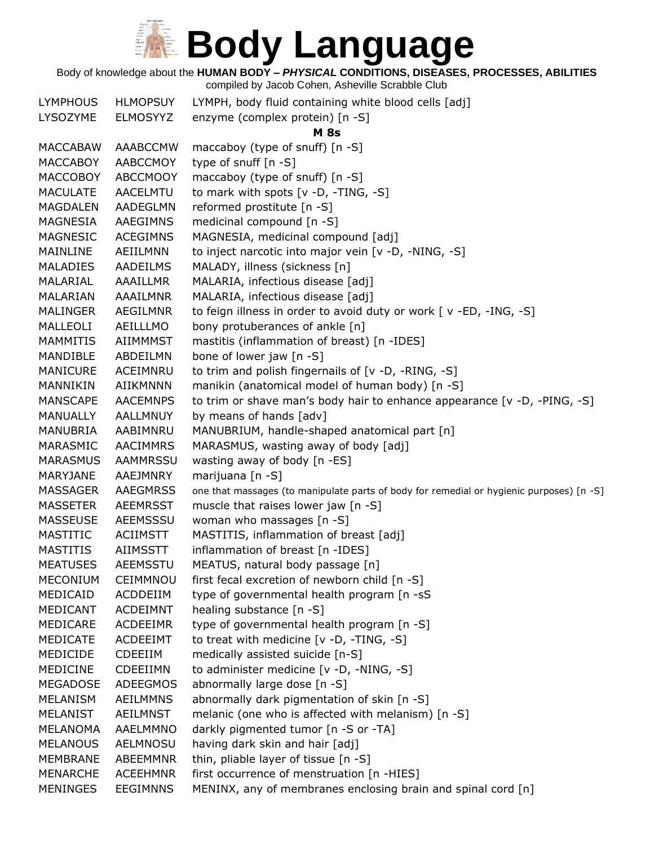Body of knowledge about the **HUMAN BODY –** *PHYSICAL* **CONDITIONS, DISEASES, PROCESSES, ABILITIES**

| <b>LYMPHOUS</b> | <b>HLMOPSUY</b> | LYMPH, body fluid containing white blood cells [adj]                                     |
|-----------------|-----------------|------------------------------------------------------------------------------------------|
| LYSOZYME        | <b>ELMOSYYZ</b> | enzyme (complex protein) [n -S]                                                          |
|                 |                 | <b>M</b> 8s                                                                              |
| <b>MACCABAW</b> | AAABCCMW        | maccaboy (type of snuff) [n -S]                                                          |
| <b>MACCABOY</b> | AABCCMOY        | type of snuff $[n -S]$                                                                   |
| <b>MACCOBOY</b> | <b>ABCCMOOY</b> | maccaboy (type of snuff) [n -S]                                                          |
| <b>MACULATE</b> | AACELMTU        | to mark with spots $[v -D, -TING, -S]$                                                   |
| <b>MAGDALEN</b> | AADEGLMN        | reformed prostitute [n -S]                                                               |
| MAGNESIA        | AAEGIMNS        | medicinal compound [n -S]                                                                |
| MAGNESIC        | <b>ACEGIMNS</b> | MAGNESIA, medicinal compound [adj]                                                       |
| MAINLINE        | AEIILMNN        | to inject narcotic into major vein [v -D, -NING, -S]                                     |
| <b>MALADIES</b> | AADEILMS        | MALADY, illness (sickness [n]                                                            |
| MALARIAL        | AAAILLMR        | MALARIA, infectious disease [adj]                                                        |
| MALARIAN        | AAAILMNR        | MALARIA, infectious disease [adj]                                                        |
| <b>MALINGER</b> | AEGILMNR        | to feign illness in order to avoid duty or work [v -ED, -ING, -S]                        |
| MALLEOLI        | AEILLLMO        | bony protuberances of ankle [n]                                                          |
| <b>MAMMITIS</b> | AIIMMMST        | mastitis (inflammation of breast) [n -IDES]                                              |
| MANDIBLE        | ABDEILMN        | bone of lower jaw [n -S]                                                                 |
| <b>MANICURE</b> | ACEIMNRU        | to trim and polish fingernails of [v -D, -RING, -S]                                      |
| MANNIKIN        | <b>AIIKMNNN</b> | manikin (anatomical model of human body) [n -S]                                          |
| <b>MANSCAPE</b> | <b>AACEMNPS</b> | to trim or shave man's body hair to enhance appearance [v -D, -PING, -S]                 |
| <b>MANUALLY</b> | AALLMNUY        | by means of hands [adv]                                                                  |
| MANUBRIA        | AABIMNRU        | MANUBRIUM, handle-shaped anatomical part [n]                                             |
| MARASMIC        | <b>AACIMMRS</b> | MARASMUS, wasting away of body [adj]                                                     |
| <b>MARASMUS</b> | <b>AAMMRSSU</b> | wasting away of body [n -ES]                                                             |
| MARYJANE        | AAEJMNRY        | marijuana [n -S]                                                                         |
| <b>MASSAGER</b> | <b>AAEGMRSS</b> | one that massages (to manipulate parts of body for remedial or hygienic purposes) [n -S] |
| <b>MASSETER</b> | <b>AEEMRSST</b> | muscle that raises lower jaw [n -S]                                                      |
| <b>MASSEUSE</b> | AEEMSSSU        | woman who massages [n -S]                                                                |
| MASTITIC        | <b>ACIIMSTT</b> | MASTITIS, inflammation of breast [adj]                                                   |
| <b>MASTITIS</b> | <b>AIIMSSTT</b> | inflammation of breast [n -IDES]                                                         |
| <b>MEATUSES</b> | <b>AEEMSSTU</b> | MEATUS, natural body passage [n]                                                         |
| <b>MECONIUM</b> | CEIMMNOU        | first fecal excretion of newborn child [n -S]                                            |
| MEDICAID        | ACDDEIIM        | type of governmental health program [n -sS                                               |
| MEDICANT        | <b>ACDEIMNT</b> | healing substance [n -S]                                                                 |
| MEDICARE        | <b>ACDEEIMR</b> | type of governmental health program [n -S]                                               |
| MEDICATE        | <b>ACDEEIMT</b> | to treat with medicine [v -D, -TING, -S]                                                 |
| MEDICIDE        | <b>CDEEIIM</b>  | medically assisted suicide [n-S]                                                         |
| <b>MEDICINE</b> | CDEEIIMN        | to administer medicine [v -D, -NING, -S]                                                 |
| MEGADOSE        | <b>ADEEGMOS</b> | abnormally large dose [n -S]                                                             |
| <b>MELANISM</b> | AEILMMNS        | abnormally dark pigmentation of skin [n -S]                                              |
| MELANIST        | <b>AEILMNST</b> | melanic (one who is affected with melanism) [n -S]                                       |
| <b>MELANOMA</b> | AAELMMNO        | darkly pigmented tumor [n -S or -TA]                                                     |
| <b>MELANOUS</b> | AELMNOSU        | having dark skin and hair [adj]                                                          |
| <b>MEMBRANE</b> | ABEEMMNR        | thin, pliable layer of tissue [n -S]                                                     |
| <b>MENARCHE</b> | <b>ACEEHMNR</b> | first occurrence of menstruation [n -HIES]                                               |
| <b>MENINGES</b> | <b>EEGIMNNS</b> | MENINX, any of membranes enclosing brain and spinal cord [n]                             |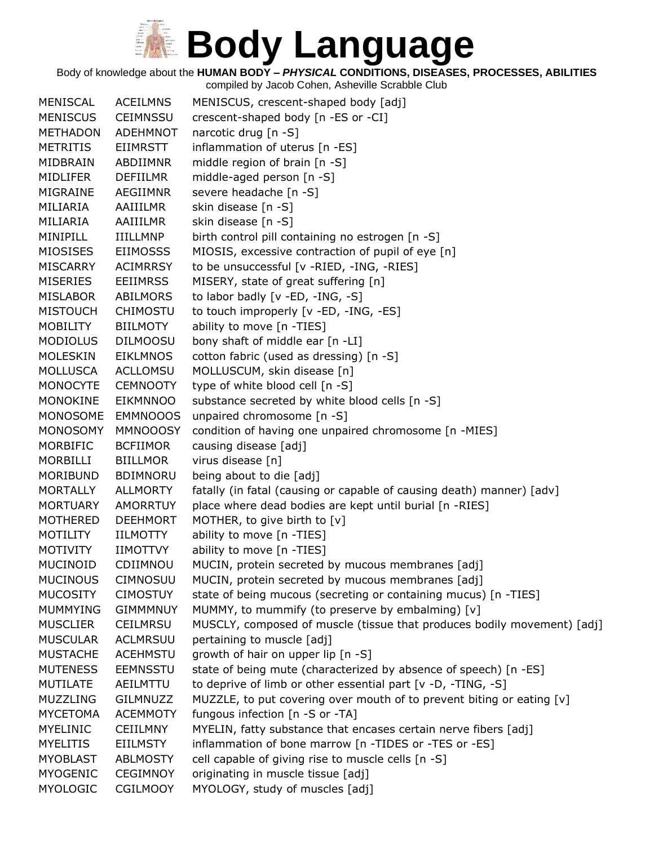Body of knowledge about the **HUMAN BODY –** *PHYSICAL* **CONDITIONS, DISEASES, PROCESSES, ABILITIES**

| <b>MENISCAL</b> | <b>ACEILMNS</b> | MENISCUS, crescent-shaped body [adj]                                    |
|-----------------|-----------------|-------------------------------------------------------------------------|
| <b>MENISCUS</b> | <b>CEIMNSSU</b> | crescent-shaped body [n -ES or -CI]                                     |
| <b>METHADON</b> | <b>ADEHMNOT</b> | narcotic drug $[n - S]$                                                 |
| <b>METRITIS</b> | <b>EIIMRSTT</b> | inflammation of uterus [n -ES]                                          |
| MIDBRAIN        | ABDIIMNR        | middle region of brain [n -S]                                           |
| <b>MIDLIFER</b> | <b>DEFIILMR</b> | middle-aged person [n -S]                                               |
| MIGRAINE        | AEGIIMNR        | severe headache [n -S]                                                  |
| MILIARIA        | AAIIILMR        | skin disease [n -S]                                                     |
| MILIARIA        | AAIIILMR        | skin disease [n -S]                                                     |
| MINIPILL        | <b>IIILLMNP</b> | birth control pill containing no estrogen [n -S]                        |
| <b>MIOSISES</b> | <b>EIIMOSSS</b> | MIOSIS, excessive contraction of pupil of eye [n]                       |
| <b>MISCARRY</b> | <b>ACIMRRSY</b> | to be unsuccessful [v -RIED, -ING, -RIES]                               |
| <b>MISERIES</b> | <b>EEIIMRSS</b> | MISERY, state of great suffering [n]                                    |
| <b>MISLABOR</b> | ABILMORS        | to labor badly [v -ED, -ING, -S]                                        |
| <b>MISTOUCH</b> | <b>CHIMOSTU</b> | to touch improperly [v -ED, -ING, -ES]                                  |
| <b>MOBILITY</b> | <b>BIILMOTY</b> | ability to move [n -TIES]                                               |
| <b>MODIOLUS</b> | <b>DILMOOSU</b> | bony shaft of middle ear [n -LI]                                        |
| <b>MOLESKIN</b> | <b>EIKLMNOS</b> | cotton fabric (used as dressing) [n -S]                                 |
| <b>MOLLUSCA</b> | <b>ACLLOMSU</b> | MOLLUSCUM, skin disease [n]                                             |
| <b>MONOCYTE</b> | <b>CEMNOOTY</b> | type of white blood cell [n -S]                                         |
| <b>MONOKINE</b> | <b>EIKMNNOO</b> | substance secreted by white blood cells [n -S]                          |
| <b>MONOSOME</b> | <b>EMMNOOOS</b> | unpaired chromosome [n -S]                                              |
| <b>MONOSOMY</b> | <b>MMNOOOSY</b> | condition of having one unpaired chromosome [n -MIES]                   |
| MORBIFIC        | <b>BCFIIMOR</b> | causing disease [adj]                                                   |
| MORBILLI        | <b>BIILLMOR</b> | virus disease [n]                                                       |
| MORIBUND        | <b>BDIMNORU</b> | being about to die [adj]                                                |
| <b>MORTALLY</b> | ALLMORTY        | fatally (in fatal (causing or capable of causing death) manner) [adv]   |
| <b>MORTUARY</b> | <b>AMORRTUY</b> | place where dead bodies are kept until burial [n -RIES]                 |
| <b>MOTHERED</b> | <b>DEEHMORT</b> | MOTHER, to give birth to [v]                                            |
| <b>MOTILITY</b> | IILMOTTY        | ability to move [n -TIES]                                               |
| <b>MOTIVITY</b> | <b>IIMOTTVY</b> | ability to move [n -TIES]                                               |
| <b>MUCINOID</b> | CDIIMNOU        | MUCIN, protein secreted by mucous membranes [adj]                       |
| <b>MUCINOUS</b> | <b>CIMNOSUU</b> | MUCIN, protein secreted by mucous membranes [adj]                       |
| <b>MUCOSITY</b> | <b>CIMOSTUY</b> | state of being mucous (secreting or containing mucus) [n -TIES]         |
| <b>MUMMYING</b> | <b>GIMMMNUY</b> | MUMMY, to mummify (to preserve by embalming) [v]                        |
| <b>MUSCLIER</b> | <b>CEILMRSU</b> | MUSCLY, composed of muscle (tissue that produces bodily movement) [adj] |
| <b>MUSCULAR</b> | <b>ACLMRSUU</b> | pertaining to muscle [adj]                                              |
| <b>MUSTACHE</b> | <b>ACEHMSTU</b> | growth of hair on upper lip [n -S]                                      |
| <b>MUTENESS</b> | <b>EEMNSSTU</b> | state of being mute (characterized by absence of speech) [n -ES]        |
| <b>MUTILATE</b> | AEILMTTU        | to deprive of limb or other essential part [v -D, -TING, -S]            |
| <b>MUZZLING</b> | GILMNUZZ        | MUZZLE, to put covering over mouth of to prevent biting or eating [v]   |
| <b>MYCETOMA</b> | <b>ACEMMOTY</b> | fungous infection [n -S or -TA]                                         |
| <b>MYELINIC</b> | <b>CEIILMNY</b> | MYELIN, fatty substance that encases certain nerve fibers [adj]         |
| <b>MYELITIS</b> | <b>EIILMSTY</b> | inflammation of bone marrow [n -TIDES or -TES or -ES]                   |
| <b>MYOBLAST</b> | <b>ABLMOSTY</b> | cell capable of giving rise to muscle cells [n -S]                      |
| <b>MYOGENIC</b> | <b>CEGIMNOY</b> | originating in muscle tissue [adj]                                      |
| <b>MYOLOGIC</b> | CGILMOOY        | MYOLOGY, study of muscles [adj]                                         |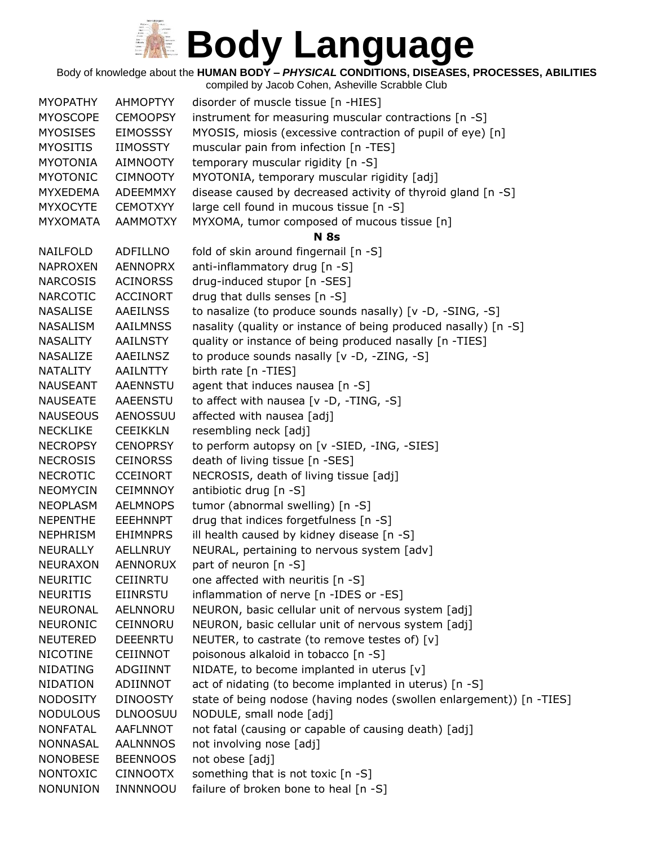Body of knowledge about the **HUMAN BODY –** *PHYSICAL* **CONDITIONS, DISEASES, PROCESSES, ABILITIES**

| <b>MYOPATHY</b> | <b>AHMOPTYY</b> | disorder of muscle tissue [n -HIES]                                  |
|-----------------|-----------------|----------------------------------------------------------------------|
| <b>MYOSCOPE</b> | <b>CEMOOPSY</b> | instrument for measuring muscular contractions [n -S]                |
| <b>MYOSISES</b> | <b>EIMOSSSY</b> | MYOSIS, miosis (excessive contraction of pupil of eye) [n]           |
| <b>MYOSITIS</b> | <b>IIMOSSTY</b> | muscular pain from infection [n -TES]                                |
| <b>MYOTONIA</b> | <b>AIMNOOTY</b> | temporary muscular rigidity [n -S]                                   |
| <b>MYOTONIC</b> | <b>CIMNOOTY</b> | MYOTONIA, temporary muscular rigidity [adj]                          |
| <b>MYXEDEMA</b> | ADEEMMXY        | disease caused by decreased activity of thyroid gland [n -S]         |
| <b>MYXOCYTE</b> | <b>CEMOTXYY</b> | large cell found in mucous tissue [n -S]                             |
| <b>MYXOMATA</b> | <b>AAMMOTXY</b> | MYXOMA, tumor composed of mucous tissue [n]                          |
|                 |                 | <b>N</b> 8s                                                          |
| NAILFOLD        | <b>ADFILLNO</b> | fold of skin around fingernail [n -S]                                |
| <b>NAPROXEN</b> | <b>AENNOPRX</b> | anti-inflammatory drug [n -S]                                        |
| <b>NARCOSIS</b> | <b>ACINORSS</b> | drug-induced stupor [n -SES]                                         |
| <b>NARCOTIC</b> | <b>ACCINORT</b> | drug that dulls senses [n -S]                                        |
| NASALISE        | <b>AAEILNSS</b> | to nasalize (to produce sounds nasally) [v -D, -SING, -S]            |
| NASALISM        | <b>AAILMNSS</b> | nasality (quality or instance of being produced nasally) [n -S]      |
| NASALITY        | <b>AAILNSTY</b> | quality or instance of being produced nasally [n -TIES]              |
| NASALIZE        | AAEILNSZ        | to produce sounds nasally [v -D, -ZING, -S]                          |
| NATALITY        | AAILNTTY        | birth rate [n -TIES]                                                 |
| <b>NAUSEANT</b> | <b>AAENNSTU</b> | agent that induces nausea [n -S]                                     |
| <b>NAUSEATE</b> | AAEENSTU        | to affect with nausea [v -D, -TING, -S]                              |
| <b>NAUSEOUS</b> | <b>AENOSSUU</b> | affected with nausea [adj]                                           |
| <b>NECKLIKE</b> | <b>CEEIKKLN</b> | resembling neck [adj]                                                |
| <b>NECROPSY</b> | <b>CENOPRSY</b> | to perform autopsy on [v -SIED, -ING, -SIES]                         |
| <b>NECROSIS</b> | <b>CEINORSS</b> | death of living tissue [n -SES]                                      |
| <b>NECROTIC</b> | <b>CCEINORT</b> | NECROSIS, death of living tissue [adj]                               |
| <b>NEOMYCIN</b> | <b>CEIMNNOY</b> | antibiotic drug [n -S]                                               |
| <b>NEOPLASM</b> | <b>AELMNOPS</b> | tumor (abnormal swelling) [n -S]                                     |
| <b>NEPENTHE</b> | <b>EEEHNNPT</b> | drug that indices forgetfulness [n -S]                               |
| <b>NEPHRISM</b> | <b>EHIMNPRS</b> | ill health caused by kidney disease [n -S]                           |
| NEURALLY        | <b>AELLNRUY</b> | NEURAL, pertaining to nervous system [adv]                           |
| <b>NEURAXON</b> | <b>AENNORUX</b> | part of neuron [n -S]                                                |
| <b>NEURITIC</b> | <b>CEIINRTU</b> | one affected with neuritis [n -S]                                    |
| <b>NEURITIS</b> | <b>EIINRSTU</b> | inflammation of nerve [n -IDES or -ES]                               |
| NEURONAL        | AELNNORU        | NEURON, basic cellular unit of nervous system [adj]                  |
| <b>NEURONIC</b> | CEINNORU        | NEURON, basic cellular unit of nervous system [adj]                  |
| <b>NEUTERED</b> | <b>DEEENRTU</b> | NEUTER, to castrate (to remove testes of) [v]                        |
| <b>NICOTINE</b> | CEIINNOT        | poisonous alkaloid in tobacco [n -S]                                 |
| <b>NIDATING</b> | ADGIINNT        | NIDATE, to become implanted in uterus [v]                            |
| <b>NIDATION</b> | ADIINNOT        | act of nidating (to become implanted in uterus) [n -S]               |
| <b>NODOSITY</b> | <b>DINOOSTY</b> | state of being nodose (having nodes (swollen enlargement)) [n -TIES] |
| <b>NODULOUS</b> | <b>DLNOOSUU</b> | NODULE, small node [adj]                                             |
| <b>NONFATAL</b> | <b>AAFLNNOT</b> | not fatal (causing or capable of causing death) [adj]                |
| <b>NONNASAL</b> | <b>AALNNNOS</b> | not involving nose [adj]                                             |
| <b>NONOBESE</b> | <b>BEENNOOS</b> | not obese [adj]                                                      |
| <b>NONTOXIC</b> | <b>CINNOOTX</b> | something that is not toxic [n -S]                                   |
| <b>NONUNION</b> | INNNNOOU        | failure of broken bone to heal [n -S]                                |
|                 |                 |                                                                      |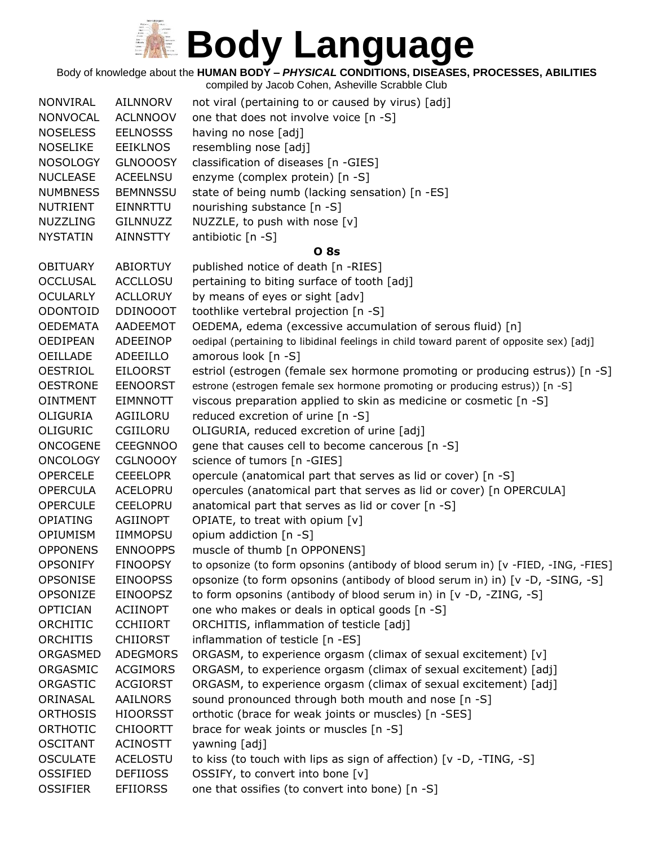Body of knowledge about the **HUMAN BODY –** *PHYSICAL* **CONDITIONS, DISEASES, PROCESSES, ABILITIES**

| <b>NONVIRAL</b> | AILNNORV        | not viral (pertaining to or caused by virus) [adj]                                      |
|-----------------|-----------------|-----------------------------------------------------------------------------------------|
| <b>NONVOCAL</b> | <b>ACLNNOOV</b> | one that does not involve voice [n -S]                                                  |
| <b>NOSELESS</b> | <b>EELNOSSS</b> | having no nose [adj]                                                                    |
| <b>NOSELIKE</b> | <b>EEIKLNOS</b> | resembling nose [adj]                                                                   |
| <b>NOSOLOGY</b> | <b>GLNOOOSY</b> | classification of diseases [n -GIES]                                                    |
| <b>NUCLEASE</b> | <b>ACEELNSU</b> | enzyme (complex protein) [n -S]                                                         |
| <b>NUMBNESS</b> | <b>BEMNNSSU</b> | state of being numb (lacking sensation) [n -ES]                                         |
| <b>NUTRIENT</b> | EINNRTTU        | nourishing substance [n -S]                                                             |
| <b>NUZZLING</b> | GILNNUZZ        | NUZZLE, to push with nose [v]                                                           |
| <b>NYSTATIN</b> | <b>AINNSTTY</b> | antibiotic [n -S]                                                                       |
|                 |                 | <b>08s</b>                                                                              |
| <b>OBITUARY</b> | <b>ABIORTUY</b> | published notice of death [n -RIES]                                                     |
| <b>OCCLUSAL</b> | <b>ACCLLOSU</b> | pertaining to biting surface of tooth [adj]                                             |
| <b>OCULARLY</b> | <b>ACLLORUY</b> | by means of eyes or sight [adv]                                                         |
| ODONTOID        | <b>DDINOOOT</b> | toothlike vertebral projection [n -S]                                                   |
| <b>OEDEMATA</b> | AADEEMOT        | OEDEMA, edema (excessive accumulation of serous fluid) [n]                              |
| <b>OEDIPEAN</b> | ADEEINOP        | oedipal (pertaining to libidinal feelings in child toward parent of opposite sex) [adj] |
| OEILLADE        | ADEEILLO        | amorous look [n -S]                                                                     |
| <b>OESTRIOL</b> | <b>EILOORST</b> | estriol (estrogen (female sex hormone promoting or producing estrus)) [n -S]            |
| <b>OESTRONE</b> | <b>EENOORST</b> | estrone (estrogen female sex hormone promoting or producing estrus)) [n -S]             |
| <b>OINTMENT</b> | <b>EIMNNOTT</b> | viscous preparation applied to skin as medicine or cosmetic [n -S]                      |
| OLIGURIA        | AGIILORU        | reduced excretion of urine [n -S]                                                       |
| <b>OLIGURIC</b> | CGIILORU        | OLIGURIA, reduced excretion of urine [adj]                                              |
| <b>ONCOGENE</b> | <b>CEEGNNOO</b> | gene that causes cell to become cancerous [n -S]                                        |
| <b>ONCOLOGY</b> | <b>CGLNOOOY</b> | science of tumors [n -GIES]                                                             |
| <b>OPERCELE</b> | <b>CEEELOPR</b> | opercule (anatomical part that serves as lid or cover) [n -S]                           |
| <b>OPERCULA</b> | ACELOPRU        | opercules (anatomical part that serves as lid or cover) [n OPERCULA]                    |
| <b>OPERCULE</b> | <b>CEELOPRU</b> | anatomical part that serves as lid or cover [n -S]                                      |
| <b>OPIATING</b> | AGIINOPT        | OPIATE, to treat with opium [v]                                                         |
| <b>OPIUMISM</b> | <b>IIMMOPSU</b> | opium addiction [n -S]                                                                  |
| <b>OPPONENS</b> | <b>ENNOOPPS</b> | muscle of thumb [n OPPONENS]                                                            |
| <b>OPSONIFY</b> | <b>FINOOPSY</b> | to opsonize (to form opsonins (antibody of blood serum in) [v -FIED, -ING, -FIES]       |
| OPSONISE        | <b>EINOOPSS</b> | opsonize (to form opsonins (antibody of blood serum in) in) [v -D, -SING, -S]           |
| OPSONIZE        | <b>EINOOPSZ</b> | to form opsonins (antibody of blood serum in) in [v -D, -ZING, -S]                      |
| <b>OPTICIAN</b> | ACIINOPT        | one who makes or deals in optical goods [n -S]                                          |
| ORCHITIC        | <b>CCHIIORT</b> | ORCHITIS, inflammation of testicle [adj]                                                |
| <b>ORCHITIS</b> | <b>CHIIORST</b> | inflammation of testicle [n -ES]                                                        |
| ORGASMED        | <b>ADEGMORS</b> | ORGASM, to experience orgasm (climax of sexual excitement) [v]                          |
| ORGASMIC        | <b>ACGIMORS</b> | ORGASM, to experience orgasm (climax of sexual excitement) [adj]                        |
| ORGASTIC        | <b>ACGIORST</b> | ORGASM, to experience orgasm (climax of sexual excitement) [adj]                        |
| ORINASAL        | AAILNORS        | sound pronounced through both mouth and nose [n -S]                                     |
| <b>ORTHOSIS</b> | <b>HIOORSST</b> | orthotic (brace for weak joints or muscles) [n -SES]                                    |
| ORTHOTIC        | <b>CHIOORTT</b> | brace for weak joints or muscles [n -S]                                                 |
| <b>OSCITANT</b> | <b>ACINOSTT</b> | yawning [adj]                                                                           |
| <b>OSCULATE</b> | <b>ACELOSTU</b> | to kiss (to touch with lips as sign of affection) [v -D, -TING, -S]                     |
| OSSIFIED        | <b>DEFIIOSS</b> | OSSIFY, to convert into bone [v]                                                        |
| <b>OSSIFIER</b> | <b>EFIIORSS</b> | one that ossifies (to convert into bone) [n -S]                                         |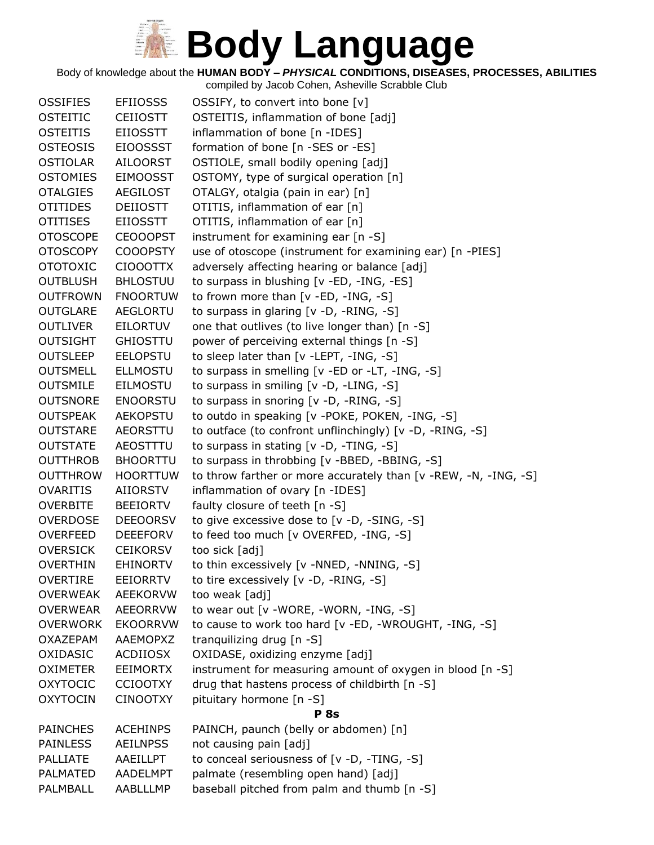Body of knowledge about the **HUMAN BODY –** *PHYSICAL* **CONDITIONS, DISEASES, PROCESSES, ABILITIES**

| <b>OSSIFIES</b> | <b>EFIIOSSS</b> | OSSIFY, to convert into bone [v]                                |
|-----------------|-----------------|-----------------------------------------------------------------|
| <b>OSTEITIC</b> | <b>CEIIOSTT</b> | OSTEITIS, inflammation of bone [adj]                            |
| <b>OSTEITIS</b> | <b>EIIOSSTT</b> | inflammation of bone [n -IDES]                                  |
| <b>OSTEOSIS</b> | <b>EIOOSSST</b> | formation of bone [n -SES or -ES]                               |
| <b>OSTIOLAR</b> | <b>AILOORST</b> | OSTIOLE, small bodily opening [adj]                             |
| <b>OSTOMIES</b> | <b>EIMOOSST</b> | OSTOMY, type of surgical operation [n]                          |
| <b>OTALGIES</b> | AEGILOST        | OTALGY, otalgia (pain in ear) [n]                               |
| <b>OTITIDES</b> | <b>DEIIOSTT</b> | OTITIS, inflammation of ear [n]                                 |
| <b>OTITISES</b> | <b>EIIOSSTT</b> | OTITIS, inflammation of ear [n]                                 |
| <b>OTOSCOPE</b> | <b>CEOOOPST</b> | instrument for examining ear [n -S]                             |
| <b>OTOSCOPY</b> | <b>COOOPSTY</b> | use of otoscope (instrument for examining ear) [n -PIES]        |
| <b>OTOTOXIC</b> | CIOOOTTX        | adversely affecting hearing or balance [adj]                    |
| <b>OUTBLUSH</b> | <b>BHLOSTUU</b> | to surpass in blushing [v -ED, -ING, -ES]                       |
| <b>OUTFROWN</b> | <b>FNOORTUW</b> | to frown more than $[v - ED, -ING, -S]$                         |
| <b>OUTGLARE</b> | AEGLORTU        | to surpass in glaring [v -D, -RING, -S]                         |
| <b>OUTLIVER</b> | EILORTUV        | one that outlives (to live longer than) [n -S]                  |
| <b>OUTSIGHT</b> | <b>GHIOSTTU</b> | power of perceiving external things [n -S]                      |
| <b>OUTSLEEP</b> | <b>EELOPSTU</b> | to sleep later than [v -LEPT, -ING, -S]                         |
| <b>OUTSMELL</b> | <b>ELLMOSTU</b> | to surpass in smelling [v -ED or -LT, -ING, -S]                 |
| <b>OUTSMILE</b> | <b>EILMOSTU</b> | to surpass in smiling [v -D, -LING, -S]                         |
| <b>OUTSNORE</b> | <b>ENOORSTU</b> | to surpass in snoring [v -D, -RING, -S]                         |
| <b>OUTSPEAK</b> | <b>AEKOPSTU</b> | to outdo in speaking [v -POKE, POKEN, -ING, -S]                 |
| <b>OUTSTARE</b> | AEORSTTU        | to outface (to confront unflinchingly) [v -D, -RING, -S]        |
| <b>OUTSTATE</b> | AEOSTTTU        | to surpass in stating [v -D, -TING, -S]                         |
| <b>OUTTHROB</b> | <b>BHOORTTU</b> | to surpass in throbbing [v -BBED, -BBING, -S]                   |
| <b>OUTTHROW</b> | <b>HOORTTUW</b> | to throw farther or more accurately than [v -REW, -N, -ING, -S] |
| <b>OVARITIS</b> | <b>AIIORSTV</b> | inflammation of ovary [n -IDES]                                 |
| <b>OVERBITE</b> | <b>BEEIORTV</b> | faulty closure of teeth [n -S]                                  |
| <b>OVERDOSE</b> | <b>DEEOORSV</b> | to give excessive dose to [v -D, -SING, -S]                     |
| <b>OVERFEED</b> | <b>DEEEFORV</b> | to feed too much [v OVERFED, -ING, -S]                          |
| <b>OVERSICK</b> | <b>CEIKORSV</b> | too sick [adj]                                                  |
| <b>OVERTHIN</b> | <b>EHINORTV</b> | to thin excessively [v -NNED, -NNING, -S]                       |
| <b>OVERTIRE</b> | EEIORRTV        | to tire excessively [v -D, -RING, -S]                           |
| <b>OVERWEAK</b> | <b>AEEKORVW</b> | too weak [adj]                                                  |
| <b>OVERWEAR</b> | <b>AEEORRVW</b> | to wear out [v -WORE, -WORN, -ING, -S]                          |
| <b>OVERWORK</b> | <b>EKOORRVW</b> | to cause to work too hard [v -ED, -WROUGHT, -ING, -S]           |
| <b>OXAZEPAM</b> | <b>AAEMOPXZ</b> | tranguilizing drug [n -S]                                       |
| OXIDASIC        | ACDIIOSX        | OXIDASE, oxidizing enzyme [adj]                                 |
| <b>OXIMETER</b> | <b>EEIMORTX</b> | instrument for measuring amount of oxygen in blood [n -S]       |
| <b>OXYTOCIC</b> | <b>CCIOOTXY</b> | drug that hastens process of childbirth [n -S]                  |
| <b>OXYTOCIN</b> | <b>CINOOTXY</b> | pituitary hormone [n -S]                                        |
|                 |                 | <b>P</b> 8s                                                     |
| <b>PAINCHES</b> | <b>ACEHINPS</b> | PAINCH, paunch (belly or abdomen) [n]                           |
| <b>PAINLESS</b> | <b>AEILNPSS</b> | not causing pain [adj]                                          |
| <b>PALLIATE</b> | AAEILLPT        | to conceal seriousness of [v -D, -TING, -S]                     |
| PALMATED        | AADELMPT        | palmate (resembling open hand) [adj]                            |
| PALMBALL        | AABLLLMP        | baseball pitched from palm and thumb [n -S]                     |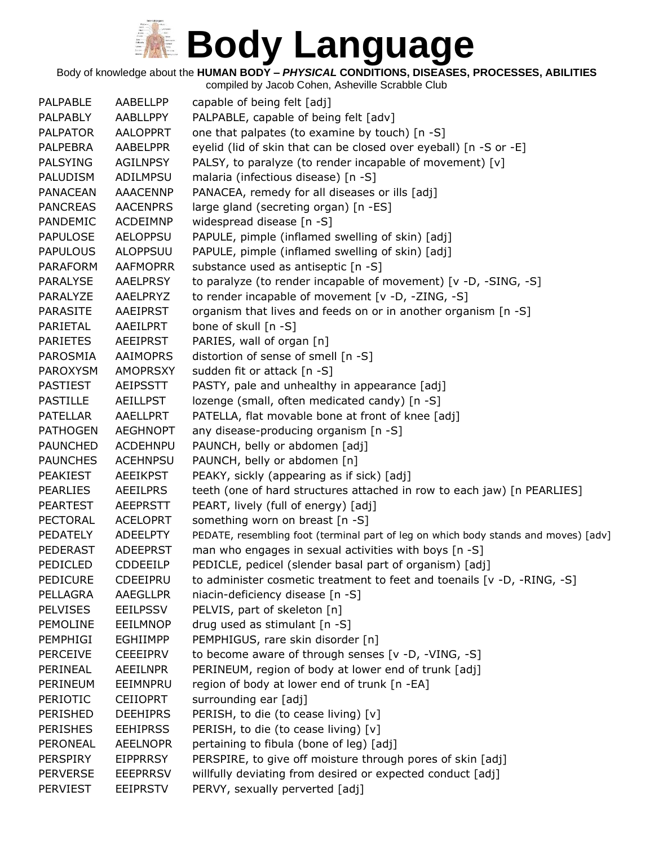Body of knowledge about the **HUMAN BODY –** *PHYSICAL* **CONDITIONS, DISEASES, PROCESSES, ABILITIES** compiled by Jacob Cohen, Asheville Scrabble Club

PALPABLE AABELLPP capable of being felt [adj] PALPABLY AABLLPPY PALPABLE, capable of being felt [adv] PALPATOR AALOPPRT one that palpates (to examine by touch) [n -S] PALPEBRA AABELPPR eyelid (lid of skin that can be closed over eyeball) [n -S or -E] PALSYING AGILNPSY PALSY, to paralyze (to render incapable of movement)  $[v]$ PALUDISM ADILMPSU malaria (infectious disease) [n -S] PANACEAN AAACENNP PANACEA, remedy for all diseases or ills [adj] PANCREAS AACENPRS large gland (secreting organ) [n -ES] PANDEMIC ACDEIMNP widespread disease [n -S] PAPULOSE AELOPPSU PAPULE, pimple (inflamed swelling of skin) [adj] PAPULOUS ALOPPSUU PAPULE, pimple (inflamed swelling of skin) [adj] PARAFORM AAFMOPRR substance used as antiseptic [n -S] PARALYSE AAELPRSY to paralyze (to render incapable of movement) [v -D, -SING, -S] PARALYZE AAELPRYZ to render incapable of movement [v -D, -ZING, -S] PARASITE AAEIPRST organism that lives and feeds on or in another organism [n -S] PARIETAL AAEILPRT bone of skull [n -S] PARIETES AEEIPRST PARIES, wall of organ [n] PAROSMIA AAIMOPRS distortion of sense of smell [n -S] PAROXYSM AMOPRSXY sudden fit or attack [n -S] PASTIEST AEIPSSTT PASTY, pale and unhealthy in appearance [adj] PASTILLE AEILLPST lozenge (small, often medicated candy) [n -S] PATELLAR AAELLPRT PATELLA, flat movable bone at front of knee [adj] PATHOGEN AEGHNOPT any disease-producing organism [n -S] PAUNCHED ACDEHNPU PAUNCH, belly or abdomen [adj] PAUNCHES ACEHNPSU PAUNCH, belly or abdomen [n] PEAKIEST AEEIKPST PEAKY, sickly (appearing as if sick) [adj] PEARLIES AEEILPRS teeth (one of hard structures attached in row to each jaw) [n PEARLIES] PEARTEST AEEPRSTT PEART, lively (full of energy) [adj] PECTORAL ACELOPRT something worn on breast [n -S] PEDATELY ADEELPTY PEDATE, resembling foot (terminal part of leg on which body stands and moves) [adv] PEDERAST ADEEPRST man who engages in sexual activities with boys [n -S] PEDICLED CDDEEILP PEDICLE, pedicel (slender basal part of organism) [adj] PEDICURE CDEEIPRU to administer cosmetic treatment to feet and toenails [v -D, -RING, -S] PELLAGRA AAEGLLPR niacin-deficiency disease [n -S] PELVISES EEILPSSV PELVIS, part of skeleton [n] PEMOLINE EEILMNOP drug used as stimulant [n -S] PEMPHIGI EGHIIMPP PEMPHIGUS, rare skin disorder [n] PERCEIVE CEEEIPRV to become aware of through senses [v -D, -VING, -S] PERINEAL AEEILNPR PERINEUM, region of body at lower end of trunk [adj] PERINEUM EEIMNPRU region of body at lower end of trunk [n -EA] PERIOTIC CEIIOPRT surrounding ear [adj] PERISHED DEEHIPRS PERISH, to die (to cease living) [v] PERISHES EEHIPRSS PERISH, to die (to cease living) [v] PERONEAL AEELNOPR pertaining to fibula (bone of leg) [adj] PERSPIRY EIPPRRSY PERSPIRE, to give off moisture through pores of skin [adj]

PERVERSE EEEPRRSV willfully deviating from desired or expected conduct [adj]

PERVIEST EEIPRSTV PERVY, sexually perverted [adj]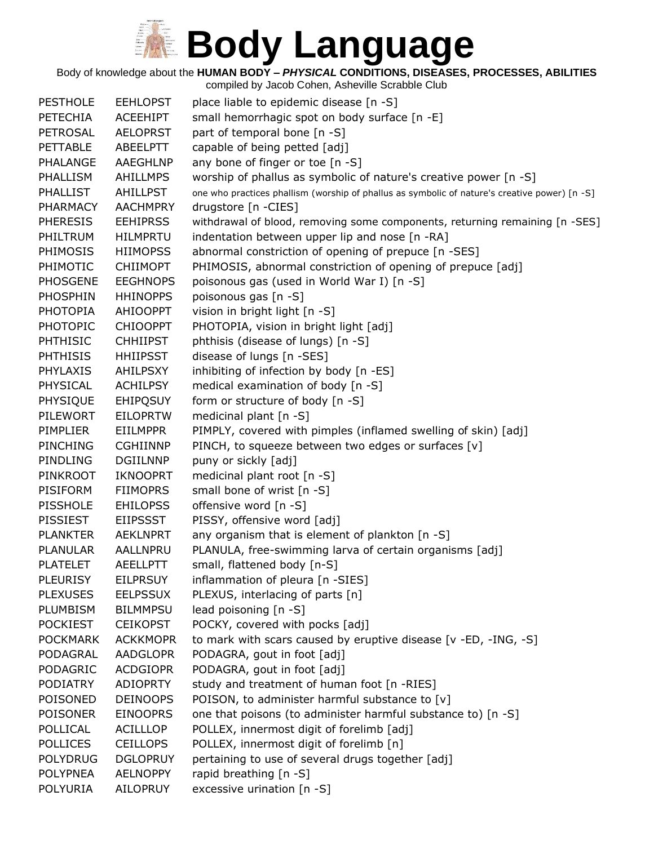Body of knowledge about the **HUMAN BODY –** *PHYSICAL* **CONDITIONS, DISEASES, PROCESSES, ABILITIES**

| <b>PESTHOLE</b> | <b>EEHLOPST</b> | place liable to epidemic disease [n -S]                                                       |
|-----------------|-----------------|-----------------------------------------------------------------------------------------------|
| <b>PETECHIA</b> | <b>ACEEHIPT</b> | small hemorrhagic spot on body surface [n -E]                                                 |
| <b>PETROSAL</b> | <b>AELOPRST</b> | part of temporal bone [n -S]                                                                  |
| <b>PETTABLE</b> | ABEELPTT        | capable of being petted [adj]                                                                 |
| PHALANGE        | AAEGHLNP        | any bone of finger or toe [n -S]                                                              |
| <b>PHALLISM</b> | <b>AHILLMPS</b> | worship of phallus as symbolic of nature's creative power [n -S]                              |
| <b>PHALLIST</b> | <b>AHILLPST</b> | one who practices phallism (worship of phallus as symbolic of nature's creative power) [n -S] |
| <b>PHARMACY</b> | <b>AACHMPRY</b> | drugstore [n -CIES]                                                                           |
| <b>PHERESIS</b> | <b>EEHIPRSS</b> | withdrawal of blood, removing some components, returning remaining [n -SES]                   |
| PHILTRUM        | <b>HILMPRTU</b> | indentation between upper lip and nose [n -RA]                                                |
| PHIMOSIS        | <b>HIIMOPSS</b> | abnormal constriction of opening of prepuce [n -SES]                                          |
| PHIMOTIC        | <b>CHIIMOPT</b> | PHIMOSIS, abnormal constriction of opening of prepuce [adj]                                   |
| <b>PHOSGENE</b> | <b>EEGHNOPS</b> | poisonous gas (used in World War I) [n -S]                                                    |
| PHOSPHIN        | <b>HHINOPPS</b> | poisonous gas [n -S]                                                                          |
| <b>PHOTOPIA</b> | AHIOOPPT        | vision in bright light [n -S]                                                                 |
| <b>PHOTOPIC</b> | <b>CHIOOPPT</b> | PHOTOPIA, vision in bright light [adj]                                                        |
| <b>PHTHISIC</b> | <b>CHHIIPST</b> | phthisis (disease of lungs) [n -S]                                                            |
| <b>PHTHISIS</b> | <b>HHIIPSST</b> | disease of lungs [n -SES]                                                                     |
| <b>PHYLAXIS</b> | AHILPSXY        | inhibiting of infection by body [n -ES]                                                       |
| PHYSICAL        | <b>ACHILPSY</b> | medical examination of body [n -S]                                                            |
| PHYSIQUE        | <b>EHIPQSUY</b> | form or structure of body [n -S]                                                              |
| <b>PILEWORT</b> | <b>EILOPRTW</b> | medicinal plant [n -S]                                                                        |
| PIMPLIER        | <b>EIILMPPR</b> | PIMPLY, covered with pimples (inflamed swelling of skin) [adj]                                |
| <b>PINCHING</b> | <b>CGHIINNP</b> | PINCH, to squeeze between two edges or surfaces [v]                                           |
| PINDLING        | <b>DGIILNNP</b> | puny or sickly [adj]                                                                          |
| PINKROOT        | <b>IKNOOPRT</b> | medicinal plant root [n -S]                                                                   |
| <b>PISIFORM</b> | <b>FIIMOPRS</b> | small bone of wrist [n -S]                                                                    |
| <b>PISSHOLE</b> | <b>EHILOPSS</b> | offensive word [n -S]                                                                         |
| PISSIEST        | <b>EIIPSSST</b> | PISSY, offensive word [adj]                                                                   |
| <b>PLANKTER</b> | <b>AEKLNPRT</b> | any organism that is element of plankton [n -S]                                               |
| <b>PLANULAR</b> | AALLNPRU        | PLANULA, free-swimming larva of certain organisms [adj]                                       |
| <b>PLATELET</b> | <b>AEELLPTT</b> | small, flattened body [n-S]                                                                   |
| <b>PLEURISY</b> | <b>EILPRSUY</b> | inflammation of pleura [n -SIES]                                                              |
| <b>PLEXUSES</b> | <b>EELPSSUX</b> | PLEXUS, interlacing of parts [n]                                                              |
| PLUMBISM        | <b>BILMMPSU</b> | lead poisoning $[n - S]$                                                                      |
| <b>POCKIEST</b> | <b>CEIKOPST</b> | POCKY, covered with pocks [adj]                                                               |
| <b>POCKMARK</b> | <b>ACKKMOPR</b> | to mark with scars caused by eruptive disease [v -ED, -ING, -S]                               |
| PODAGRAL        | <b>AADGLOPR</b> | PODAGRA, gout in foot [adj]                                                                   |
| PODAGRIC        | <b>ACDGIOPR</b> | PODAGRA, gout in foot [adj]                                                                   |
| <b>PODIATRY</b> | <b>ADIOPRTY</b> | study and treatment of human foot [n -RIES]                                                   |
| POISONED        | <b>DEINOOPS</b> | POISON, to administer harmful substance to [v]                                                |
| <b>POISONER</b> | <b>EINOOPRS</b> | one that poisons (to administer harmful substance to) [n -S]                                  |
| POLLICAL        | <b>ACILLLOP</b> | POLLEX, innermost digit of forelimb [adj]                                                     |
| <b>POLLICES</b> | <b>CEILLOPS</b> | POLLEX, innermost digit of forelimb [n]                                                       |
| <b>POLYDRUG</b> | <b>DGLOPRUY</b> | pertaining to use of several drugs together [adj]                                             |
| <b>POLYPNEA</b> | <b>AELNOPPY</b> | rapid breathing [n -S]                                                                        |
| <b>POLYURIA</b> | AILOPRUY        | excessive urination [n -S]                                                                    |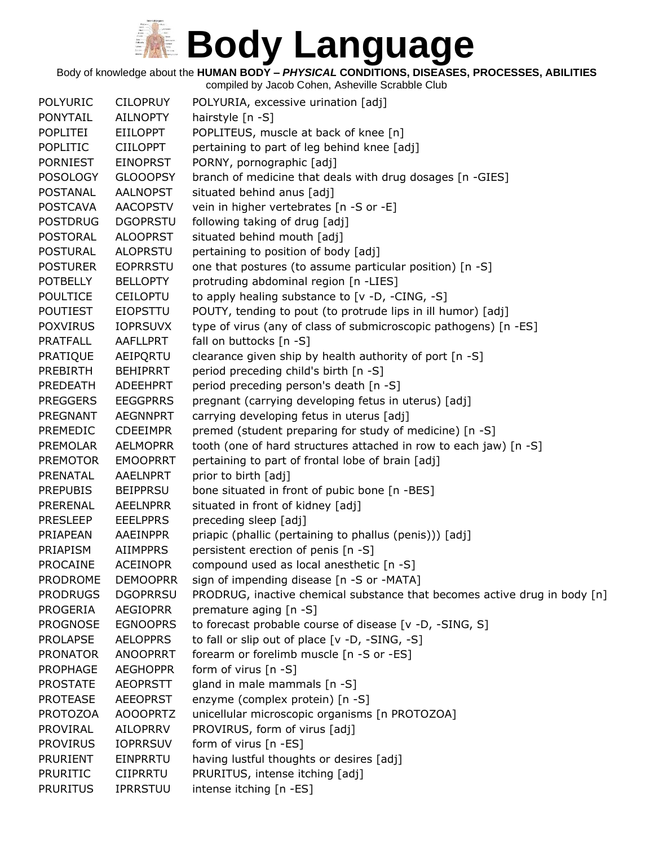Body of knowledge about the **HUMAN BODY –** *PHYSICAL* **CONDITIONS, DISEASES, PROCESSES, ABILITIES**

| <b>POLYURIC</b> | <b>CILOPRUY</b> | POLYURIA, excessive urination [adj]                                       |
|-----------------|-----------------|---------------------------------------------------------------------------|
| <b>PONYTAIL</b> | <b>AILNOPTY</b> | hairstyle [n -S]                                                          |
| <b>POPLITEI</b> | <b>EIILOPPT</b> | POPLITEUS, muscle at back of knee [n]                                     |
| <b>POPLITIC</b> | <b>CIILOPPT</b> | pertaining to part of leg behind knee [adj]                               |
| <b>PORNIEST</b> | <b>EINOPRST</b> | PORNY, pornographic [adj]                                                 |
| <b>POSOLOGY</b> | <b>GLOOOPSY</b> | branch of medicine that deals with drug dosages [n -GIES]                 |
| <b>POSTANAL</b> | <b>AALNOPST</b> | situated behind anus [adj]                                                |
| <b>POSTCAVA</b> | <b>AACOPSTV</b> | vein in higher vertebrates [n -S or -E]                                   |
| <b>POSTDRUG</b> | <b>DGOPRSTU</b> | following taking of drug [adj]                                            |
| <b>POSTORAL</b> | <b>ALOOPRST</b> | situated behind mouth [adj]                                               |
| <b>POSTURAL</b> | <b>ALOPRSTU</b> | pertaining to position of body [adj]                                      |
| <b>POSTURER</b> | <b>EOPRRSTU</b> | one that postures (to assume particular position) [n -S]                  |
| <b>POTBELLY</b> | <b>BELLOPTY</b> | protruding abdominal region [n -LIES]                                     |
| <b>POULTICE</b> | <b>CEILOPTU</b> | to apply healing substance to [v -D, -CING, -S]                           |
| <b>POUTIEST</b> | <b>EIOPSTTU</b> | POUTY, tending to pout (to protrude lips in ill humor) [adj]              |
| <b>POXVIRUS</b> | <b>IOPRSUVX</b> | type of virus (any of class of submicroscopic pathogens) [n -ES]          |
| <b>PRATFALL</b> | AAFLLPRT        | fall on buttocks [n -S]                                                   |
| PRATIQUE        | AEIPQRTU        | clearance given ship by health authority of port [n -S]                   |
| <b>PREBIRTH</b> | <b>BEHIPRRT</b> | period preceding child's birth [n -S]                                     |
| PREDEATH        | ADEEHPRT        | period preceding person's death [n -S]                                    |
| <b>PREGGERS</b> | <b>EEGGPRRS</b> | pregnant (carrying developing fetus in uterus) [adj]                      |
| PREGNANT        | <b>AEGNNPRT</b> | carrying developing fetus in uterus [adj]                                 |
| <b>PREMEDIC</b> | <b>CDEEIMPR</b> | premed (student preparing for study of medicine) [n -S]                   |
| <b>PREMOLAR</b> | <b>AELMOPRR</b> | tooth (one of hard structures attached in row to each jaw) [n -S]         |
| <b>PREMOTOR</b> | <b>EMOOPRRT</b> | pertaining to part of frontal lobe of brain [adj]                         |
| PRENATAL        | AAELNPRT        | prior to birth [adj]                                                      |
| <b>PREPUBIS</b> | <b>BEIPPRSU</b> | bone situated in front of pubic bone [n -BES]                             |
| PRERENAL        | <b>AEELNPRR</b> | situated in front of kidney [adj]                                         |
| <b>PRESLEEP</b> | <b>EEELPPRS</b> | preceding sleep [adj]                                                     |
| PRIAPEAN        | AAEINPPR        | priapic (phallic (pertaining to phallus (penis))) [adj]                   |
| PRIAPISM        | <b>AIIMPPRS</b> | persistent erection of penis [n -S]                                       |
| <b>PROCAINE</b> | <b>ACEINOPR</b> | compound used as local anesthetic [n -S]                                  |
| <b>PRODROME</b> | <b>DEMOOPRR</b> | sign of impending disease [n -S or -MATA]                                 |
| <b>PRODRUGS</b> | <b>DGOPRRSU</b> | PRODRUG, inactive chemical substance that becomes active drug in body [n] |
| <b>PROGERIA</b> | <b>AEGIOPRR</b> | premature aging [n -S]                                                    |
| <b>PROGNOSE</b> | <b>EGNOOPRS</b> | to forecast probable course of disease [v -D, -SING, S]                   |
| <b>PROLAPSE</b> | <b>AELOPPRS</b> | to fall or slip out of place [v -D, -SING, -S]                            |
| <b>PRONATOR</b> | <b>ANOOPRRT</b> | forearm or forelimb muscle [n -S or -ES]                                  |
| <b>PROPHAGE</b> | <b>AEGHOPPR</b> | form of virus [n -S]                                                      |
| <b>PROSTATE</b> | <b>AEOPRSTT</b> | gland in male mammals [n -S]                                              |
| <b>PROTEASE</b> | <b>AEEOPRST</b> | enzyme (complex protein) [n -S]                                           |
| <b>PROTOZOA</b> | <b>AOOOPRTZ</b> | unicellular microscopic organisms [n PROTOZOA]                            |
| <b>PROVIRAL</b> | AILOPRRV        | PROVIRUS, form of virus [adj]                                             |
| <b>PROVIRUS</b> | <b>IOPRRSUV</b> | form of virus [n -ES]                                                     |
| <b>PRURIENT</b> | EINPRRTU        | having lustful thoughts or desires [adj]                                  |
| <b>PRURITIC</b> | <b>CIIPRRTU</b> | PRURITUS, intense itching [adj]                                           |
| <b>PRURITUS</b> | IPRRSTUU        | intense itching [n -ES]                                                   |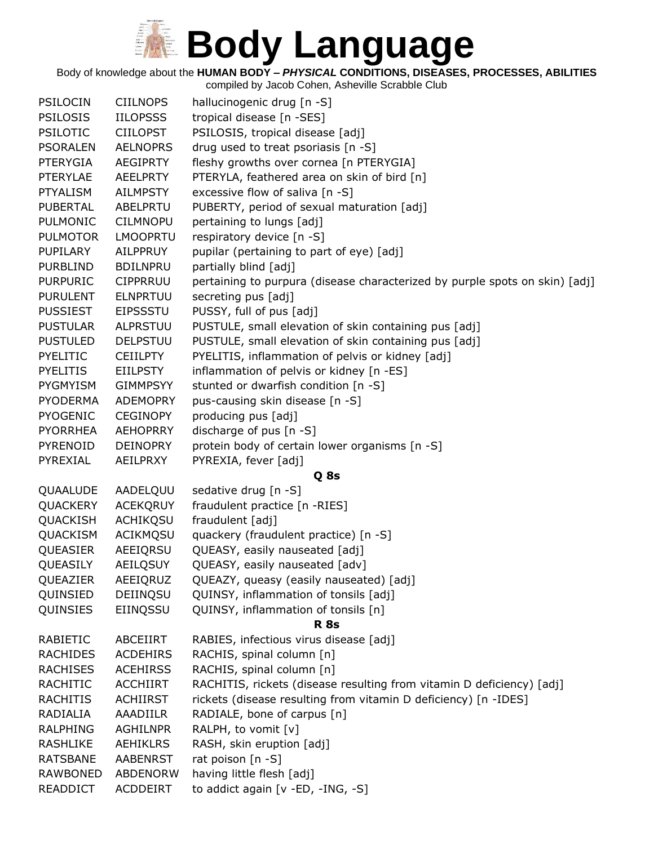Body of knowledge about the **HUMAN BODY –** *PHYSICAL* **CONDITIONS, DISEASES, PROCESSES, ABILITIES**

| <b>PSILOCIN</b> | <b>CIILNOPS</b> | hallucinogenic drug [n -S]                                                  |
|-----------------|-----------------|-----------------------------------------------------------------------------|
| <b>PSILOSIS</b> | <b>IILOPSSS</b> | tropical disease [n -SES]                                                   |
| <b>PSILOTIC</b> | <b>CIILOPST</b> | PSILOSIS, tropical disease [adj]                                            |
| <b>PSORALEN</b> | <b>AELNOPRS</b> | drug used to treat psoriasis [n -S]                                         |
| <b>PTERYGIA</b> | <b>AEGIPRTY</b> | fleshy growths over cornea [n PTERYGIA]                                     |
| <b>PTERYLAE</b> | <b>AEELPRTY</b> | PTERYLA, feathered area on skin of bird [n]                                 |
| <b>PTYALISM</b> | <b>AILMPSTY</b> | excessive flow of saliva [n -S]                                             |
| <b>PUBERTAL</b> | ABELPRTU        | PUBERTY, period of sexual maturation [adj]                                  |
| <b>PULMONIC</b> | <b>CILMNOPU</b> | pertaining to lungs [adj]                                                   |
| <b>PULMOTOR</b> | <b>LMOOPRTU</b> | respiratory device [n -S]                                                   |
| PUPILARY        | AILPPRUY        | pupilar (pertaining to part of eye) [adj]                                   |
| <b>PURBLIND</b> | <b>BDILNPRU</b> | partially blind [adj]                                                       |
| <b>PURPURIC</b> | <b>CIPPRRUU</b> | pertaining to purpura (disease characterized by purple spots on skin) [adj] |
| <b>PURULENT</b> | <b>ELNPRTUU</b> | secreting pus [adj]                                                         |
| <b>PUSSIEST</b> | <b>EIPSSSTU</b> | PUSSY, full of pus [adj]                                                    |
| <b>PUSTULAR</b> | ALPRSTUU        | PUSTULE, small elevation of skin containing pus [adj]                       |
| <b>PUSTULED</b> | <b>DELPSTUU</b> | PUSTULE, small elevation of skin containing pus [adj]                       |
| <b>PYELITIC</b> | <b>CEIILPTY</b> | PYELITIS, inflammation of pelvis or kidney [adj]                            |
| <b>PYELITIS</b> | <b>EIILPSTY</b> | inflammation of pelvis or kidney [n -ES]                                    |
| <b>PYGMYISM</b> | <b>GIMMPSYY</b> | stunted or dwarfish condition [n -S]                                        |
| <b>PYODERMA</b> | <b>ADEMOPRY</b> | pus-causing skin disease [n -S]                                             |
| <b>PYOGENIC</b> | <b>CEGINOPY</b> | producing pus [adj]                                                         |
| <b>PYORRHEA</b> | <b>AEHOPRRY</b> | discharge of pus [n -S]                                                     |
| <b>PYRENOID</b> | <b>DEINOPRY</b> | protein body of certain lower organisms [n -S]                              |
| PYREXIAL        | AEILPRXY        | PYREXIA, fever [adj]                                                        |
|                 |                 | Q 8s                                                                        |
| QUAALUDE        | AADELQUU        | sedative drug [n -S]                                                        |
| QUACKERY        | <b>ACEKQRUY</b> | fraudulent practice [n -RIES]                                               |
| QUACKISH        | ACHIKQSU        | fraudulent [adj]                                                            |
| QUACKISM        | ACIKMQSU        | quackery (fraudulent practice) [n -S]                                       |
| QUEASIER        | AEEIQRSU        | QUEASY, easily nauseated [adj]                                              |
| QUEASILY        | AEILQSUY        | QUEASY, easily nauseated [adv]                                              |
| QUEAZIER        | AEEIQRUZ        | QUEAZY, queasy (easily nauseated) [adj]                                     |
| QUINSIED        | DEIINQSU        | QUINSY, inflammation of tonsils [adj]                                       |
| QUINSIES        | EIINQSSU        | QUINSY, inflammation of tonsils [n]                                         |
|                 |                 | <b>R</b> 8s                                                                 |
| <b>RABIETIC</b> | ABCEIIRT        | RABIES, infectious virus disease [adj]                                      |
| <b>RACHIDES</b> | <b>ACDEHIRS</b> | RACHIS, spinal column [n]                                                   |
| <b>RACHISES</b> | <b>ACEHIRSS</b> | RACHIS, spinal column [n]                                                   |
| <b>RACHITIC</b> | <b>ACCHIIRT</b> | RACHITIS, rickets (disease resulting from vitamin D deficiency) [adj]       |
| <b>RACHITIS</b> | <b>ACHIIRST</b> | rickets (disease resulting from vitamin D deficiency) [n -IDES]             |
| RADIALIA        | <b>AAADIILR</b> | RADIALE, bone of carpus [n]                                                 |
| <b>RALPHING</b> | <b>AGHILNPR</b> | RALPH, to vomit [v]                                                         |
| <b>RASHLIKE</b> | <b>AEHIKLRS</b> | RASH, skin eruption [adj]                                                   |
| <b>RATSBANE</b> | <b>AABENRST</b> | rat poison [n -S]                                                           |
| <b>RAWBONED</b> | <b>ABDENORW</b> | having little flesh [adj]                                                   |
| READDICT        | ACDDEIRT        | to addict again [v -ED, -ING, -S]                                           |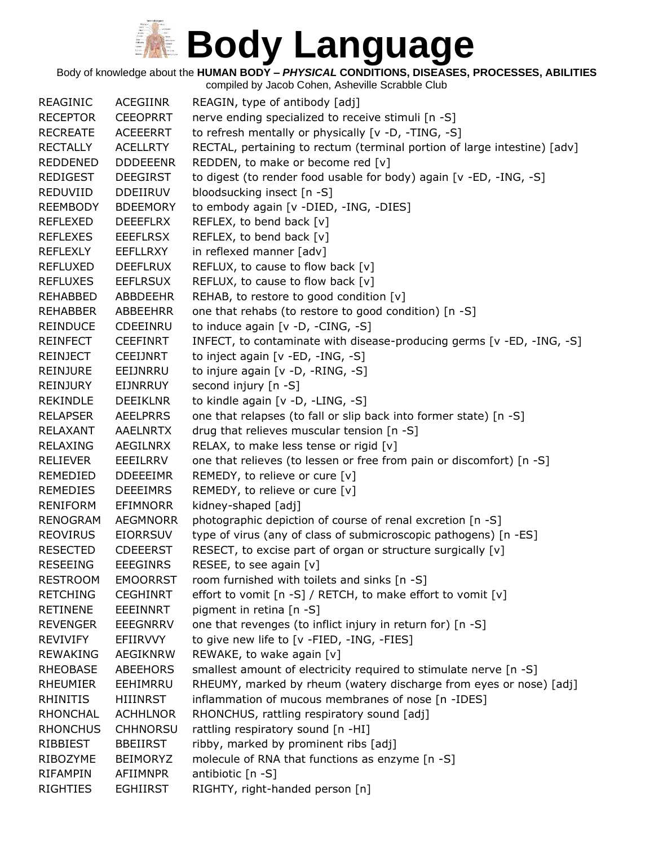Body of knowledge about the **HUMAN BODY –** *PHYSICAL* **CONDITIONS, DISEASES, PROCESSES, ABILITIES**

| <b>REAGINIC</b>                    | <b>ACEGIINR</b>             | REAGIN, type of antibody [adj]                                                                                                          |
|------------------------------------|-----------------------------|-----------------------------------------------------------------------------------------------------------------------------------------|
| <b>RECEPTOR</b>                    | <b>CEEOPRRT</b>             | nerve ending specialized to receive stimuli [n -S]                                                                                      |
| <b>RECREATE</b>                    | <b>ACEEERRT</b>             | to refresh mentally or physically [v -D, -TING, -S]                                                                                     |
| <b>RECTALLY</b>                    | <b>ACELLRTY</b>             | RECTAL, pertaining to rectum (terminal portion of large intestine) [adv]                                                                |
| <b>REDDENED</b>                    | <b>DDDEEENR</b>             | REDDEN, to make or become red [v]                                                                                                       |
| <b>REDIGEST</b>                    | <b>DEEGIRST</b>             | to digest (to render food usable for body) again [v -ED, -ING, -S]                                                                      |
| REDUVIID                           | <b>DDEIIRUV</b>             | bloodsucking insect [n -S]                                                                                                              |
| <b>REEMBODY</b>                    | <b>BDEEMORY</b>             | to embody again [v -DIED, -ING, -DIES]                                                                                                  |
| <b>REFLEXED</b>                    | <b>DEEEFLRX</b>             | REFLEX, to bend back [v]                                                                                                                |
| <b>REFLEXES</b>                    | <b>EEEFLRSX</b>             | REFLEX, to bend back [v]                                                                                                                |
| <b>REFLEXLY</b>                    | EEFLLRXY                    | in reflexed manner [adv]                                                                                                                |
| REFLUXED                           | <b>DEEFLRUX</b>             | REFLUX, to cause to flow back [v]                                                                                                       |
| <b>REFLUXES</b>                    | <b>EEFLRSUX</b>             | REFLUX, to cause to flow back [v]                                                                                                       |
| REHABBED                           | <b>ABBDEEHR</b>             | REHAB, to restore to good condition [v]                                                                                                 |
| REHABBER                           | ABBEEHRR                    | one that rehabs (to restore to good condition) [n -S]                                                                                   |
| <b>REINDUCE</b>                    | CDEEINRU                    | to induce again [v -D, -CING, -S]                                                                                                       |
| <b>REINFECT</b>                    | <b>CEEFINRT</b>             | INFECT, to contaminate with disease-producing germs [v -ED, -ING, -S]                                                                   |
| <b>REINJECT</b>                    | <b>CEEIJNRT</b>             | to inject again [v -ED, -ING, -S]                                                                                                       |
| <b>REINJURE</b>                    | EEIJNRRU                    | to injure again [v -D, -RING, -S]                                                                                                       |
| REINJURY                           | EIJNRRUY                    | second injury [n -S]                                                                                                                    |
| <b>REKINDLE</b>                    | <b>DEEIKLNR</b>             | to kindle again [v -D, -LING, -S]                                                                                                       |
| <b>RELAPSER</b>                    | <b>AEELPRRS</b>             | one that relapses (to fall or slip back into former state) [n -S]                                                                       |
| RELAXANT                           | <b>AAELNRTX</b>             | drug that relieves muscular tension [n -S]                                                                                              |
| <b>RELAXING</b>                    | AEGILNRX                    | RELAX, to make less tense or rigid [v]                                                                                                  |
| <b>RELIEVER</b>                    | EEEILRRV                    | one that relieves (to lessen or free from pain or discomfort) [n -S]                                                                    |
| REMEDIED                           | <b>DDEEEIMR</b>             | REMEDY, to relieve or cure [v]                                                                                                          |
| <b>REMEDIES</b>                    | <b>DEEEIMRS</b>             | REMEDY, to relieve or cure [v]                                                                                                          |
| <b>RENIFORM</b>                    | <b>EFIMNORR</b>             | kidney-shaped [adj]                                                                                                                     |
| <b>RENOGRAM</b>                    | <b>AEGMNORR</b>             | photographic depiction of course of renal excretion [n -S]                                                                              |
| <b>REOVIRUS</b>                    | <b>EIORRSUV</b>             | type of virus (any of class of submicroscopic pathogens) [n -ES]                                                                        |
| <b>RESECTED</b>                    | <b>CDEEERST</b>             | RESECT, to excise part of organ or structure surgically [v]                                                                             |
| <b>RESEEING</b>                    | <b>EEEGINRS</b>             | RESEE, to see again [v]                                                                                                                 |
| <b>RESTROOM</b>                    | <b>EMOORRST</b>             | room furnished with toilets and sinks [n -S]                                                                                            |
| <b>RETCHING</b>                    | <b>CEGHINRT</b>             | effort to vomit [n -S] / RETCH, to make effort to vomit [v]                                                                             |
| <b>RETINENE</b>                    | EEEINNRT                    | pigment in retina [n -S]                                                                                                                |
| <b>REVENGER</b>                    | <b>EEEGNRRV</b>             | one that revenges (to inflict injury in return for) [n -S]                                                                              |
| <b>REVIVIFY</b>                    | EFIIRVVY                    | to give new life to [v -FIED, -ING, -FIES]                                                                                              |
| <b>REWAKING</b>                    | <b>AEGIKNRW</b>             | REWAKE, to wake again [v]                                                                                                               |
| <b>RHEOBASE</b><br><b>RHEUMIER</b> | <b>ABEEHORS</b><br>EEHIMRRU | smallest amount of electricity required to stimulate nerve [n -S]<br>RHEUMY, marked by rheum (watery discharge from eyes or nose) [adj] |
| <b>RHINITIS</b>                    | HIIINRST                    | inflammation of mucous membranes of nose [n -IDES]                                                                                      |
| <b>RHONCHAL</b>                    | <b>ACHHLNOR</b>             | RHONCHUS, rattling respiratory sound [adj]                                                                                              |
| <b>RHONCHUS</b>                    | <b>CHHNORSU</b>             | rattling respiratory sound [n -HI]                                                                                                      |
| RIBBIEST                           | <b>BBEIIRST</b>             | ribby, marked by prominent ribs [adj]                                                                                                   |
| RIBOZYME                           | <b>BEIMORYZ</b>             | molecule of RNA that functions as enzyme [n -S]                                                                                         |
| <b>RIFAMPIN</b>                    | <b>AFIIMNPR</b>             | antibiotic [n -S]                                                                                                                       |
| <b>RIGHTIES</b>                    | <b>EGHIIRST</b>             | RIGHTY, right-handed person [n]                                                                                                         |
|                                    |                             |                                                                                                                                         |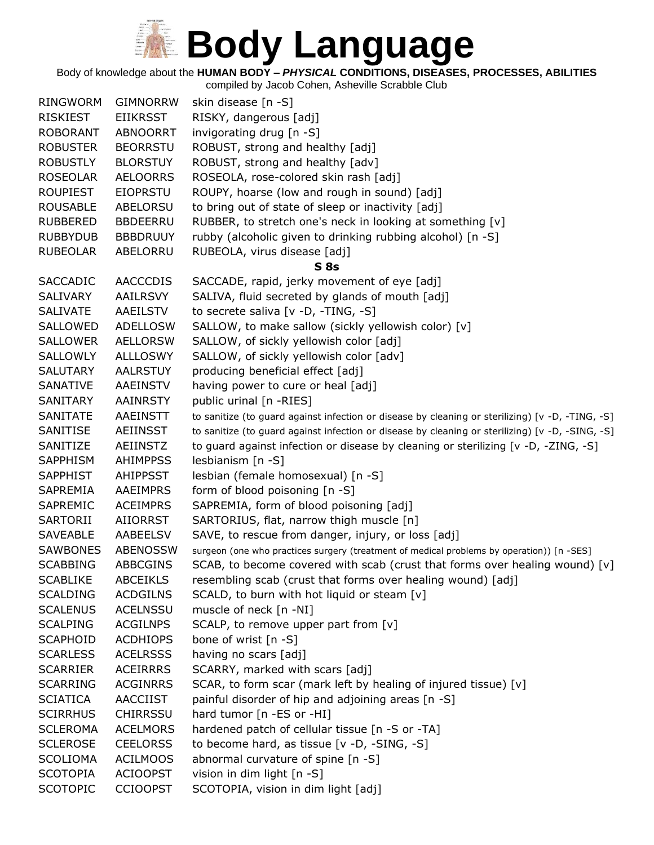Body of knowledge about the **HUMAN BODY –** *PHYSICAL* **CONDITIONS, DISEASES, PROCESSES, ABILITIES**

| <b>RINGWORM</b> | <b>GIMNORRW</b> | skin disease [n -S]                                                                              |
|-----------------|-----------------|--------------------------------------------------------------------------------------------------|
| <b>RISKIEST</b> | <b>EIIKRSST</b> | RISKY, dangerous [adj]                                                                           |
| <b>ROBORANT</b> | <b>ABNOORRT</b> | invigorating drug [n -S]                                                                         |
| <b>ROBUSTER</b> | <b>BEORRSTU</b> | ROBUST, strong and healthy [adj]                                                                 |
| <b>ROBUSTLY</b> | <b>BLORSTUY</b> | ROBUST, strong and healthy [adv]                                                                 |
| <b>ROSEOLAR</b> | <b>AELOORRS</b> | ROSEOLA, rose-colored skin rash [adj]                                                            |
| <b>ROUPIEST</b> | <b>EIOPRSTU</b> | ROUPY, hoarse (low and rough in sound) [adj]                                                     |
| <b>ROUSABLE</b> | ABELORSU        | to bring out of state of sleep or inactivity [adj]                                               |
| <b>RUBBERED</b> | <b>BBDEERRU</b> | RUBBER, to stretch one's neck in looking at something [v]                                        |
| <b>RUBBYDUB</b> | <b>BBBDRUUY</b> | rubby (alcoholic given to drinking rubbing alcohol) [n -S]                                       |
| <b>RUBEOLAR</b> | ABELORRU        | RUBEOLA, virus disease [adj]                                                                     |
|                 |                 | S <sub>8s</sub>                                                                                  |
| <b>SACCADIC</b> | <b>AACCCDIS</b> | SACCADE, rapid, jerky movement of eye [adj]                                                      |
| <b>SALIVARY</b> | <b>AAILRSVY</b> | SALIVA, fluid secreted by glands of mouth [adj]                                                  |
| <b>SALIVATE</b> | AAEILSTV        | to secrete saliva [v -D, -TING, -S]                                                              |
| SALLOWED        | <b>ADELLOSW</b> | SALLOW, to make sallow (sickly yellowish color) [v]                                              |
| <b>SALLOWER</b> | <b>AELLORSW</b> | SALLOW, of sickly yellowish color [adj]                                                          |
| SALLOWLY        | <b>ALLLOSWY</b> | SALLOW, of sickly yellowish color [adv]                                                          |
| <b>SALUTARY</b> | <b>AALRSTUY</b> | producing beneficial effect [adj]                                                                |
| SANATIVE        | AAEINSTV        | having power to cure or heal [adj]                                                               |
| SANITARY        | <b>AAINRSTY</b> | public urinal [n -RIES]                                                                          |
| <b>SANITATE</b> | <b>AAEINSTT</b> | to sanitize (to guard against infection or disease by cleaning or sterilizing) [v -D, -TING, -S] |
| SANITISE        | <b>AEIINSST</b> | to sanitize (to guard against infection or disease by cleaning or sterilizing) [v -D, -SING, -S] |
| SANITIZE        | AEIINSTZ        | to guard against infection or disease by cleaning or sterilizing [v -D, -ZING, -S]               |
| <b>SAPPHISM</b> | <b>AHIMPPSS</b> | lesbianism [n -S]                                                                                |
| <b>SAPPHIST</b> | <b>AHIPPSST</b> | lesbian (female homosexual) [n -S]                                                               |
| SAPREMIA        | <b>AAEIMPRS</b> | form of blood poisoning [n -S]                                                                   |
| SAPREMIC        | <b>ACEIMPRS</b> | SAPREMIA, form of blood poisoning [adj]                                                          |
| SARTORII        | <b>AIIORRST</b> | SARTORIUS, flat, narrow thigh muscle [n]                                                         |
| <b>SAVEABLE</b> | AABEELSV        | SAVE, to rescue from danger, injury, or loss [adj]                                               |
| <b>SAWBONES</b> | <b>ABENOSSW</b> | surgeon (one who practices surgery (treatment of medical problems by operation)) [n -SES]        |
| <b>SCABBING</b> | <b>ABBCGINS</b> | SCAB, to become covered with scab (crust that forms over healing wound) [v]                      |
| <b>SCABLIKE</b> | <b>ABCEIKLS</b> | resembling scab (crust that forms over healing wound) [adj]                                      |
| <b>SCALDING</b> | <b>ACDGILNS</b> | SCALD, to burn with hot liquid or steam [v]                                                      |
| <b>SCALENUS</b> | <b>ACELNSSU</b> | muscle of neck [n -NI]                                                                           |
| <b>SCALPING</b> | <b>ACGILNPS</b> | SCALP, to remove upper part from [v]                                                             |
| <b>SCAPHOID</b> | <b>ACDHIOPS</b> | bone of wrist [n -S]                                                                             |
| <b>SCARLESS</b> | <b>ACELRSSS</b> | having no scars [adj]                                                                            |
| <b>SCARRIER</b> | <b>ACEIRRRS</b> | SCARRY, marked with scars [adj]                                                                  |
| <b>SCARRING</b> | <b>ACGINRRS</b> | SCAR, to form scar (mark left by healing of injured tissue) [v]                                  |
| <b>SCIATICA</b> | <b>AACCIIST</b> | painful disorder of hip and adjoining areas [n -S]                                               |
| <b>SCIRRHUS</b> | <b>CHIRRSSU</b> | hard tumor [n -ES or -HI]                                                                        |
| <b>SCLEROMA</b> | <b>ACELMORS</b> | hardened patch of cellular tissue [n -S or -TA]                                                  |
| <b>SCLEROSE</b> | <b>CEELORSS</b> | to become hard, as tissue [v -D, -SING, -S]                                                      |
| <b>SCOLIOMA</b> | <b>ACILMOOS</b> | abnormal curvature of spine [n -S]                                                               |
| <b>SCOTOPIA</b> | <b>ACIOOPST</b> | vision in dim light [n -S]                                                                       |
| <b>SCOTOPIC</b> | <b>CCIOOPST</b> | SCOTOPIA, vision in dim light [adj]                                                              |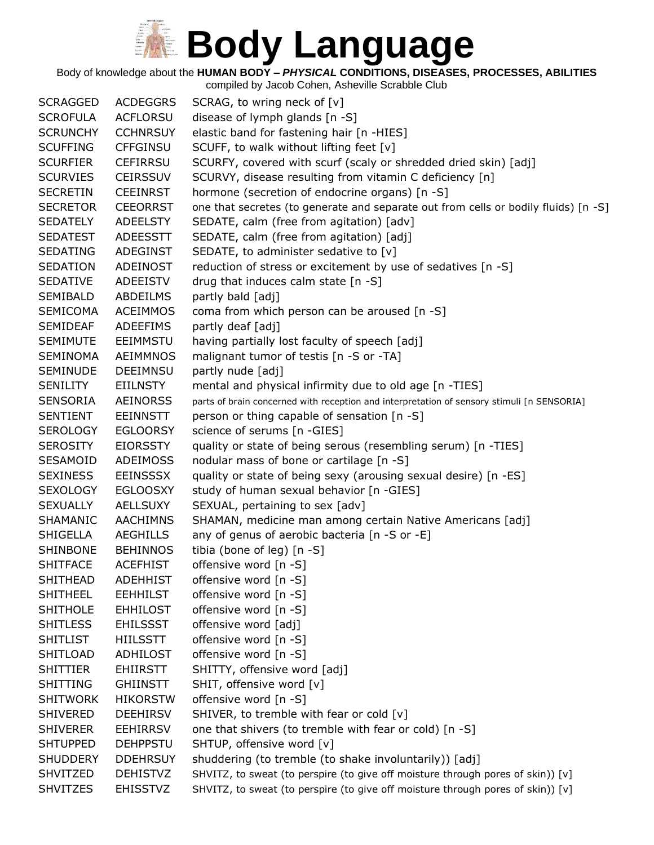Body of knowledge about the **HUMAN BODY –** *PHYSICAL* **CONDITIONS, DISEASES, PROCESSES, ABILITIES**

| <b>SCRAGGED</b> | <b>ACDEGGRS</b> | SCRAG, to wring neck of [v]                                                                |
|-----------------|-----------------|--------------------------------------------------------------------------------------------|
| <b>SCROFULA</b> | <b>ACFLORSU</b> | disease of lymph glands [n -S]                                                             |
| <b>SCRUNCHY</b> | <b>CCHNRSUY</b> | elastic band for fastening hair [n -HIES]                                                  |
| <b>SCUFFING</b> | <b>CFFGINSU</b> | SCUFF, to walk without lifting feet [v]                                                    |
| <b>SCURFIER</b> | <b>CEFIRRSU</b> | SCURFY, covered with scurf (scaly or shredded dried skin) [adj]                            |
| <b>SCURVIES</b> | <b>CEIRSSUV</b> | SCURVY, disease resulting from vitamin C deficiency [n]                                    |
| <b>SECRETIN</b> | <b>CEEINRST</b> | hormone (secretion of endocrine organs) [n -S]                                             |
| <b>SECRETOR</b> | <b>CEEORRST</b> | one that secretes (to generate and separate out from cells or bodily fluids) [n -S]        |
| <b>SEDATELY</b> | <b>ADEELSTY</b> | SEDATE, calm (free from agitation) [adv]                                                   |
| <b>SEDATEST</b> | <b>ADEESSTT</b> | SEDATE, calm (free from agitation) [adj]                                                   |
| <b>SEDATING</b> | <b>ADEGINST</b> | SEDATE, to administer sedative to [v]                                                      |
| SEDATION        | ADEINOST        | reduction of stress or excitement by use of sedatives [n -S]                               |
| <b>SEDATIVE</b> | <b>ADEEISTV</b> | drug that induces calm state [n -S]                                                        |
| SEMIBALD        | ABDEILMS        | partly bald [adj]                                                                          |
| <b>SEMICOMA</b> | <b>ACEIMMOS</b> | coma from which person can be aroused [n -S]                                               |
| <b>SEMIDEAF</b> | <b>ADEEFIMS</b> | partly deaf [adj]                                                                          |
| <b>SEMIMUTE</b> | <b>EEIMMSTU</b> | having partially lost faculty of speech [adj]                                              |
| <b>SEMINOMA</b> | <b>AEIMMNOS</b> | malignant tumor of testis [n -S or -TA]                                                    |
| <b>SEMINUDE</b> | <b>DEEIMNSU</b> | partly nude [adj]                                                                          |
| SENILITY        | <b>EIILNSTY</b> | mental and physical infirmity due to old age [n -TIES]                                     |
| <b>SENSORIA</b> | <b>AEINORSS</b> | parts of brain concerned with reception and interpretation of sensory stimuli [n SENSORIA] |
| <b>SENTIENT</b> | <b>EEINNSTT</b> | person or thing capable of sensation [n -S]                                                |
| <b>SEROLOGY</b> | <b>EGLOORSY</b> | science of serums [n -GIES]                                                                |
| <b>SEROSITY</b> | <b>EIORSSTY</b> | quality or state of being serous (resembling serum) [n -TIES]                              |
| SESAMOID        | <b>ADEIMOSS</b> | nodular mass of bone or cartilage [n -S]                                                   |
| <b>SEXINESS</b> | <b>EEINSSSX</b> | quality or state of being sexy (arousing sexual desire) [n -ES]                            |
| <b>SEXOLOGY</b> | <b>EGLOOSXY</b> | study of human sexual behavior [n -GIES]                                                   |
| <b>SEXUALLY</b> | <b>AELLSUXY</b> | SEXUAL, pertaining to sex [adv]                                                            |
| SHAMANIC        | <b>AACHIMNS</b> | SHAMAN, medicine man among certain Native Americans [adj]                                  |
| SHIGELLA        | <b>AEGHILLS</b> | any of genus of aerobic bacteria [n -S or -E]                                              |
| SHINBONE        | <b>BEHINNOS</b> | tibia (bone of leg) [n -S]                                                                 |
| <b>SHITFACE</b> | <b>ACEFHIST</b> | offensive word [n -S]                                                                      |
| <b>SHITHEAD</b> | <b>ADEHHIST</b> | offensive word [n -S]                                                                      |
| <b>SHITHEEL</b> | <b>EEHHILST</b> | offensive word [n -S]                                                                      |
| <b>SHITHOLE</b> | <b>EHHILOST</b> | offensive word [n -S]                                                                      |
| <b>SHITLESS</b> | <b>EHILSSST</b> | offensive word [adj]                                                                       |
| <b>SHITLIST</b> | <b>HIILSSTT</b> | offensive word [n -S]                                                                      |
| <b>SHITLOAD</b> | <b>ADHILOST</b> | offensive word [n -S]                                                                      |
| <b>SHITTIER</b> | <b>EHIIRSTT</b> | SHITTY, offensive word [adj]                                                               |
| <b>SHITTING</b> | <b>GHIINSTT</b> | SHIT, offensive word [v]                                                                   |
| <b>SHITWORK</b> | <b>HIKORSTW</b> | offensive word [n -S]                                                                      |
| <b>SHIVERED</b> | <b>DEEHIRSV</b> | SHIVER, to tremble with fear or cold [v]                                                   |
| <b>SHIVERER</b> | <b>EEHIRRSV</b> | one that shivers (to tremble with fear or cold) [n -S]                                     |
| <b>SHTUPPED</b> | <b>DEHPPSTU</b> | SHTUP, offensive word [v]                                                                  |
| <b>SHUDDERY</b> | <b>DDEHRSUY</b> | shuddering (to tremble (to shake involuntarily)) [adj]                                     |
| <b>SHVITZED</b> | <b>DEHISTVZ</b> | SHVITZ, to sweat (to perspire (to give off moisture through pores of skin)) [v]            |
| <b>SHVITZES</b> | <b>EHISSTVZ</b> | SHVITZ, to sweat (to perspire (to give off moisture through pores of skin)) [v]            |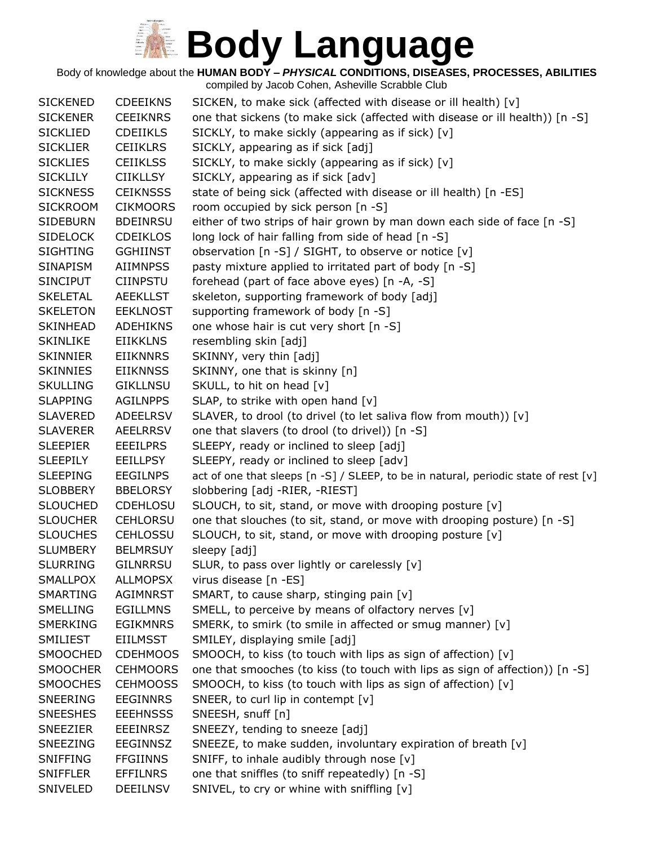Body of knowledge about the **HUMAN BODY –** *PHYSICAL* **CONDITIONS, DISEASES, PROCESSES, ABILITIES**

| <b>SICKENED</b> | <b>CDEEIKNS</b> | SICKEN, to make sick (affected with disease or ill health) [v]                      |
|-----------------|-----------------|-------------------------------------------------------------------------------------|
| <b>SICKENER</b> | <b>CEEIKNRS</b> | one that sickens (to make sick (affected with disease or ill health)) [n -S]        |
| <b>SICKLIED</b> | <b>CDEIIKLS</b> | SICKLY, to make sickly (appearing as if sick) [v]                                   |
| <b>SICKLIER</b> | <b>CEIIKLRS</b> | SICKLY, appearing as if sick [adj]                                                  |
| <b>SICKLIES</b> | <b>CEIIKLSS</b> | SICKLY, to make sickly (appearing as if sick) [v]                                   |
| <b>SICKLILY</b> | <b>CIIKLLSY</b> | SICKLY, appearing as if sick [adv]                                                  |
| <b>SICKNESS</b> | <b>CEIKNSSS</b> | state of being sick (affected with disease or ill health) [n -ES]                   |
| <b>SICKROOM</b> | <b>CIKMOORS</b> | room occupied by sick person [n -S]                                                 |
| <b>SIDEBURN</b> | <b>BDEINRSU</b> | either of two strips of hair grown by man down each side of face [n -S]             |
| <b>SIDELOCK</b> | <b>CDEIKLOS</b> | long lock of hair falling from side of head $[n -S]$                                |
| <b>SIGHTING</b> | <b>GGHIINST</b> | observation [n -S] / SIGHT, to observe or notice [v]                                |
| <b>SINAPISM</b> | <b>AIIMNPSS</b> | pasty mixture applied to irritated part of body [n -S]                              |
| <b>SINCIPUT</b> | <b>CIINPSTU</b> | forehead (part of face above eyes) [n -A, -S]                                       |
| <b>SKELETAL</b> | <b>AEEKLLST</b> | skeleton, supporting framework of body [adj]                                        |
| <b>SKELETON</b> | <b>EEKLNOST</b> | supporting framework of body [n -S]                                                 |
| <b>SKINHEAD</b> | <b>ADEHIKNS</b> | one whose hair is cut very short [n -S]                                             |
| <b>SKINLIKE</b> | <b>EIIKKLNS</b> | resembling skin [adj]                                                               |
| <b>SKINNIER</b> | <b>EIIKNNRS</b> | SKINNY, very thin [adj]                                                             |
| <b>SKINNIES</b> | <b>EIIKNNSS</b> | SKINNY, one that is skinny [n]                                                      |
| <b>SKULLING</b> | <b>GIKLLNSU</b> | SKULL, to hit on head [v]                                                           |
| <b>SLAPPING</b> | <b>AGILNPPS</b> | SLAP, to strike with open hand [v]                                                  |
| <b>SLAVERED</b> | <b>ADEELRSV</b> | SLAVER, to drool (to drivel (to let saliva flow from mouth)) [v]                    |
| <b>SLAVERER</b> | <b>AEELRRSV</b> | one that slavers (to drool (to drivel)) [n -S]                                      |
| <b>SLEEPIER</b> | <b>EEEILPRS</b> | SLEEPY, ready or inclined to sleep [adj]                                            |
| <b>SLEEPILY</b> | <b>EEILLPSY</b> | SLEEPY, ready or inclined to sleep [adv]                                            |
| <b>SLEEPING</b> | <b>EEGILNPS</b> | act of one that sleeps [n -S] / SLEEP, to be in natural, periodic state of rest [v] |
| <b>SLOBBERY</b> | <b>BBELORSY</b> | slobbering [adj -RIER, -RIEST]                                                      |
| <b>SLOUCHED</b> | <b>CDEHLOSU</b> | SLOUCH, to sit, stand, or move with drooping posture [v]                            |
| <b>SLOUCHER</b> | <b>CEHLORSU</b> | one that slouches (to sit, stand, or move with drooping posture) [n -S]             |
| <b>SLOUCHES</b> | <b>CEHLOSSU</b> | SLOUCH, to sit, stand, or move with drooping posture [v]                            |
| <b>SLUMBERY</b> | <b>BELMRSUY</b> | sleepy [adj]                                                                        |
| <b>SLURRING</b> | <b>GILNRRSU</b> | SLUR, to pass over lightly or carelessly [v]                                        |
| <b>SMALLPOX</b> | <b>ALLMOPSX</b> | virus disease [n -ES]                                                               |
| <b>SMARTING</b> | AGIMNRST        | SMART, to cause sharp, stinging pain [v]                                            |
| <b>SMELLING</b> | EGILLMNS        | SMELL, to perceive by means of olfactory nerves [v]                                 |
| <b>SMERKING</b> | <b>EGIKMNRS</b> | SMERK, to smirk (to smile in affected or smug manner) [v]                           |
| SMILIEST        | <b>EIILMSST</b> | SMILEY, displaying smile [adj]                                                      |
| <b>SMOOCHED</b> | <b>CDEHMOOS</b> | SMOOCH, to kiss (to touch with lips as sign of affection) [v]                       |
| <b>SMOOCHER</b> | <b>CEHMOORS</b> | one that smooches (to kiss (to touch with lips as sign of affection)) [n -S]        |
| <b>SMOOCHES</b> | <b>CEHMOOSS</b> | SMOOCH, to kiss (to touch with lips as sign of affection) [v]                       |
| SNEERING        | EEGINNRS        | SNEER, to curl lip in contempt [v]                                                  |
| <b>SNEESHES</b> | <b>EEEHNSSS</b> | SNEESH, snuff [n]                                                                   |
| <b>SNEEZIER</b> | <b>EEEINRSZ</b> | SNEEZY, tending to sneeze [adj]                                                     |
| <b>SNEEZING</b> | <b>EEGINNSZ</b> | SNEEZE, to make sudden, involuntary expiration of breath [v]                        |
| <b>SNIFFING</b> | <b>FFGIINNS</b> | SNIFF, to inhale audibly through nose [v]                                           |
| <b>SNIFFLER</b> | <b>EFFILNRS</b> | one that sniffles (to sniff repeatedly) [n -S]                                      |
| SNIVELED        | <b>DEEILNSV</b> | SNIVEL, to cry or whine with sniffling [v]                                          |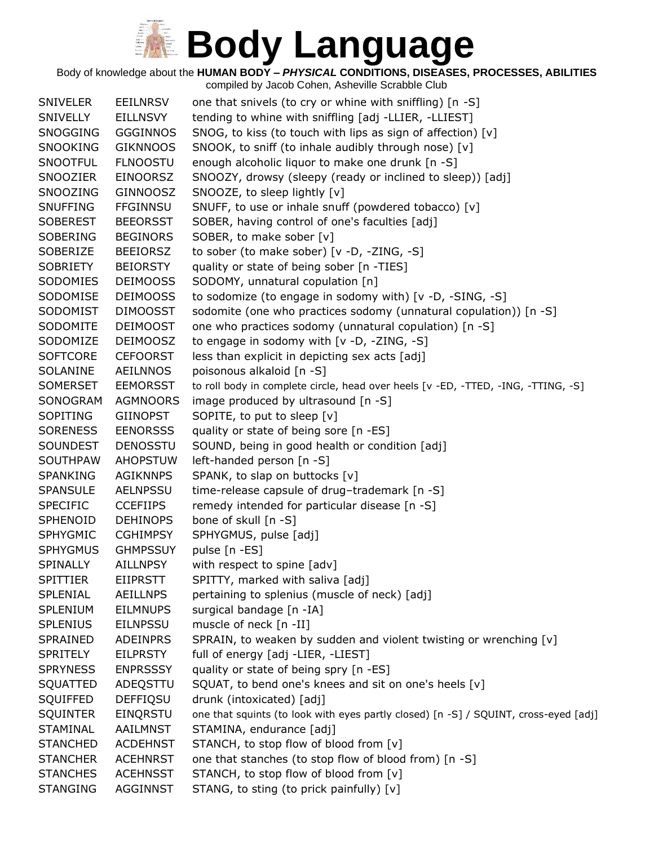Body of knowledge about the **HUMAN BODY –** *PHYSICAL* **CONDITIONS, DISEASES, PROCESSES, ABILITIES**

compiled by Jacob Cohen, Asheville Scrabble Club SNIVELER EEILNRSV one that snivels (to cry or whine with sniffling) [n -S] SNIVELLY EILLNSVY tending to whine with sniffling [adj -LLIER, -LLIEST] SNOGGING GGGINNOS SNOG, to kiss (to touch with lips as sign of affection)  $[v]$ SNOOKING GIKNNOOS SNOOK, to sniff (to inhale audibly through nose) [v] SNOOTFUL FLNOOSTU enough alcoholic liquor to make one drunk [n -S] SNOOZIER EINOORSZ SNOOZY, drowsy (sleepy (ready or inclined to sleep)) [adj] SNOOZING GINNOOSZ SNOOZE, to sleep lightly [v] SNUFFING FFGINNSU SNUFF, to use or inhale snuff (powdered tobacco) [v] SOBEREST BEEORSST SOBER, having control of one's faculties [adj] SOBERING BEGINORS SOBER, to make sober [v] SOBERIZE BEEIORSZ to sober (to make sober) [v -D, -ZING, -S] SOBRIETY BEIORSTY quality or state of being sober [n -TIES] SODOMIES DEIMOOSS SODOMY, unnatural copulation [n] SODOMISE DEIMOOSS to sodomize (to engage in sodomy with) [v -D, -SING, -S] SODOMIST DIMOOSST sodomite (one who practices sodomy (unnatural copulation)) [n -S] SODOMITE DEIMOOST one who practices sodomy (unnatural copulation) [n -S] SODOMIZE DEIMOOSZ to engage in sodomy with [v -D, -ZING, -S] SOFTCORE CEFOORST less than explicit in depicting sex acts [adj] SOLANINE AEILNNOS poisonous alkaloid [n -S] SOMERSET EEMORSST to roll body in complete circle, head over heels [v -ED, -TTED, -ING, -TTING, -S] SONOGRAM AGMNOORS image produced by ultrasound [n -S] SOPITING GIINOPST SOPITE, to put to sleep [v] SORENESS EENORSSS quality or state of being sore [n -ES] SOUNDEST DENOSSTU SOUND, being in good health or condition [adj] SOUTHPAW AHOPSTUW left-handed person [n -S] SPANKING AGIKNNPS SPANK, to slap on buttocks [v] SPANSULE AELNPSSU time-release capsule of drug–trademark [n -S] SPECIFIC CCEFIIPS remedy intended for particular disease [n -S] SPHENOID DEHINOPS bone of skull [n -S] SPHYGMIC CGHIMPSY SPHYGMUS, pulse [adj] SPHYGMUS GHMPSSUY pulse [n -ES] SPINALLY AILLNPSY with respect to spine [adv] SPITTIER EIIPRSTT SPITTY, marked with saliva [adj] SPLENIAL AEILLNPS pertaining to splenius (muscle of neck) [adj] SPLENIUM EILMNUPS surgical bandage [n -IA] SPLENIUS EILNPSSU muscle of neck [n -II] SPRAINED ADEINPRS SPRAIN, to weaken by sudden and violent twisting or wrenching [v] SPRITELY EILPRSTY full of energy [adj -LIER, -LIEST] SPRYNESS ENPRSSSY quality or state of being spry [n -ES] SQUATTED ADEQSTTU SQUAT, to bend one's knees and sit on one's heels [v] SQUIFFED DEFFIQSU drunk (intoxicated) [adj] SQUINTER EINQRSTU one that squints (to look with eyes partly closed) [n -S] / SQUINT, cross-eyed [adj] STAMINAL AAILMNST STAMINA, endurance [adj] STANCHED ACDEHNST STANCH, to stop flow of blood from [v] STANCHER ACEHNRST one that stanches (to stop flow of blood from) [n -S] STANCHES ACEHNSST STANCH, to stop flow of blood from [v]

STANGING AGGINNST STANG, to sting (to prick painfully) [v]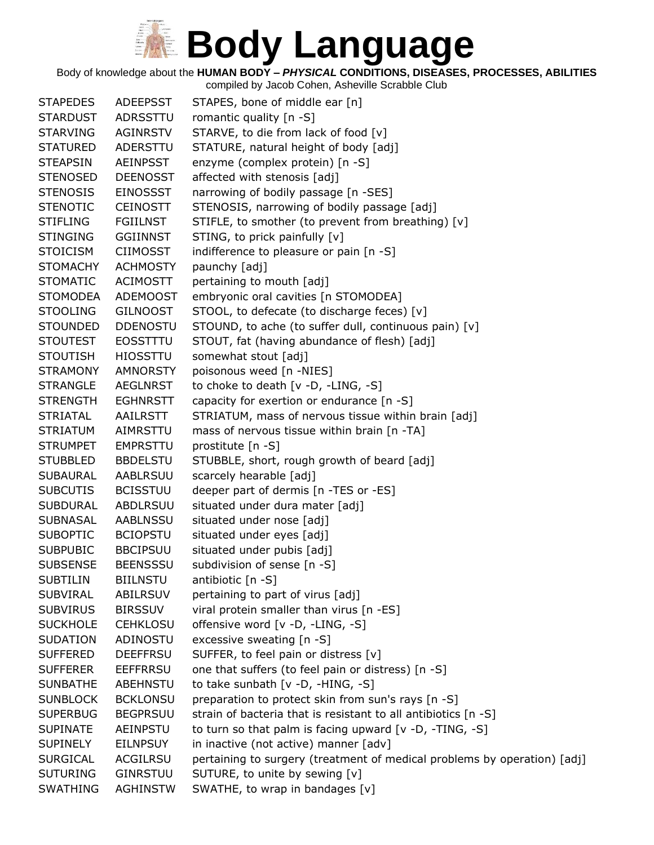Body of knowledge about the **HUMAN BODY –** *PHYSICAL* **CONDITIONS, DISEASES, PROCESSES, ABILITIES**

| <b>STAPEDES</b> | <b>ADEEPSST</b> | STAPES, bone of middle ear [n]                                           |
|-----------------|-----------------|--------------------------------------------------------------------------|
| <b>STARDUST</b> | ADRSSTTU        | romantic quality [n -S]                                                  |
| <b>STARVING</b> | AGINRSTV        | STARVE, to die from lack of food [v]                                     |
| <b>STATURED</b> | ADERSTTU        | STATURE, natural height of body [adj]                                    |
| <b>STEAPSIN</b> | AEINPSST        | enzyme (complex protein) [n -S]                                          |
| <b>STENOSED</b> | <b>DEENOSST</b> | affected with stenosis [adj]                                             |
| <b>STENOSIS</b> | <b>EINOSSST</b> | narrowing of bodily passage [n -SES]                                     |
| <b>STENOTIC</b> | <b>CEINOSTT</b> | STENOSIS, narrowing of bodily passage [adj]                              |
| <b>STIFLING</b> | FGIILNST        | STIFLE, to smother (to prevent from breathing) [v]                       |
| <b>STINGING</b> | <b>GGIINNST</b> | STING, to prick painfully [v]                                            |
| <b>STOICISM</b> | <b>CIIMOSST</b> | indifference to pleasure or pain [n -S]                                  |
| <b>STOMACHY</b> | <b>ACHMOSTY</b> | paunchy [adj]                                                            |
| <b>STOMATIC</b> | <b>ACIMOSTT</b> | pertaining to mouth [adj]                                                |
| <b>STOMODEA</b> | <b>ADEMOOST</b> | embryonic oral cavities [n STOMODEA]                                     |
| <b>STOOLING</b> | <b>GILNOOST</b> | STOOL, to defecate (to discharge feces) [v]                              |
| <b>STOUNDED</b> | <b>DDENOSTU</b> | STOUND, to ache (to suffer dull, continuous pain) [v]                    |
| <b>STOUTEST</b> | <b>EOSSTTTU</b> | STOUT, fat (having abundance of flesh) [adj]                             |
| <b>STOUTISH</b> | <b>HIOSSTTU</b> | somewhat stout [adj]                                                     |
| <b>STRAMONY</b> | <b>AMNORSTY</b> | poisonous weed [n -NIES]                                                 |
| <b>STRANGLE</b> | <b>AEGLNRST</b> | to choke to death $[v -D, -LING, -S]$                                    |
| <b>STRENGTH</b> | <b>EGHNRSTT</b> | capacity for exertion or endurance [n -S]                                |
| <b>STRIATAL</b> | AAILRSTT        | STRIATUM, mass of nervous tissue within brain [adj]                      |
| <b>STRIATUM</b> | AIMRSTTU        | mass of nervous tissue within brain [n -TA]                              |
| <b>STRUMPET</b> | <b>EMPRSTTU</b> | prostitute [n -S]                                                        |
| <b>STUBBLED</b> | <b>BBDELSTU</b> | STUBBLE, short, rough growth of beard [adj]                              |
| SUBAURAL        | AABLRSUU        | scarcely hearable [adj]                                                  |
| <b>SUBCUTIS</b> | <b>BCISSTUU</b> | deeper part of dermis [n -TES or -ES]                                    |
| <b>SUBDURAL</b> | <b>ABDLRSUU</b> | situated under dura mater [adj]                                          |
| <b>SUBNASAL</b> | <b>AABLNSSU</b> | situated under nose [adj]                                                |
| <b>SUBOPTIC</b> | <b>BCIOPSTU</b> | situated under eyes [adj]                                                |
| <b>SUBPUBIC</b> | <b>BBCIPSUU</b> | situated under pubis [adj]                                               |
| <b>SUBSENSE</b> | <b>BEENSSSU</b> | subdivision of sense [n -S]                                              |
| <b>SUBTILIN</b> | <b>BIILNSTU</b> | antibiotic [n -S]                                                        |
| <b>SUBVIRAL</b> | ABILRSUV        | pertaining to part of virus [adj]                                        |
| <b>SUBVIRUS</b> | <b>BIRSSUV</b>  | viral protein smaller than virus [n -ES]                                 |
| <b>SUCKHOLE</b> | <b>CEHKLOSU</b> | offensive word [v -D, -LING, -S]                                         |
| <b>SUDATION</b> | ADINOSTU        | excessive sweating [n -S]                                                |
| <b>SUFFERED</b> | <b>DEEFFRSU</b> | SUFFER, to feel pain or distress [v]                                     |
| <b>SUFFERER</b> | <b>EEFFRRSU</b> | one that suffers (to feel pain or distress) [n -S]                       |
| <b>SUNBATHE</b> | ABEHNSTU        | to take sunbath [v -D, -HING, -S]                                        |
| <b>SUNBLOCK</b> | <b>BCKLONSU</b> | preparation to protect skin from sun's rays [n -S]                       |
| <b>SUPERBUG</b> | <b>BEGPRSUU</b> | strain of bacteria that is resistant to all antibiotics [n -S]           |
| <b>SUPINATE</b> | AEINPSTU        | to turn so that palm is facing upward [v -D, -TING, -S]                  |
| <b>SUPINELY</b> | <b>EILNPSUY</b> | in inactive (not active) manner [adv]                                    |
| <b>SURGICAL</b> | ACGILRSU        | pertaining to surgery (treatment of medical problems by operation) [adj] |
| <b>SUTURING</b> | <b>GINRSTUU</b> | SUTURE, to unite by sewing [v]                                           |
| <b>SWATHING</b> | <b>AGHINSTW</b> | SWATHE, to wrap in bandages [v]                                          |
|                 |                 |                                                                          |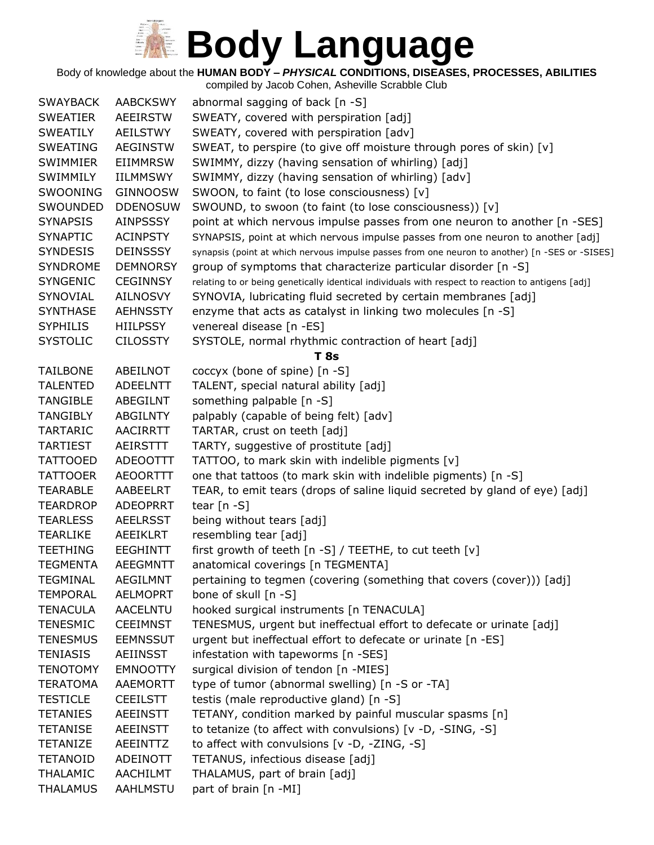Body of knowledge about the **HUMAN BODY –** *PHYSICAL* **CONDITIONS, DISEASES, PROCESSES, ABILITIES**

| <b>SWAYBACK</b> | <b>AABCKSWY</b> | abnormal sagging of back $[n - S]$                                                                |
|-----------------|-----------------|---------------------------------------------------------------------------------------------------|
| <b>SWEATIER</b> | <b>AEEIRSTW</b> | SWEATY, covered with perspiration [adj]                                                           |
| <b>SWEATILY</b> | <b>AEILSTWY</b> | SWEATY, covered with perspiration [adv]                                                           |
| <b>SWEATING</b> | <b>AEGINSTW</b> | SWEAT, to perspire (to give off moisture through pores of skin) [v]                               |
| SWIMMIER        | <b>EIIMMRSW</b> | SWIMMY, dizzy (having sensation of whirling) [adj]                                                |
| SWIMMILY        | IILMMSWY        | SWIMMY, dizzy (having sensation of whirling) [adv]                                                |
| SWOONING        | <b>GINNOOSW</b> | SWOON, to faint (to lose consciousness) [v]                                                       |
| SWOUNDED        | <b>DDENOSUW</b> | SWOUND, to swoon (to faint (to lose consciousness)) [v]                                           |
| <b>SYNAPSIS</b> | <b>AINPSSSY</b> | point at which nervous impulse passes from one neuron to another [n -SES]                         |
| <b>SYNAPTIC</b> | <b>ACINPSTY</b> | SYNAPSIS, point at which nervous impulse passes from one neuron to another [adj]                  |
| <b>SYNDESIS</b> | <b>DEINSSSY</b> | synapsis (point at which nervous impulse passes from one neuron to another) [n -SES or -SISES]    |
| <b>SYNDROME</b> | <b>DEMNORSY</b> | group of symptoms that characterize particular disorder [n -S]                                    |
| <b>SYNGENIC</b> | <b>CEGINNSY</b> | relating to or being genetically identical individuals with respect to reaction to antigens [adj] |
| SYNOVIAL        | <b>AILNOSVY</b> | SYNOVIA, lubricating fluid secreted by certain membranes [adj]                                    |
| <b>SYNTHASE</b> | <b>AEHNSSTY</b> | enzyme that acts as catalyst in linking two molecules [n -S]                                      |
| <b>SYPHILIS</b> | <b>HIILPSSY</b> | venereal disease [n -ES]                                                                          |
| <b>SYSTOLIC</b> | <b>CILOSSTY</b> | SYSTOLE, normal rhythmic contraction of heart [adj]                                               |
|                 |                 | T 8s                                                                                              |
| <b>TAILBONE</b> | ABEILNOT        | coccyx (bone of spine) [n -S]                                                                     |
| <b>TALENTED</b> | <b>ADEELNTT</b> | TALENT, special natural ability [adj]                                                             |
| <b>TANGIBLE</b> | ABEGILNT        | something palpable [n -S]                                                                         |
| <b>TANGIBLY</b> | <b>ABGILNTY</b> | palpably (capable of being felt) [adv]                                                            |
| <b>TARTARIC</b> | <b>AACIRRTT</b> | TARTAR, crust on teeth [adj]                                                                      |
| <b>TARTIEST</b> | AEIRSTTT        | TARTY, suggestive of prostitute [adj]                                                             |
| <b>TATTOOED</b> | ADEOOTTT        | TATTOO, to mark skin with indelible pigments [v]                                                  |
| <b>TATTOOER</b> | <b>AEOORTTT</b> | one that tattoos (to mark skin with indelible pigments) [n -S]                                    |
| <b>TEARABLE</b> | AABEELRT        | TEAR, to emit tears (drops of saline liquid secreted by gland of eye) [adj]                       |
| <b>TEARDROP</b> | <b>ADEOPRRT</b> | tear $[n - S]$                                                                                    |
| <b>TEARLESS</b> | <b>AEELRSST</b> | being without tears [adj]                                                                         |
| <b>TEARLIKE</b> | <b>AEEIKLRT</b> | resembling tear [adj]                                                                             |
| <b>TEETHING</b> | <b>EEGHINTT</b> | first growth of teeth [n -S] / TEETHE, to cut teeth [v]                                           |
| <b>TEGMENTA</b> | <b>AEEGMNTT</b> | anatomical coverings [n TEGMENTA]                                                                 |
| <b>TEGMINAL</b> | <b>AEGILMNT</b> | pertaining to tegmen (covering (something that covers (cover))) [adj]                             |
| <b>TEMPORAL</b> | <b>AELMOPRT</b> | bone of skull [n -S]                                                                              |
| <b>TENACULA</b> | <b>AACELNTU</b> | hooked surgical instruments [n TENACULA]                                                          |
| <b>TENESMIC</b> | <b>CEEIMNST</b> | TENESMUS, urgent but ineffectual effort to defecate or urinate [adj]                              |
| <b>TENESMUS</b> | <b>EEMNSSUT</b> | urgent but ineffectual effort to defecate or urinate [n -ES]                                      |
| <b>TENIASIS</b> | AEIINSST        | infestation with tapeworms [n -SES]                                                               |
| <b>TENOTOMY</b> | <b>EMNOOTTY</b> | surgical division of tendon [n -MIES]                                                             |
| <b>TERATOMA</b> | AAEMORTT        | type of tumor (abnormal swelling) [n -S or -TA]                                                   |
| <b>TESTICLE</b> | <b>CEEILSTT</b> | testis (male reproductive gland) [n -S]                                                           |
| <b>TETANIES</b> | <b>AEEINSTT</b> | TETANY, condition marked by painful muscular spasms [n]                                           |
| <b>TETANISE</b> | <b>AEEINSTT</b> | to tetanize (to affect with convulsions) [v -D, -SING, -S]                                        |
| <b>TETANIZE</b> | AEEINTTZ        | to affect with convulsions $[v -D, -ZING, -S]$                                                    |
| <b>TETANOID</b> | ADEINOTT        | TETANUS, infectious disease [adj]                                                                 |
| <b>THALAMIC</b> | AACHILMT        | THALAMUS, part of brain [adj]                                                                     |
| <b>THALAMUS</b> | AAHLMSTU        | part of brain [n -MI]                                                                             |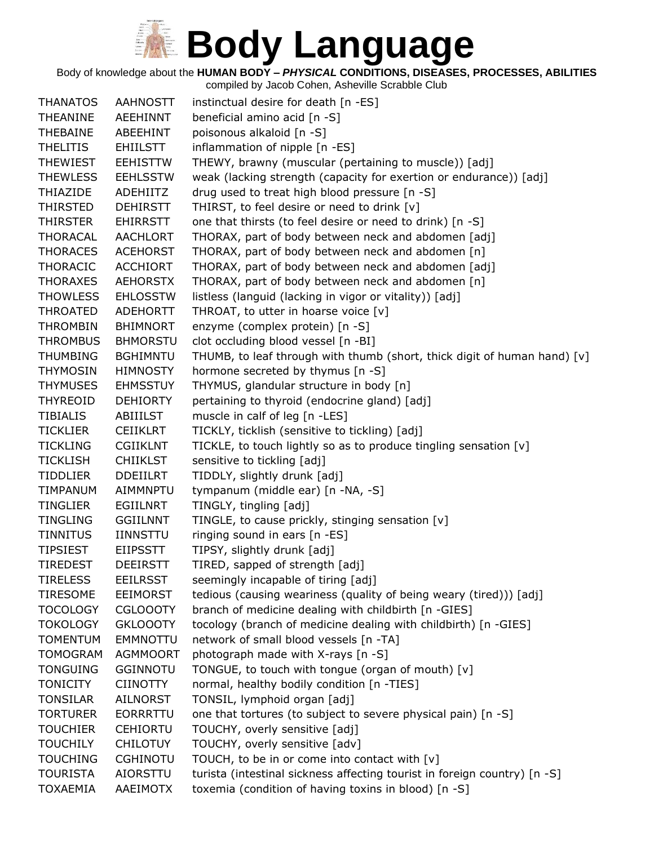Body of knowledge about the **HUMAN BODY –** *PHYSICAL* **CONDITIONS, DISEASES, PROCESSES, ABILITIES**

| <b>THANATOS</b>                    | <b>AAHNOSTT</b>                    | instinctual desire for death [n -ES]                                       |
|------------------------------------|------------------------------------|----------------------------------------------------------------------------|
| THEANINE                           | AEEHINNT                           | beneficial amino acid [n -S]                                               |
| <b>THEBAINE</b>                    | ABEEHINT                           | poisonous alkaloid [n -S]                                                  |
| <b>THELITIS</b>                    | <b>EHIILSTT</b>                    | inflammation of nipple [n -ES]                                             |
| <b>THEWIEST</b>                    | <b>EEHISTTW</b>                    | THEWY, brawny (muscular (pertaining to muscle)) [adj]                      |
| <b>THEWLESS</b>                    | <b>EEHLSSTW</b>                    | weak (lacking strength (capacity for exertion or endurance)) [adj]         |
| <b>THIAZIDE</b>                    | <b>ADEHIITZ</b>                    | drug used to treat high blood pressure [n -S]                              |
| <b>THIRSTED</b>                    | <b>DEHIRSTT</b>                    | THIRST, to feel desire or need to drink [v]                                |
| THIRSTER                           | <b>EHIRRSTT</b>                    | one that thirsts (to feel desire or need to drink) [n -S]                  |
| THORACAL                           | <b>AACHLORT</b>                    | THORAX, part of body between neck and abdomen [adj]                        |
| <b>THORACES</b>                    | <b>ACEHORST</b>                    | THORAX, part of body between neck and abdomen [n]                          |
| <b>THORACIC</b>                    | <b>ACCHIORT</b>                    | THORAX, part of body between neck and abdomen [adj]                        |
| <b>THORAXES</b>                    | <b>AEHORSTX</b>                    | THORAX, part of body between neck and abdomen [n]                          |
| <b>THOWLESS</b>                    | <b>EHLOSSTW</b>                    | listless (languid (lacking in vigor or vitality)) [adj]                    |
| THROATED                           | <b>ADEHORTT</b>                    | THROAT, to utter in hoarse voice [v]                                       |
| <b>THROMBIN</b>                    | <b>BHIMNORT</b>                    | enzyme (complex protein) [n -S]                                            |
| <b>THROMBUS</b>                    | <b>BHMORSTU</b>                    | clot occluding blood vessel [n -BI]                                        |
| <b>THUMBING</b>                    | <b>BGHIMNTU</b>                    | THUMB, to leaf through with thumb (short, thick digit of human hand) [v]   |
| <b>THYMOSIN</b>                    | <b>HIMNOSTY</b>                    | hormone secreted by thymus [n -S]                                          |
| <b>THYMUSES</b>                    | <b>EHMSSTUY</b>                    | THYMUS, glandular structure in body [n]                                    |
| <b>THYREOID</b>                    | <b>DEHIORTY</b>                    | pertaining to thyroid (endocrine gland) [adj]                              |
| <b>TIBIALIS</b>                    | ABIIILST                           | muscle in calf of leg [n -LES]                                             |
| <b>TICKLIER</b>                    | <b>CEIIKLRT</b>                    | TICKLY, ticklish (sensitive to tickling) [adj]                             |
| <b>TICKLING</b>                    | <b>CGIIKLNT</b>                    | TICKLE, to touch lightly so as to produce tingling sensation [v]           |
| <b>TICKLISH</b>                    | <b>CHIIKLST</b>                    | sensitive to tickling [adj]                                                |
| <b>TIDDLIER</b>                    | <b>DDEIILRT</b>                    | TIDDLY, slightly drunk [adj]                                               |
| <b>TIMPANUM</b>                    | AIMMNPTU                           | tympanum (middle ear) [n -NA, -S]                                          |
| <b>TINGLIER</b>                    | <b>EGIILNRT</b>                    | TINGLY, tingling [adj]                                                     |
| <b>TINGLING</b>                    | <b>GGIILNNT</b>                    | TINGLE, to cause prickly, stinging sensation [v]                           |
| <b>TINNITUS</b>                    | <b>IINNSTTU</b>                    | ringing sound in ears [n -ES]                                              |
| <b>TIPSIEST</b>                    | <b>EIIPSSTT</b>                    | TIPSY, slightly drunk [adj]                                                |
| <b>TIREDEST</b>                    | <b>DEEIRSTT</b>                    | TIRED, sapped of strength [adj]                                            |
| <b>TIRELESS</b>                    | <b>EEILRSST</b>                    | seemingly incapable of tiring [adj]                                        |
| <b>TIRESOME</b>                    | <b>EEIMORST</b>                    | tedious (causing weariness (quality of being weary (tired))) [adj]         |
| <b>TOCOLOGY</b>                    | <b>CGLOOOTY</b>                    | branch of medicine dealing with childbirth [n -GIES]                       |
| <b>TOKOLOGY</b>                    | <b>GKLOOOTY</b>                    | tocology (branch of medicine dealing with childbirth) [n -GIES]            |
| <b>TOMENTUM</b><br><b>TOMOGRAM</b> | <b>EMMNOTTU</b>                    | network of small blood vessels [n -TA]                                     |
| <b>TONGUING</b>                    | <b>AGMMOORT</b><br><b>GGINNOTU</b> | photograph made with X-rays [n -S]                                         |
| <b>TONICITY</b>                    |                                    | TONGUE, to touch with tongue (organ of mouth) [v]                          |
| <b>TONSILAR</b>                    | CIINOTTY<br>AILNORST               | normal, healthy bodily condition [n -TIES]<br>TONSIL, lymphoid organ [adj] |
| <b>TORTURER</b>                    | <b>EORRRTTU</b>                    | one that tortures (to subject to severe physical pain) [n -S]              |
| <b>TOUCHIER</b>                    | <b>CEHIORTU</b>                    | TOUCHY, overly sensitive [adj]                                             |
| <b>TOUCHILY</b>                    | <b>CHILOTUY</b>                    | TOUCHY, overly sensitive [adv]                                             |
| <b>TOUCHING</b>                    | <b>CGHINOTU</b>                    | TOUCH, to be in or come into contact with [v]                              |
| <b>TOURISTA</b>                    | AIORSTTU                           | turista (intestinal sickness affecting tourist in foreign country) [n -S]  |
| <b>TOXAEMIA</b>                    | AAEIMOTX                           | toxemia (condition of having toxins in blood) [n -S]                       |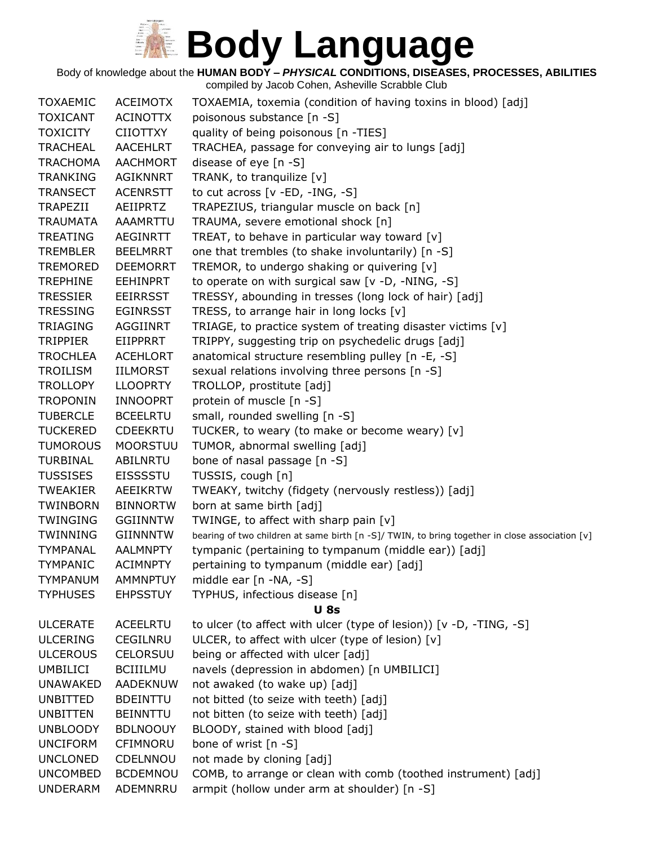Body of knowledge about the **HUMAN BODY –** *PHYSICAL* **CONDITIONS, DISEASES, PROCESSES, ABILITIES**

| <b>TOXAEMIC</b> | <b>ACEIMOTX</b> | TOXAEMIA, toxemia (condition of having toxins in blood) [adj]                                  |  |
|-----------------|-----------------|------------------------------------------------------------------------------------------------|--|
| <b>TOXICANT</b> | <b>ACINOTTX</b> | poisonous substance [n -S]                                                                     |  |
| <b>TOXICITY</b> | <b>CIIOTTXY</b> | quality of being poisonous [n -TIES]                                                           |  |
| <b>TRACHEAL</b> | <b>AACEHLRT</b> | TRACHEA, passage for conveying air to lungs [adj]                                              |  |
| <b>TRACHOMA</b> | <b>AACHMORT</b> | disease of eye $[n - S]$                                                                       |  |
| <b>TRANKING</b> | <b>AGIKNNRT</b> | TRANK, to tranquilize [v]                                                                      |  |
| <b>TRANSECT</b> | <b>ACENRSTT</b> | to cut across $[v - ED, -ING, -S]$                                                             |  |
| <b>TRAPEZII</b> | AEIIPRTZ        | TRAPEZIUS, triangular muscle on back [n]                                                       |  |
| <b>TRAUMATA</b> | AAAMRTTU        | TRAUMA, severe emotional shock [n]                                                             |  |
| <b>TREATING</b> | <b>AEGINRTT</b> | TREAT, to behave in particular way toward [v]                                                  |  |
| <b>TREMBLER</b> | <b>BEELMRRT</b> | one that trembles (to shake involuntarily) [n -S]                                              |  |
| <b>TREMORED</b> | <b>DEEMORRT</b> | TREMOR, to undergo shaking or quivering [v]                                                    |  |
| <b>TREPHINE</b> | <b>EEHINPRT</b> | to operate on with surgical saw [v -D, -NING, -S]                                              |  |
| <b>TRESSIER</b> | <b>EEIRRSST</b> | TRESSY, abounding in tresses (long lock of hair) [adj]                                         |  |
| <b>TRESSING</b> | <b>EGINRSST</b> | TRESS, to arrange hair in long locks [v]                                                       |  |
| <b>TRIAGING</b> | AGGIINRT        | TRIAGE, to practice system of treating disaster victims [v]                                    |  |
| <b>TRIPPIER</b> | EIIPPRRT        | TRIPPY, suggesting trip on psychedelic drugs [adj]                                             |  |
| <b>TROCHLEA</b> | <b>ACEHLORT</b> | anatomical structure resembling pulley [n -E, -S]                                              |  |
| TROILISM        | IILMORST        | sexual relations involving three persons [n -S]                                                |  |
| <b>TROLLOPY</b> | <b>LLOOPRTY</b> | TROLLOP, prostitute [adj]                                                                      |  |
| <b>TROPONIN</b> | <b>INNOOPRT</b> | protein of muscle [n -S]                                                                       |  |
| <b>TUBERCLE</b> | <b>BCEELRTU</b> | small, rounded swelling [n -S]                                                                 |  |
| <b>TUCKERED</b> | <b>CDEEKRTU</b> | TUCKER, to weary (to make or become weary) [v]                                                 |  |
| <b>TUMOROUS</b> | <b>MOORSTUU</b> | TUMOR, abnormal swelling [adj]                                                                 |  |
| <b>TURBINAL</b> | ABILNRTU        | bone of nasal passage [n -S]                                                                   |  |
| <b>TUSSISES</b> | <b>EISSSSTU</b> | TUSSIS, cough [n]                                                                              |  |
| <b>TWEAKIER</b> | <b>AEEIKRTW</b> | TWEAKY, twitchy (fidgety (nervously restless)) [adj]                                           |  |
| <b>TWINBORN</b> | <b>BINNORTW</b> | born at same birth [adj]                                                                       |  |
| <b>TWINGING</b> | <b>GGIINNTW</b> | TWINGE, to affect with sharp pain [v]                                                          |  |
| <b>TWINNING</b> | <b>GIINNNTW</b> | bearing of two children at same birth [n -S]/ TWIN, to bring together in close association [v] |  |
| TYMPANAL        | <b>AALMNPTY</b> | tympanic (pertaining to tympanum (middle ear)) [adj]                                           |  |
| <b>TYMPANIC</b> | <b>ACIMNPTY</b> | pertaining to tympanum (middle ear) [adj]                                                      |  |
| <b>TYMPANUM</b> | <b>AMMNPTUY</b> | middle ear [n -NA, -S]                                                                         |  |
| <b>TYPHUSES</b> | <b>EHPSSTUY</b> | TYPHUS, infectious disease [n]                                                                 |  |
|                 |                 | <b>U</b> 8s                                                                                    |  |
| <b>ULCERATE</b> | <b>ACEELRTU</b> | to ulcer (to affect with ulcer (type of lesion)) [v -D, -TING, -S]                             |  |
| <b>ULCERING</b> | CEGILNRU        | ULCER, to affect with ulcer (type of lesion) [v]                                               |  |
| <b>ULCEROUS</b> | CELORSUU        | being or affected with ulcer [adj]                                                             |  |
| <b>UMBILICI</b> | <b>BCIIILMU</b> | navels (depression in abdomen) [n UMBILICI]                                                    |  |
| <b>UNAWAKED</b> | AADEKNUW        | not awaked (to wake up) [adj]                                                                  |  |
| <b>UNBITTED</b> | <b>BDEINTTU</b> | not bitted (to seize with teeth) [adj]                                                         |  |
| <b>UNBITTEN</b> | <b>BEINNTTU</b> | not bitten (to seize with teeth) [adj]                                                         |  |
| <b>UNBLOODY</b> | <b>BDLNOOUY</b> | BLOODY, stained with blood [adj]                                                               |  |
| <b>UNCIFORM</b> | CFIMNORU        | bone of wrist [n -S]                                                                           |  |
| <b>UNCLONED</b> | CDELNNOU        | not made by cloning [adj]                                                                      |  |
| <b>UNCOMBED</b> | <b>BCDEMNOU</b> | COMB, to arrange or clean with comb (toothed instrument) [adj]                                 |  |
| <b>UNDERARM</b> | ADEMNRRU        | armpit (hollow under arm at shoulder) [n -S]                                                   |  |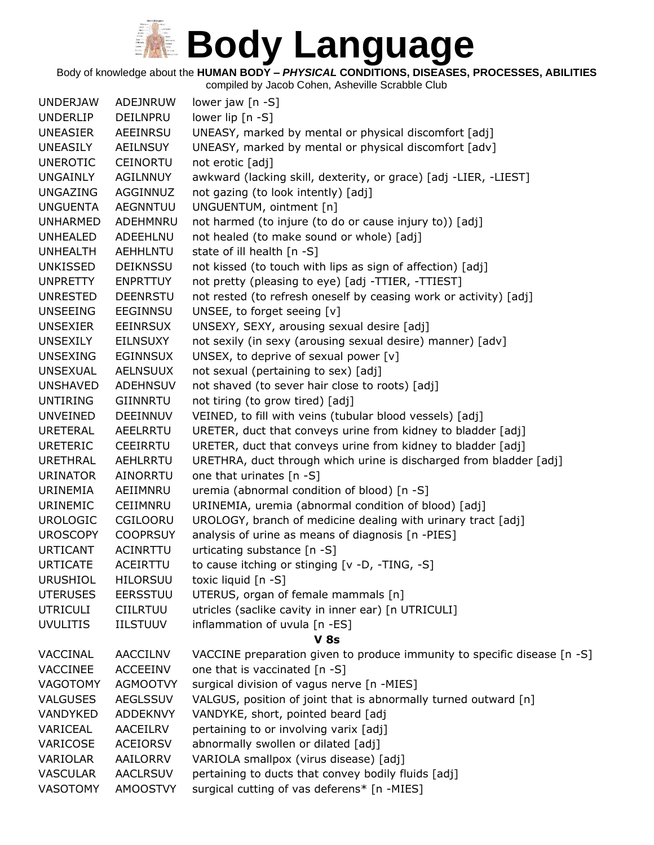Body of knowledge about the **HUMAN BODY –** *PHYSICAL* **CONDITIONS, DISEASES, PROCESSES, ABILITIES**

| <b>UNDERJAW</b> | ADEJNRUW        | lower jaw [n -S]                                                         |
|-----------------|-----------------|--------------------------------------------------------------------------|
| <b>UNDERLIP</b> | DEILNPRU        | lower lip [n -S]                                                         |
| <b>UNEASIER</b> | AEEINRSU        | UNEASY, marked by mental or physical discomfort [adj]                    |
| UNEASILY        | AEILNSUY        | UNEASY, marked by mental or physical discomfort [adv]                    |
| <b>UNEROTIC</b> | <b>CEINORTU</b> | not erotic [adj]                                                         |
| UNGAINLY        | <b>AGILNNUY</b> | awkward (lacking skill, dexterity, or grace) [adj -LIER, -LIEST]         |
| UNGAZING        | AGGINNUZ        | not gazing (to look intently) [adj]                                      |
| <b>UNGUENTA</b> | <b>AEGNNTUU</b> | UNGUENTUM, ointment [n]                                                  |
| <b>UNHARMED</b> | ADEHMNRU        | not harmed (to injure (to do or cause injury to)) [adj]                  |
| UNHEALED        | ADEEHLNU        | not healed (to make sound or whole) [adj]                                |
| <b>UNHEALTH</b> | <b>AEHHLNTU</b> | state of ill health [n -S]                                               |
| UNKISSED        | DEIKNSSU        | not kissed (to touch with lips as sign of affection) [adj]               |
| <b>UNPRETTY</b> | <b>ENPRTTUY</b> | not pretty (pleasing to eye) [adj -TTIER, -TTIEST]                       |
| <b>UNRESTED</b> | <b>DEENRSTU</b> | not rested (to refresh oneself by ceasing work or activity) [adj]        |
| <b>UNSEEING</b> | EEGINNSU        | UNSEE, to forget seeing [v]                                              |
| UNSEXIER        | EEINRSUX        | UNSEXY, SEXY, arousing sexual desire [adj]                               |
| <b>UNSEXILY</b> | EILNSUXY        | not sexily (in sexy (arousing sexual desire) manner) [adv]               |
| <b>UNSEXING</b> | <b>EGINNSUX</b> | UNSEX, to deprive of sexual power [v]                                    |
| <b>UNSEXUAL</b> | <b>AELNSUUX</b> | not sexual (pertaining to sex) [adj]                                     |
| <b>UNSHAVED</b> | ADEHNSUV        | not shaved (to sever hair close to roots) [adj]                          |
| <b>UNTIRING</b> | GIINNRTU        | not tiring (to grow tired) [adj]                                         |
| UNVEINED        | DEEINNUV        | VEINED, to fill with veins (tubular blood vessels) [adj]                 |
| <b>URETERAL</b> | AEELRRTU        | URETER, duct that conveys urine from kidney to bladder [adj]             |
| <b>URETERIC</b> | CEEIRRTU        | URETER, duct that conveys urine from kidney to bladder [adj]             |
| <b>URETHRAL</b> | AEHLRRTU        | URETHRA, duct through which urine is discharged from bladder [adj]       |
| <b>URINATOR</b> | AINORRTU        | one that urinates $[n - S]$                                              |
| URINEMIA        | AEIIMNRU        | uremia (abnormal condition of blood) [n -S]                              |
| <b>URINEMIC</b> | CEIIMNRU        | URINEMIA, uremia (abnormal condition of blood) [adj]                     |
| <b>UROLOGIC</b> | CGILOORU        | UROLOGY, branch of medicine dealing with urinary tract [adj]             |
| <b>UROSCOPY</b> | <b>COOPRSUY</b> | analysis of urine as means of diagnosis [n -PIES]                        |
| <b>URTICANT</b> | ACINRTTU        | urticating substance [n -S]                                              |
| <b>URTICATE</b> | ACEIRTTU        | to cause itching or stinging [v -D, -TING, -S]                           |
| <b>URUSHIOL</b> | <b>HILORSUU</b> | toxic liquid [n -S]                                                      |
| <b>UTERUSES</b> | <b>EERSSTUU</b> | UTERUS, organ of female mammals [n]                                      |
| <b>UTRICULI</b> | <b>CIILRTUU</b> | utricles (saclike cavity in inner ear) [n UTRICULI]                      |
| <b>UVULITIS</b> | <b>IILSTUUV</b> | inflammation of uvula [n -ES]                                            |
|                 |                 | <b>V 8s</b>                                                              |
| VACCINAL        | AACCILNV        | VACCINE preparation given to produce immunity to specific disease [n -S] |
| <b>VACCINEE</b> | <b>ACCEEINV</b> | one that is vaccinated [n -S]                                            |
| <b>VAGOTOMY</b> | <b>AGMOOTVY</b> | surgical division of vagus nerve [n -MIES]                               |
| <b>VALGUSES</b> | <b>AEGLSSUV</b> | VALGUS, position of joint that is abnormally turned outward [n]          |
| VANDYKED        | <b>ADDEKNVY</b> | VANDYKE, short, pointed beard [adj                                       |
| VARICEAL        | AACEILRV        | pertaining to or involving varix [adj]                                   |
| VARICOSE        | <b>ACEIORSV</b> | abnormally swollen or dilated [adj]                                      |
| VARIOLAR        | AAILORRV        | VARIOLA smallpox (virus disease) [adj]                                   |
| <b>VASCULAR</b> | <b>AACLRSUV</b> | pertaining to ducts that convey bodily fluids [adj]                      |
| VASOTOMY        | <b>AMOOSTVY</b> | surgical cutting of vas deferens* [n -MIES]                              |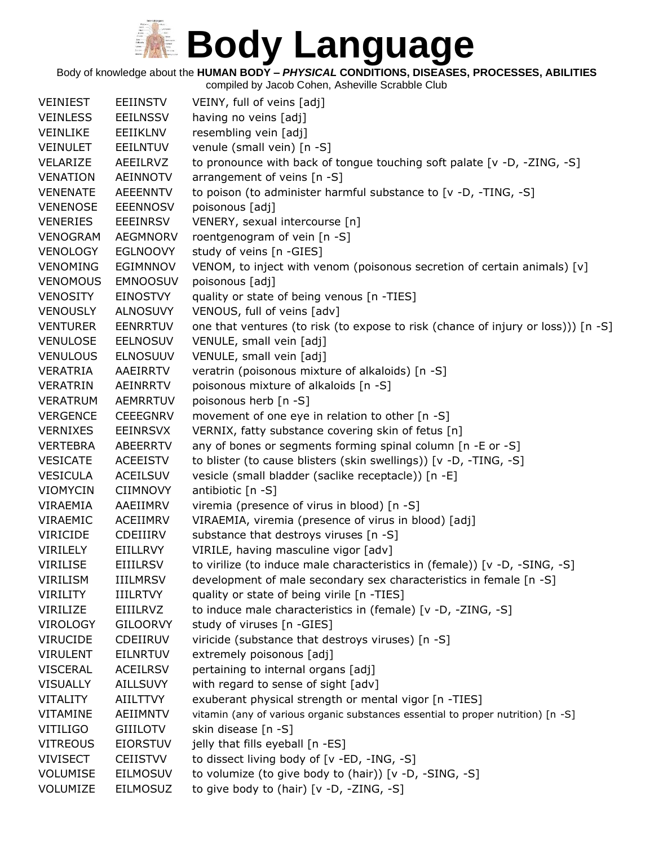Body of knowledge about the **HUMAN BODY –** *PHYSICAL* **CONDITIONS, DISEASES, PROCESSES, ABILITIES**

| <b>VEINIEST</b> | <b>EEIINSTV</b> | VEINY, full of veins [adj]                                                        |
|-----------------|-----------------|-----------------------------------------------------------------------------------|
| <b>VEINLESS</b> | <b>EEILNSSV</b> | having no veins [adj]                                                             |
| <b>VEINLIKE</b> | EEIIKLNV        | resembling vein [adj]                                                             |
| <b>VEINULET</b> | <b>EEILNTUV</b> | venule (small vein) [n -S]                                                        |
| VELARIZE        | AEEILRVZ        | to pronounce with back of tongue touching soft palate [v -D, -ZING, -S]           |
| <b>VENATION</b> | <b>AEINNOTV</b> | arrangement of veins [n -S]                                                       |
| <b>VENENATE</b> | <b>AEEENNTV</b> | to poison (to administer harmful substance to [v -D, -TING, -S]                   |
| <b>VENENOSE</b> | <b>EEENNOSV</b> | poisonous [adj]                                                                   |
| <b>VENERIES</b> | <b>EEEINRSV</b> | VENERY, sexual intercourse [n]                                                    |
| <b>VENOGRAM</b> | <b>AEGMNORV</b> | roentgenogram of vein [n -S]                                                      |
| <b>VENOLOGY</b> | <b>EGLNOOVY</b> | study of veins [n -GIES]                                                          |
| <b>VENOMING</b> | EGIMNNOV        | VENOM, to inject with venom (poisonous secretion of certain animals) [v]          |
| <b>VENOMOUS</b> | <b>EMNOOSUV</b> | poisonous [adj]                                                                   |
| VENOSITY        | EINOSTVY        | quality or state of being venous [n -TIES]                                        |
| <b>VENOUSLY</b> | <b>ALNOSUVY</b> | VENOUS, full of veins [adv]                                                       |
| <b>VENTURER</b> | <b>EENRRTUV</b> | one that ventures (to risk (to expose to risk (chance of injury or loss))) [n -S] |
| <b>VENULOSE</b> | <b>EELNOSUV</b> | VENULE, small vein [adj]                                                          |
| <b>VENULOUS</b> | <b>ELNOSUUV</b> | VENULE, small vein [adj]                                                          |
| VERATRIA        | AAEIRRTV        | veratrin (poisonous mixture of alkaloids) [n -S]                                  |
| <b>VERATRIN</b> | AEINRRTV        | poisonous mixture of alkaloids [n -S]                                             |
| <b>VERATRUM</b> | AEMRRTUV        | poisonous herb [n -S]                                                             |
| <b>VERGENCE</b> | <b>CEEEGNRV</b> | movement of one eye in relation to other [n -S]                                   |
| <b>VERNIXES</b> | <b>EEINRSVX</b> | VERNIX, fatty substance covering skin of fetus [n]                                |
| <b>VERTEBRA</b> | ABEERRTV        | any of bones or segments forming spinal column [n -E or -S]                       |
| <b>VESICATE</b> | <b>ACEEISTV</b> | to blister (to cause blisters (skin swellings)) [v -D, -TING, -S]                 |
| <b>VESICULA</b> | <b>ACEILSUV</b> | vesicle (small bladder (saclike receptacle)) [n -E]                               |
| <b>VIOMYCIN</b> | <b>CIIMNOVY</b> | antibiotic [n -S]                                                                 |
| VIRAEMIA        | AAEIIMRV        | viremia (presence of virus in blood) [n -S]                                       |
| VIRAEMIC        | ACEIIMRV        | VIRAEMIA, viremia (presence of virus in blood) [adj]                              |
| <b>VIRICIDE</b> | CDEIIIRV        | substance that destroys viruses [n -S]                                            |
| VIRILELY        | EIILLRVY        | VIRILE, having masculine vigor [adv]                                              |
| <b>VIRILISE</b> | <b>EIIILRSV</b> | to virilize (to induce male characteristics in (female)) [v -D, -SING, -S]        |
| <b>VIRILISM</b> | <b>IIILMRSV</b> | development of male secondary sex characteristics in female [n -S]                |
| <b>VIRILITY</b> | <b>IIILRTVY</b> | quality or state of being virile [n -TIES]                                        |
| VIRILIZE        | EIIILRVZ        | to induce male characteristics in (female) [v -D, -ZING, -S]                      |
| <b>VIROLOGY</b> | <b>GILOORVY</b> | study of viruses [n -GIES]                                                        |
| <b>VIRUCIDE</b> | CDEIIRUV        | viricide (substance that destroys viruses) [n -S]                                 |
| <b>VIRULENT</b> | <b>EILNRTUV</b> | extremely poisonous [adj]                                                         |
| <b>VISCERAL</b> | <b>ACEILRSV</b> | pertaining to internal organs [adj]                                               |
| <b>VISUALLY</b> | <b>AILLSUVY</b> | with regard to sense of sight [adv]                                               |
| <b>VITALITY</b> | AIILTTVY        | exuberant physical strength or mental vigor [n -TIES]                             |
| <b>VITAMINE</b> | AEIIMNTV        | vitamin (any of various organic substances essential to proper nutrition) [n -S]  |
| <b>VITILIGO</b> | <b>GIIILOTV</b> | skin disease [n -S]                                                               |
| <b>VITREOUS</b> | <b>EIORSTUV</b> | jelly that fills eyeball [n -ES]                                                  |
| <b>VIVISECT</b> | <b>CEIISTVV</b> | to dissect living body of [v -ED, -ING, -S]                                       |
| <b>VOLUMISE</b> | <b>EILMOSUV</b> | to volumize (to give body to (hair)) [v -D, -SING, -S]                            |
| VOLUMIZE        | <b>EILMOSUZ</b> | to give body to (hair) [v -D, -ZING, -S]                                          |
|                 |                 |                                                                                   |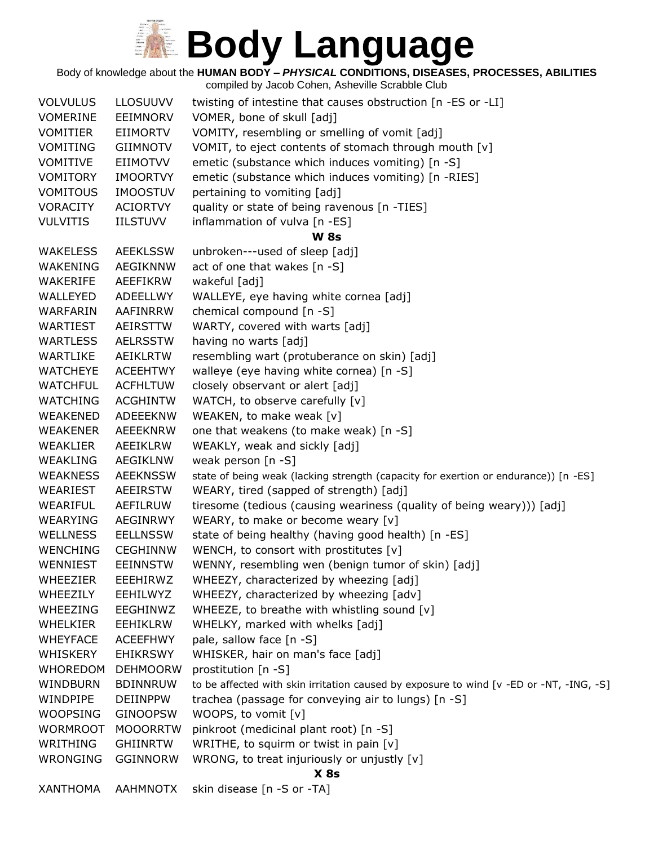Body of knowledge about the **HUMAN BODY –** *PHYSICAL* **CONDITIONS, DISEASES, PROCESSES, ABILITIES**

| <b>VOLVULUS</b> | <b>LLOSUUVV</b> | twisting of intestine that causes obstruction $[n - ES$ or -LI                          |  |  |
|-----------------|-----------------|-----------------------------------------------------------------------------------------|--|--|
| <b>VOMERINE</b> | <b>EEIMNORV</b> | VOMER, bone of skull [adj]                                                              |  |  |
| <b>VOMITIER</b> | <b>EIIMORTV</b> | VOMITY, resembling or smelling of vomit [adj]                                           |  |  |
| <b>VOMITING</b> | <b>GIIMNOTV</b> | VOMIT, to eject contents of stomach through mouth [v]                                   |  |  |
| <b>VOMITIVE</b> | <b>EIIMOTVV</b> | emetic (substance which induces vomiting) [n -S]                                        |  |  |
| <b>VOMITORY</b> | <b>IMOORTVY</b> | emetic (substance which induces vomiting) [n -RIES]                                     |  |  |
| <b>VOMITOUS</b> | <b>IMOOSTUV</b> | pertaining to vomiting [adj]                                                            |  |  |
| <b>VORACITY</b> | <b>ACIORTVY</b> | quality or state of being ravenous [n -TIES]                                            |  |  |
| <b>VULVITIS</b> | <b>IILSTUVV</b> | inflammation of vulva [n -ES]                                                           |  |  |
|                 |                 | <b>W</b> 8s                                                                             |  |  |
| <b>WAKELESS</b> | <b>AEEKLSSW</b> | unbroken---used of sleep [adj]                                                          |  |  |
| WAKENING        | <b>AEGIKNNW</b> | act of one that wakes [n -S]                                                            |  |  |
| WAKERIFE        | AEEFIKRW        | wakeful [adj]                                                                           |  |  |
| WALLEYED        | ADEELLWY        | WALLEYE, eye having white cornea [adj]                                                  |  |  |
| WARFARIN        | AAFINRRW        | chemical compound [n -S]                                                                |  |  |
| <b>WARTIEST</b> | <b>AEIRSTTW</b> | WARTY, covered with warts [adj]                                                         |  |  |
| <b>WARTLESS</b> | <b>AELRSSTW</b> | having no warts [adj]                                                                   |  |  |
| WARTLIKE        | AEIKLRTW        | resembling wart (protuberance on skin) [adj]                                            |  |  |
| <b>WATCHEYE</b> | <b>ACEEHTWY</b> | walleye (eye having white cornea) [n -S]                                                |  |  |
| <b>WATCHFUL</b> | <b>ACFHLTUW</b> | closely observant or alert [adj]                                                        |  |  |
| <b>WATCHING</b> | <b>ACGHINTW</b> | WATCH, to observe carefully [v]                                                         |  |  |
| WEAKENED        | ADEEEKNW        | WEAKEN, to make weak [v]                                                                |  |  |
| WEAKENER        | AEEEKNRW        | one that weakens (to make weak) [n -S]                                                  |  |  |
| WEAKLIER        | AEEIKLRW        | WEAKLY, weak and sickly [adj]                                                           |  |  |
| <b>WEAKLING</b> | <b>AEGIKLNW</b> | weak person [n -S]                                                                      |  |  |
| <b>WEAKNESS</b> | <b>AEEKNSSW</b> | state of being weak (lacking strength (capacity for exertion or endurance)) [n -ES]     |  |  |
| WEARIEST        | <b>AEEIRSTW</b> | WEARY, tired (sapped of strength) [adj]                                                 |  |  |
| <b>WEARIFUL</b> | AEFILRUW        | tiresome (tedious (causing weariness (quality of being weary))) [adj]                   |  |  |
| <b>WEARYING</b> | AEGINRWY        | WEARY, to make or become weary [v]                                                      |  |  |
| <b>WELLNESS</b> | <b>EELLNSSW</b> | state of being healthy (having good health) [n -ES]                                     |  |  |
| <b>WENCHING</b> | <b>CEGHINNW</b> | WENCH, to consort with prostitutes $[v]$                                                |  |  |
| <b>WENNIEST</b> | <b>EEINNSTW</b> | WENNY, resembling wen (benign tumor of skin) [adj]                                      |  |  |
| <b>WHEEZIER</b> | EEEHIRWZ        | WHEEZY, characterized by wheezing [adj]                                                 |  |  |
| WHEEZILY        | EEHILWYZ        | WHEEZY, characterized by wheezing [adv]                                                 |  |  |
| WHEEZING        | EEGHINWZ        | WHEEZE, to breathe with whistling sound [v]                                             |  |  |
| <b>WHELKIER</b> | <b>EEHIKLRW</b> | WHELKY, marked with whelks [adj]                                                        |  |  |
| <b>WHEYFACE</b> | <b>ACEEFHWY</b> | pale, sallow face [n -S]                                                                |  |  |
| <b>WHISKERY</b> | <b>EHIKRSWY</b> | WHISKER, hair on man's face [adj]                                                       |  |  |
| <b>WHOREDOM</b> | <b>DEHMOORW</b> | prostitution [n -S]                                                                     |  |  |
| WINDBURN        | <b>BDINNRUW</b> | to be affected with skin irritation caused by exposure to wind [v -ED or -NT, -ING, -S] |  |  |
| WINDPIPE        | <b>DEIINPPW</b> | trachea (passage for conveying air to lungs) [n -S]                                     |  |  |
| <b>WOOPSING</b> | <b>GINOOPSW</b> | WOOPS, to vomit [v]                                                                     |  |  |
| <b>WORMROOT</b> | <b>MOOORRTW</b> | pinkroot (medicinal plant root) [n -S]                                                  |  |  |
| WRITHING        | <b>GHIINRTW</b> | WRITHE, to squirm or twist in pain [v]                                                  |  |  |
| WRONGING        | <b>GGINNORW</b> | WRONG, to treat injuriously or unjustly [v]                                             |  |  |
| $X$ 8s          |                 |                                                                                         |  |  |
| <b>XANTHOMA</b> | AAHMNOTX        | skin disease [n -S or -TA]                                                              |  |  |